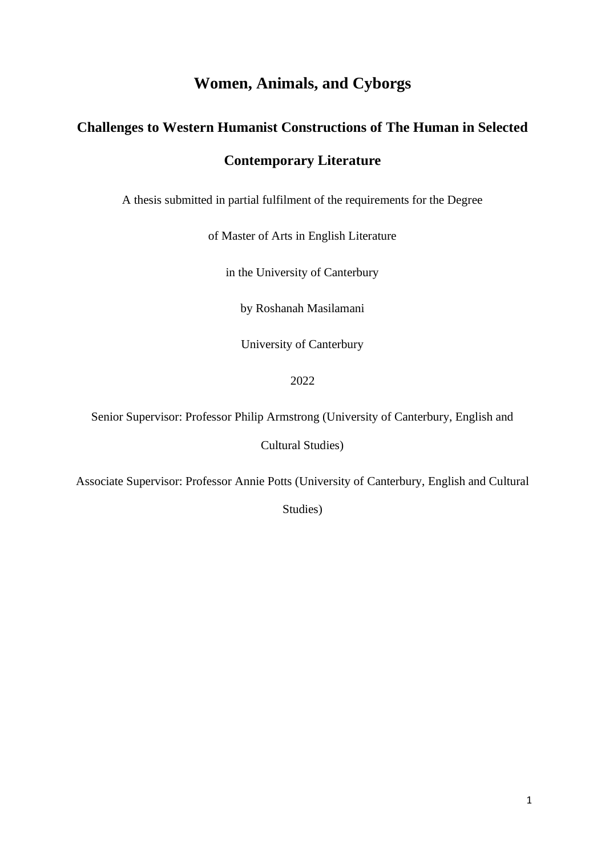## **Women, Animals, and Cyborgs**

# <span id="page-0-0"></span>**Challenges to Western Humanist Constructions of The Human in Selected Contemporary Literature**

A thesis submitted in partial fulfilment of the requirements for the Degree

of Master of Arts in English Literature

in the University of Canterbury

by Roshanah Masilamani

University of Canterbury

2022

Senior Supervisor: Professor Philip Armstrong (University of Canterbury, English and

Cultural Studies)

Associate Supervisor: Professor Annie Potts (University of Canterbury, English and Cultural

Studies)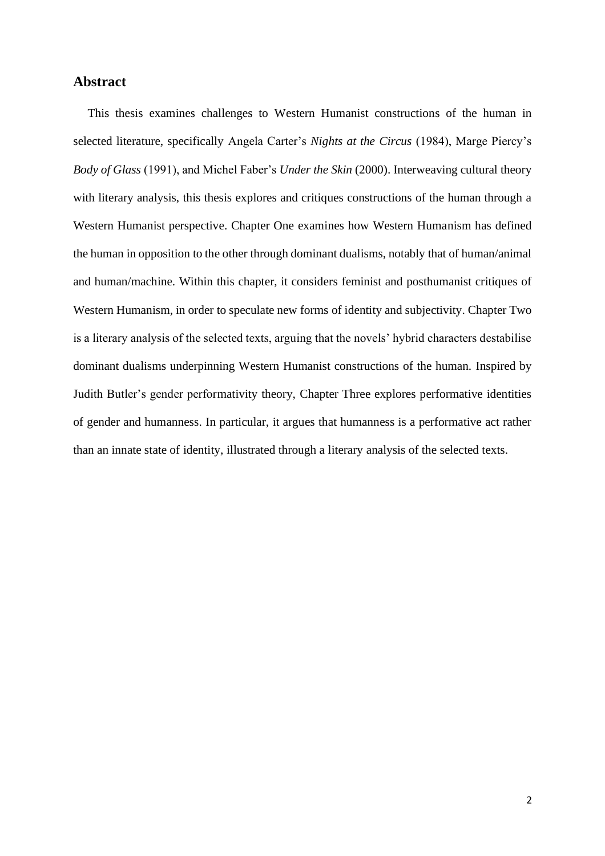#### <span id="page-1-0"></span>**Abstract**

This thesis examines challenges to Western Humanist constructions of the human in selected literature, specifically Angela Carter's *Nights at the Circus* (1984), Marge Piercy's *Body of Glass* (1991), and Michel Faber's *Under the Skin* (2000). Interweaving cultural theory with literary analysis, this thesis explores and critiques constructions of the human through a Western Humanist perspective. Chapter One examines how Western Humanism has defined the human in opposition to the other through dominant dualisms, notably that of human/animal and human/machine. Within this chapter, it considers feminist and posthumanist critiques of Western Humanism, in order to speculate new forms of identity and subjectivity. Chapter Two is a literary analysis of the selected texts, arguing that the novels' hybrid characters destabilise dominant dualisms underpinning Western Humanist constructions of the human. Inspired by Judith Butler's gender performativity theory, Chapter Three explores performative identities of gender and humanness. In particular, it argues that humanness is a performative act rather than an innate state of identity, illustrated through a literary analysis of the selected texts.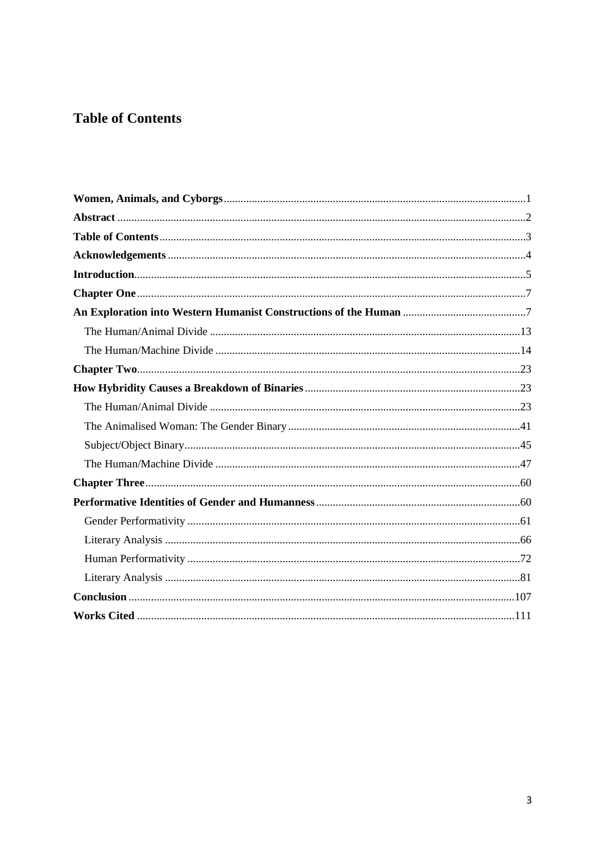## <span id="page-2-0"></span>**Table of Contents**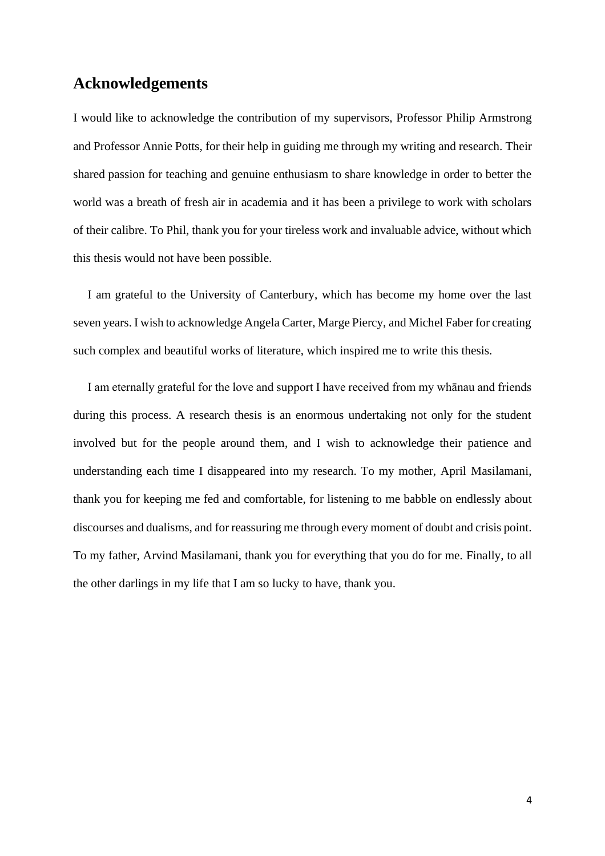## <span id="page-3-0"></span>**Acknowledgements**

I would like to acknowledge the contribution of my supervisors, Professor Philip Armstrong and Professor Annie Potts, for their help in guiding me through my writing and research. Their shared passion for teaching and genuine enthusiasm to share knowledge in order to better the world was a breath of fresh air in academia and it has been a privilege to work with scholars of their calibre. To Phil, thank you for your tireless work and invaluable advice, without which this thesis would not have been possible.

I am grateful to the University of Canterbury, which has become my home over the last seven years. I wish to acknowledge Angela Carter, Marge Piercy, and Michel Faber for creating such complex and beautiful works of literature, which inspired me to write this thesis.

I am eternally grateful for the love and support I have received from my whānau and friends during this process. A research thesis is an enormous undertaking not only for the student involved but for the people around them, and I wish to acknowledge their patience and understanding each time I disappeared into my research. To my mother, April Masilamani, thank you for keeping me fed and comfortable, for listening to me babble on endlessly about discourses and dualisms, and for reassuring me through every moment of doubt and crisis point. To my father, Arvind Masilamani, thank you for everything that you do for me. Finally, to all the other darlings in my life that I am so lucky to have, thank you.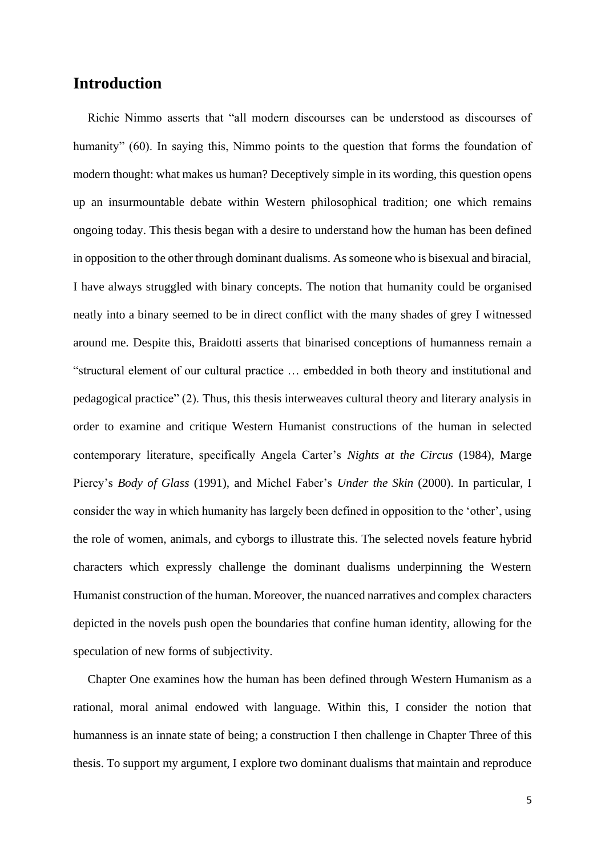## <span id="page-4-0"></span>**Introduction**

Richie Nimmo asserts that "all modern discourses can be understood as discourses of humanity" (60). In saying this, Nimmo points to the question that forms the foundation of modern thought: what makes us human? Deceptively simple in its wording, this question opens up an insurmountable debate within Western philosophical tradition; one which remains ongoing today. This thesis began with a desire to understand how the human has been defined in opposition to the other through dominant dualisms. As someone who is bisexual and biracial, I have always struggled with binary concepts. The notion that humanity could be organised neatly into a binary seemed to be in direct conflict with the many shades of grey I witnessed around me. Despite this, Braidotti asserts that binarised conceptions of humanness remain a "structural element of our cultural practice … embedded in both theory and institutional and pedagogical practice" (2). Thus, this thesis interweaves cultural theory and literary analysis in order to examine and critique Western Humanist constructions of the human in selected contemporary literature, specifically Angela Carter's *Nights at the Circus* (1984), Marge Piercy's *Body of Glass* (1991), and Michel Faber's *Under the Skin* (2000). In particular, I consider the way in which humanity has largely been defined in opposition to the 'other', using the role of women, animals, and cyborgs to illustrate this. The selected novels feature hybrid characters which expressly challenge the dominant dualisms underpinning the Western Humanist construction of the human. Moreover, the nuanced narratives and complex characters depicted in the novels push open the boundaries that confine human identity, allowing for the speculation of new forms of subjectivity.

Chapter One examines how the human has been defined through Western Humanism as a rational, moral animal endowed with language. Within this, I consider the notion that humanness is an innate state of being; a construction I then challenge in Chapter Three of this thesis. To support my argument, I explore two dominant dualisms that maintain and reproduce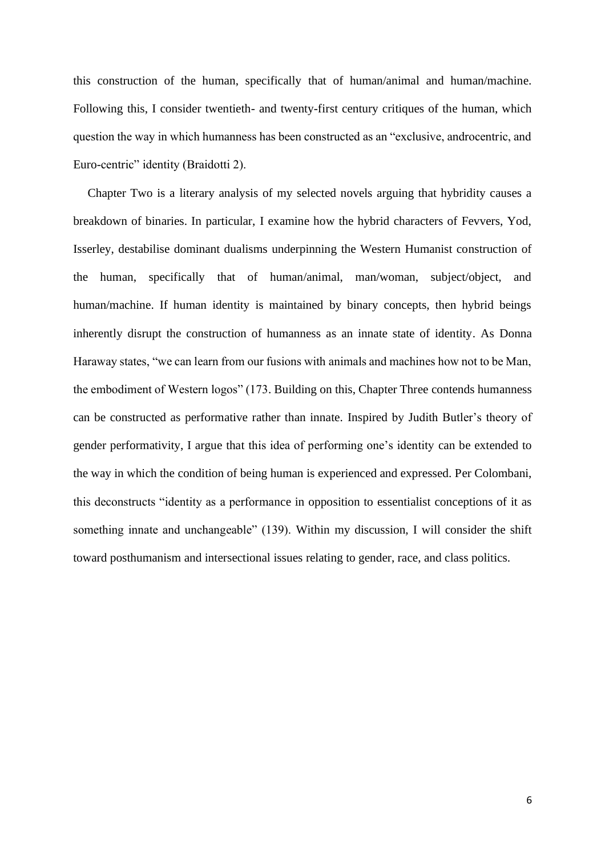this construction of the human, specifically that of human/animal and human/machine. Following this, I consider twentieth- and twenty-first century critiques of the human, which question the way in which humanness has been constructed as an "exclusive, androcentric, and Euro-centric" identity (Braidotti 2).

Chapter Two is a literary analysis of my selected novels arguing that hybridity causes a breakdown of binaries. In particular, I examine how the hybrid characters of Fevvers, Yod, Isserley, destabilise dominant dualisms underpinning the Western Humanist construction of the human, specifically that of human/animal, man/woman, subject/object, and human/machine. If human identity is maintained by binary concepts, then hybrid beings inherently disrupt the construction of humanness as an innate state of identity. As Donna Haraway states, "we can learn from our fusions with animals and machines how not to be Man, the embodiment of Western logos" (173. Building on this, Chapter Three contends humanness can be constructed as performative rather than innate. Inspired by Judith Butler's theory of gender performativity, I argue that this idea of performing one's identity can be extended to the way in which the condition of being human is experienced and expressed. Per Colombani, this deconstructs "identity as a performance in opposition to essentialist conceptions of it as something innate and unchangeable" (139). Within my discussion, I will consider the shift toward posthumanism and intersectional issues relating to gender, race, and class politics.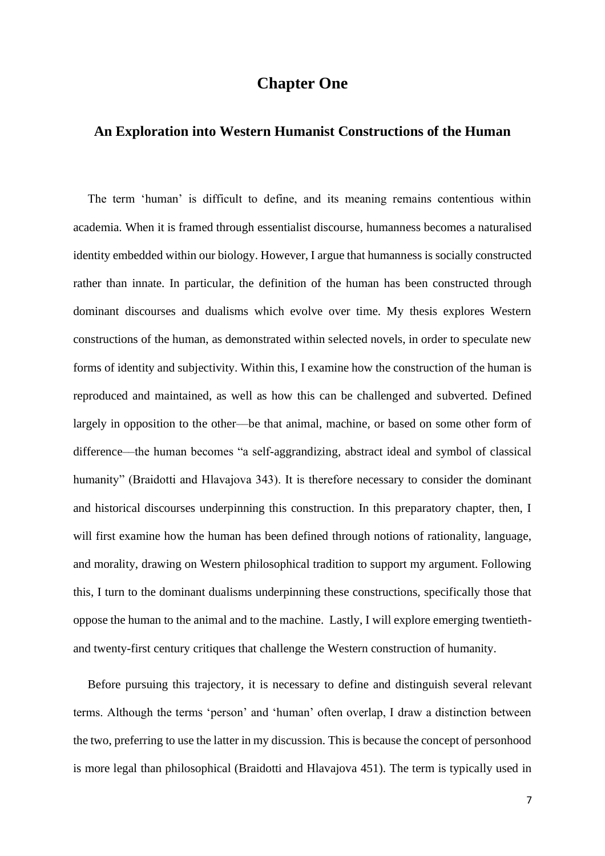## **Chapter One**

#### <span id="page-6-1"></span><span id="page-6-0"></span>**An Exploration into Western Humanist Constructions of the Human**

The term 'human' is difficult to define, and its meaning remains contentious within academia. When it is framed through essentialist discourse, humanness becomes a naturalised identity embedded within our biology. However, I argue that humanness is socially constructed rather than innate. In particular, the definition of the human has been constructed through dominant discourses and dualisms which evolve over time. My thesis explores Western constructions of the human, as demonstrated within selected novels, in order to speculate new forms of identity and subjectivity. Within this, I examine how the construction of the human is reproduced and maintained, as well as how this can be challenged and subverted. Defined largely in opposition to the other––be that animal, machine, or based on some other form of difference––the human becomes "a self-aggrandizing, abstract ideal and symbol of classical humanity" (Braidotti and Hlavajova 343). It is therefore necessary to consider the dominant and historical discourses underpinning this construction. In this preparatory chapter, then, I will first examine how the human has been defined through notions of rationality, language, and morality, drawing on Western philosophical tradition to support my argument. Following this, I turn to the dominant dualisms underpinning these constructions, specifically those that oppose the human to the animal and to the machine. Lastly, I will explore emerging twentiethand twenty-first century critiques that challenge the Western construction of humanity.

Before pursuing this trajectory, it is necessary to define and distinguish several relevant terms. Although the terms 'person' and 'human' often overlap, I draw a distinction between the two, preferring to use the latter in my discussion. This is because the concept of personhood is more legal than philosophical (Braidotti and Hlavajova 451). The term is typically used in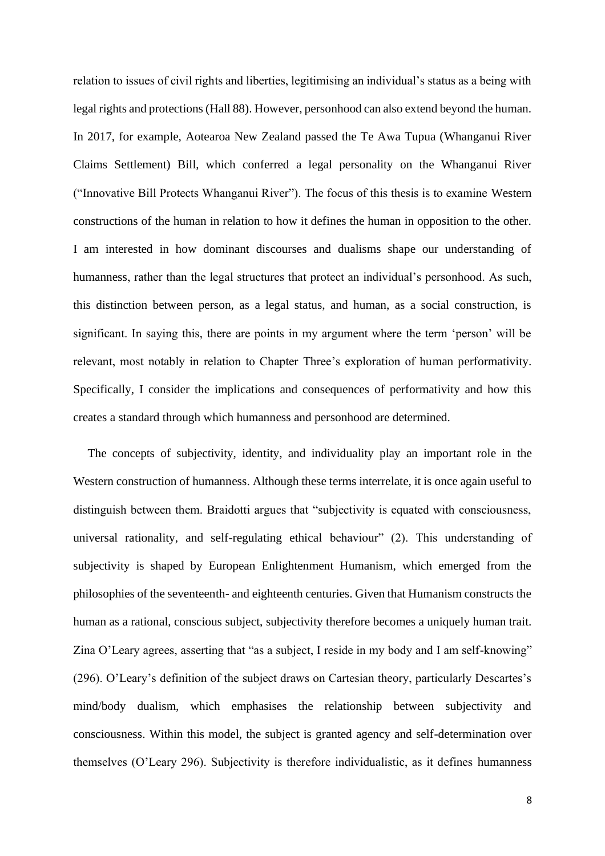relation to issues of civil rights and liberties, legitimising an individual's status as a being with legal rights and protections (Hall 88). However, personhood can also extend beyond the human. In 2017, for example, Aotearoa New Zealand passed the Te Awa Tupua (Whanganui River Claims Settlement) Bill, which conferred a legal personality on the Whanganui River ("Innovative Bill Protects Whanganui River"). The focus of this thesis is to examine Western constructions of the human in relation to how it defines the human in opposition to the other. I am interested in how dominant discourses and dualisms shape our understanding of humanness, rather than the legal structures that protect an individual's personhood. As such, this distinction between person, as a legal status, and human, as a social construction, is significant. In saying this, there are points in my argument where the term 'person' will be relevant, most notably in relation to Chapter Three's exploration of human performativity. Specifically, I consider the implications and consequences of performativity and how this creates a standard through which humanness and personhood are determined.

The concepts of subjectivity, identity, and individuality play an important role in the Western construction of humanness. Although these terms interrelate, it is once again useful to distinguish between them. Braidotti argues that "subjectivity is equated with consciousness, universal rationality, and self-regulating ethical behaviour" (2). This understanding of subjectivity is shaped by European Enlightenment Humanism, which emerged from the philosophies of the seventeenth- and eighteenth centuries. Given that Humanism constructs the human as a rational, conscious subject, subjectivity therefore becomes a uniquely human trait. Zina O'Leary agrees, asserting that "as a subject, I reside in my body and I am self-knowing" (296). O'Leary's definition of the subject draws on Cartesian theory, particularly Descartes's mind/body dualism, which emphasises the relationship between subjectivity and consciousness. Within this model, the subject is granted agency and self-determination over themselves (O'Leary 296). Subjectivity is therefore individualistic, as it defines humanness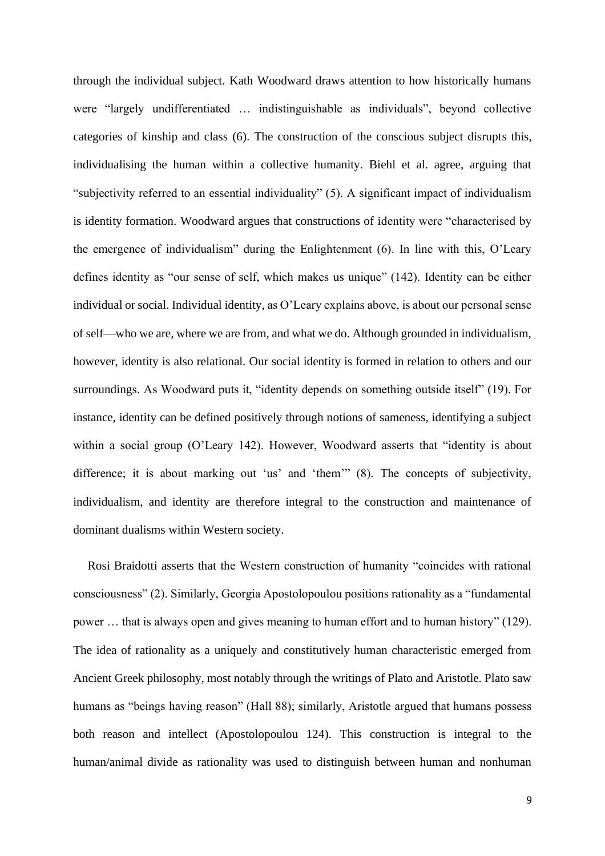through the individual subject. Kath Woodward draws attention to how historically humans were "largely undifferentiated … indistinguishable as individuals", beyond collective categories of kinship and class (6). The construction of the conscious subject disrupts this, individualising the human within a collective humanity. Biehl et al. agree, arguing that "subjectivity referred to an essential individuality" (5). A significant impact of individualism is identity formation. Woodward argues that constructions of identity were "characterised by the emergence of individualism" during the Enlightenment (6). In line with this, O'Leary defines identity as "our sense of self, which makes us unique" (142). Identity can be either individual or social. Individual identity, as O'Leary explains above, is about our personal sense of self––who we are, where we are from, and what we do. Although grounded in individualism, however, identity is also relational. Our social identity is formed in relation to others and our surroundings. As Woodward puts it, "identity depends on something outside itself" (19). For instance, identity can be defined positively through notions of sameness, identifying a subject within a social group (O'Leary 142). However, Woodward asserts that "identity is about difference; it is about marking out 'us' and 'them'" (8). The concepts of subjectivity, individualism, and identity are therefore integral to the construction and maintenance of dominant dualisms within Western society.

Rosi Braidotti asserts that the Western construction of humanity "coincides with rational consciousness" (2). Similarly, Georgia Apostolopoulou positions rationality as a "fundamental power … that is always open and gives meaning to human effort and to human history" (129). The idea of rationality as a uniquely and constitutively human characteristic emerged from Ancient Greek philosophy, most notably through the writings of Plato and Aristotle. Plato saw humans as "beings having reason" (Hall 88); similarly, Aristotle argued that humans possess both reason and intellect (Apostolopoulou 124). This construction is integral to the human/animal divide as rationality was used to distinguish between human and nonhuman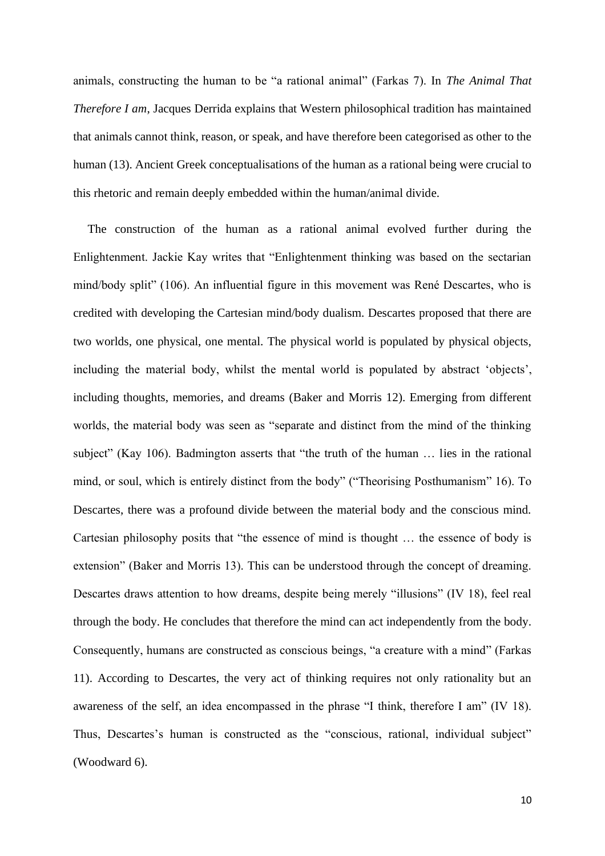animals, constructing the human to be "a rational animal" (Farkas 7). In *The Animal That Therefore I am*, Jacques Derrida explains that Western philosophical tradition has maintained that animals cannot think, reason, or speak, and have therefore been categorised as other to the human (13). Ancient Greek conceptualisations of the human as a rational being were crucial to this rhetoric and remain deeply embedded within the human/animal divide.

The construction of the human as a rational animal evolved further during the Enlightenment. Jackie Kay writes that "Enlightenment thinking was based on the sectarian mind/body split" (106). An influential figure in this movement was René Descartes, who is credited with developing the Cartesian mind/body dualism. Descartes proposed that there are two worlds, one physical, one mental. The physical world is populated by physical objects, including the material body, whilst the mental world is populated by abstract 'objects', including thoughts, memories, and dreams (Baker and Morris 12). Emerging from different worlds, the material body was seen as "separate and distinct from the mind of the thinking subject" (Kay 106). Badmington asserts that "the truth of the human … lies in the rational mind, or soul, which is entirely distinct from the body" ("Theorising Posthumanism" 16). To Descartes, there was a profound divide between the material body and the conscious mind. Cartesian philosophy posits that "the essence of mind is thought … the essence of body is extension" (Baker and Morris 13). This can be understood through the concept of dreaming. Descartes draws attention to how dreams, despite being merely "illusions" (IV 18), feel real through the body. He concludes that therefore the mind can act independently from the body. Consequently, humans are constructed as conscious beings, "a creature with a mind" (Farkas 11). According to Descartes, the very act of thinking requires not only rationality but an awareness of the self, an idea encompassed in the phrase "I think, therefore I am" (IV 18). Thus, Descartes's human is constructed as the "conscious, rational, individual subject" (Woodward 6).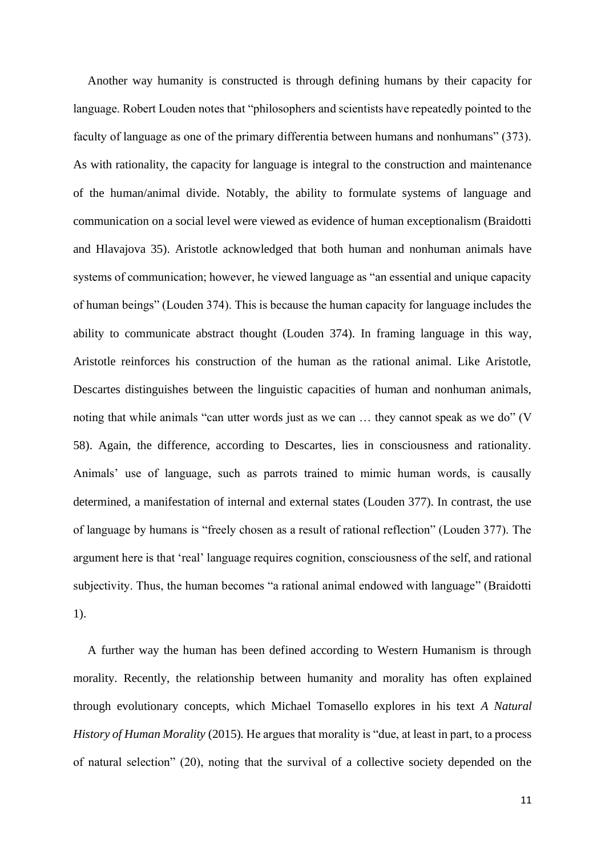Another way humanity is constructed is through defining humans by their capacity for language. Robert Louden notes that "philosophers and scientists have repeatedly pointed to the faculty of language as one of the primary differentia between humans and nonhumans" (373). As with rationality, the capacity for language is integral to the construction and maintenance of the human/animal divide. Notably, the ability to formulate systems of language and communication on a social level were viewed as evidence of human exceptionalism (Braidotti and Hlavajova 35). Aristotle acknowledged that both human and nonhuman animals have systems of communication; however, he viewed language as "an essential and unique capacity of human beings" (Louden 374). This is because the human capacity for language includes the ability to communicate abstract thought (Louden 374). In framing language in this way, Aristotle reinforces his construction of the human as the rational animal. Like Aristotle, Descartes distinguishes between the linguistic capacities of human and nonhuman animals, noting that while animals "can utter words just as we can … they cannot speak as we do" (V 58). Again, the difference, according to Descartes, lies in consciousness and rationality. Animals' use of language, such as parrots trained to mimic human words, is causally determined, a manifestation of internal and external states (Louden 377). In contrast, the use of language by humans is "freely chosen as a result of rational reflection" (Louden 377). The argument here is that 'real' language requires cognition, consciousness of the self, and rational subjectivity. Thus, the human becomes "a rational animal endowed with language" (Braidotti 1).

A further way the human has been defined according to Western Humanism is through morality. Recently, the relationship between humanity and morality has often explained through evolutionary concepts, which Michael Tomasello explores in his text *A Natural History of Human Morality* (2015)*.* He argues that morality is "due, at least in part, to a process of natural selection" (20), noting that the survival of a collective society depended on the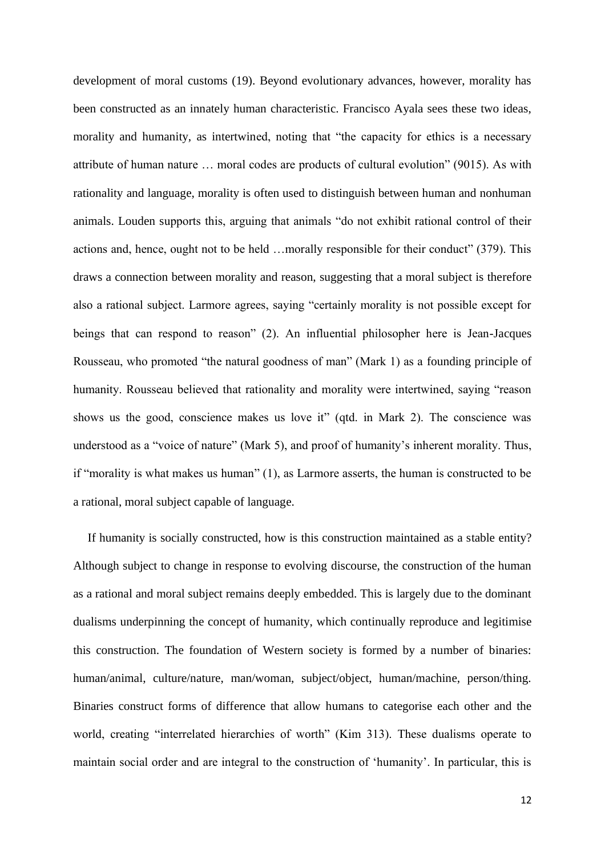development of moral customs (19). Beyond evolutionary advances, however, morality has been constructed as an innately human characteristic. Francisco Ayala sees these two ideas, morality and humanity, as intertwined, noting that "the capacity for ethics is a necessary attribute of human nature … moral codes are products of cultural evolution" (9015). As with rationality and language, morality is often used to distinguish between human and nonhuman animals. Louden supports this, arguing that animals "do not exhibit rational control of their actions and, hence, ought not to be held …morally responsible for their conduct" (379). This draws a connection between morality and reason, suggesting that a moral subject is therefore also a rational subject. Larmore agrees, saying "certainly morality is not possible except for beings that can respond to reason" (2). An influential philosopher here is Jean-Jacques Rousseau, who promoted "the natural goodness of man" (Mark 1) as a founding principle of humanity. Rousseau believed that rationality and morality were intertwined, saying "reason shows us the good, conscience makes us love it" (qtd. in Mark 2). The conscience was understood as a "voice of nature" (Mark 5), and proof of humanity's inherent morality. Thus, if "morality is what makes us human" (1), as Larmore asserts, the human is constructed to be a rational, moral subject capable of language.

If humanity is socially constructed, how is this construction maintained as a stable entity? Although subject to change in response to evolving discourse, the construction of the human as a rational and moral subject remains deeply embedded. This is largely due to the dominant dualisms underpinning the concept of humanity, which continually reproduce and legitimise this construction. The foundation of Western society is formed by a number of binaries: human/animal, culture/nature, man/woman, subject/object, human/machine, person/thing. Binaries construct forms of difference that allow humans to categorise each other and the world, creating "interrelated hierarchies of worth" (Kim 313). These dualisms operate to maintain social order and are integral to the construction of 'humanity'. In particular, this is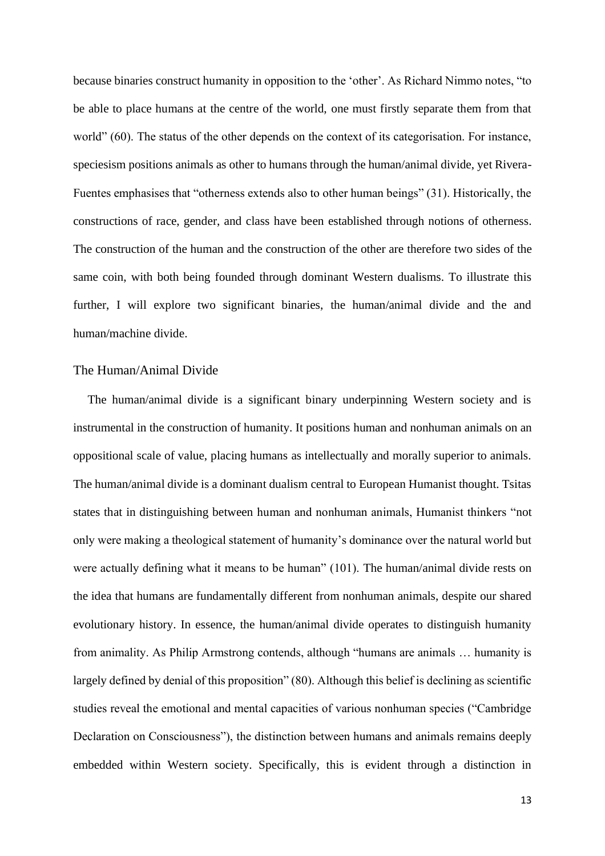because binaries construct humanity in opposition to the 'other'. As Richard Nimmo notes, "to be able to place humans at the centre of the world, one must firstly separate them from that world" (60). The status of the other depends on the context of its categorisation. For instance, speciesism positions animals as other to humans through the human/animal divide, yet Rivera-Fuentes emphasises that "otherness extends also to other human beings" (31). Historically, the constructions of race, gender, and class have been established through notions of otherness. The construction of the human and the construction of the other are therefore two sides of the same coin, with both being founded through dominant Western dualisms. To illustrate this further, I will explore two significant binaries, the human/animal divide and the and human/machine divide.

#### <span id="page-12-0"></span>The Human/Animal Divide

The human/animal divide is a significant binary underpinning Western society and is instrumental in the construction of humanity. It positions human and nonhuman animals on an oppositional scale of value, placing humans as intellectually and morally superior to animals. The human/animal divide is a dominant dualism central to European Humanist thought. Tsitas states that in distinguishing between human and nonhuman animals, Humanist thinkers "not only were making a theological statement of humanity's dominance over the natural world but were actually defining what it means to be human" (101). The human/animal divide rests on the idea that humans are fundamentally different from nonhuman animals, despite our shared evolutionary history. In essence, the human/animal divide operates to distinguish humanity from animality. As Philip Armstrong contends, although "humans are animals … humanity is largely defined by denial of this proposition" (80). Although this belief is declining as scientific studies reveal the emotional and mental capacities of various nonhuman species ("Cambridge Declaration on Consciousness"), the distinction between humans and animals remains deeply embedded within Western society. Specifically, this is evident through a distinction in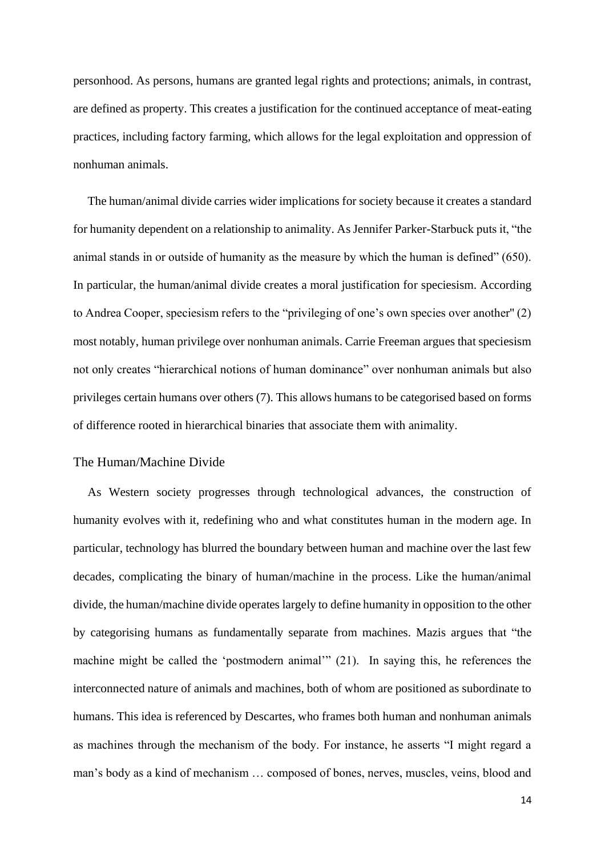personhood. As persons, humans are granted legal rights and protections; animals, in contrast, are defined as property. This creates a justification for the continued acceptance of meat-eating practices, including factory farming, which allows for the legal exploitation and oppression of nonhuman animals.

The human/animal divide carries wider implications for society because it creates a standard for humanity dependent on a relationship to animality. As Jennifer Parker-Starbuck puts it, "the animal stands in or outside of humanity as the measure by which the human is defined" (650). In particular, the human/animal divide creates a moral justification for speciesism. According to Andrea Cooper, speciesism refers to the "privileging of one's own species over another'' (2) most notably, human privilege over nonhuman animals. Carrie Freeman argues that speciesism not only creates "hierarchical notions of human dominance" over nonhuman animals but also privileges certain humans over others (7). This allows humans to be categorised based on forms of difference rooted in hierarchical binaries that associate them with animality.

#### <span id="page-13-0"></span>The Human/Machine Divide

As Western society progresses through technological advances, the construction of humanity evolves with it, redefining who and what constitutes human in the modern age. In particular, technology has blurred the boundary between human and machine over the last few decades, complicating the binary of human/machine in the process. Like the human/animal divide, the human/machine divide operates largely to define humanity in opposition to the other by categorising humans as fundamentally separate from machines. Mazis argues that "the machine might be called the 'postmodern animal'" (21). In saying this, he references the interconnected nature of animals and machines, both of whom are positioned as subordinate to humans. This idea is referenced by Descartes, who frames both human and nonhuman animals as machines through the mechanism of the body. For instance, he asserts "I might regard a man's body as a kind of mechanism … composed of bones, nerves, muscles, veins, blood and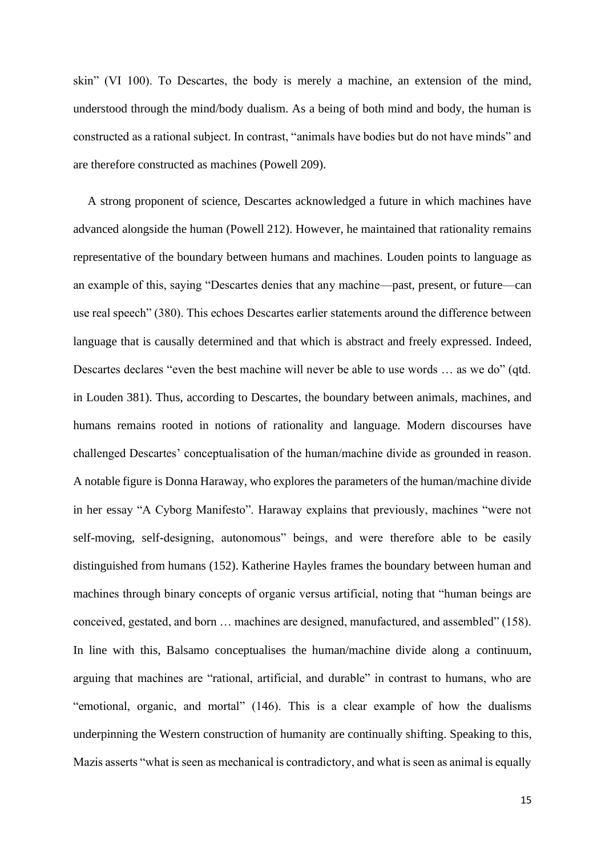skin" (VI 100). To Descartes, the body is merely a machine, an extension of the mind, understood through the mind/body dualism. As a being of both mind and body, the human is constructed as a rational subject. In contrast, "animals have bodies but do not have minds" and are therefore constructed as machines (Powell 209).

A strong proponent of science, Descartes acknowledged a future in which machines have advanced alongside the human (Powell 212). However, he maintained that rationality remains representative of the boundary between humans and machines. Louden points to language as an example of this, saying "Descartes denies that any machine—past, present, or future—can use real speech" (380). This echoes Descartes earlier statements around the difference between language that is causally determined and that which is abstract and freely expressed. Indeed, Descartes declares "even the best machine will never be able to use words … as we do" (qtd. in Louden 381). Thus, according to Descartes, the boundary between animals, machines, and humans remains rooted in notions of rationality and language. Modern discourses have challenged Descartes' conceptualisation of the human/machine divide as grounded in reason. A notable figure is Donna Haraway, who explores the parameters of the human/machine divide in her essay "A Cyborg Manifesto". Haraway explains that previously, machines "were not self-moving, self-designing, autonomous" beings, and were therefore able to be easily distinguished from humans (152). Katherine Hayles frames the boundary between human and machines through binary concepts of organic versus artificial, noting that "human beings are conceived, gestated, and born … machines are designed, manufactured, and assembled" (158). In line with this, Balsamo conceptualises the human/machine divide along a continuum, arguing that machines are "rational, artificial, and durable" in contrast to humans, who are "emotional, organic, and mortal" (146). This is a clear example of how the dualisms underpinning the Western construction of humanity are continually shifting. Speaking to this, Mazis asserts "what is seen as mechanical is contradictory, and what is seen as animal is equally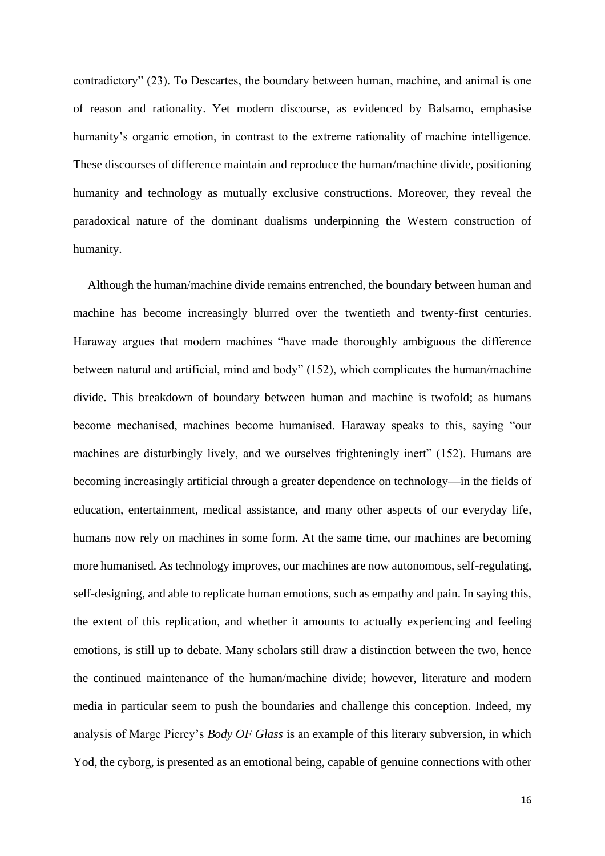contradictory" (23). To Descartes, the boundary between human, machine, and animal is one of reason and rationality. Yet modern discourse, as evidenced by Balsamo, emphasise humanity's organic emotion, in contrast to the extreme rationality of machine intelligence. These discourses of difference maintain and reproduce the human/machine divide, positioning humanity and technology as mutually exclusive constructions. Moreover, they reveal the paradoxical nature of the dominant dualisms underpinning the Western construction of humanity.

Although the human/machine divide remains entrenched, the boundary between human and machine has become increasingly blurred over the twentieth and twenty-first centuries. Haraway argues that modern machines "have made thoroughly ambiguous the difference between natural and artificial, mind and body" (152), which complicates the human/machine divide. This breakdown of boundary between human and machine is twofold; as humans become mechanised, machines become humanised. Haraway speaks to this, saying "our machines are disturbingly lively, and we ourselves frighteningly inert" (152). Humans are becoming increasingly artificial through a greater dependence on technology—in the fields of education, entertainment, medical assistance, and many other aspects of our everyday life, humans now rely on machines in some form. At the same time, our machines are becoming more humanised. As technology improves, our machines are now autonomous, self-regulating, self-designing, and able to replicate human emotions, such as empathy and pain. In saying this, the extent of this replication, and whether it amounts to actually experiencing and feeling emotions, is still up to debate. Many scholars still draw a distinction between the two, hence the continued maintenance of the human/machine divide; however, literature and modern media in particular seem to push the boundaries and challenge this conception. Indeed, my analysis of Marge Piercy's *Body OF Glass* is an example of this literary subversion, in which Yod, the cyborg, is presented as an emotional being, capable of genuine connections with other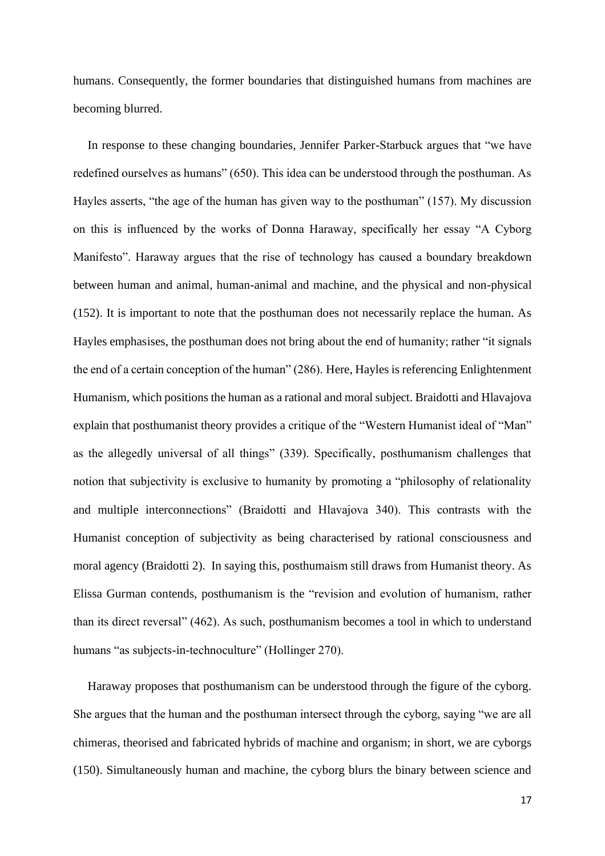humans. Consequently, the former boundaries that distinguished humans from machines are becoming blurred.

In response to these changing boundaries, Jennifer Parker-Starbuck argues that "we have redefined ourselves as humans" (650). This idea can be understood through the posthuman. As Hayles asserts, "the age of the human has given way to the posthuman" (157). My discussion on this is influenced by the works of Donna Haraway, specifically her essay "A Cyborg Manifesto". Haraway argues that the rise of technology has caused a boundary breakdown between human and animal, human-animal and machine, and the physical and non-physical (152). It is important to note that the posthuman does not necessarily replace the human. As Hayles emphasises, the posthuman does not bring about the end of humanity; rather "it signals the end of a certain conception of the human" (286). Here, Hayles is referencing Enlightenment Humanism, which positions the human as a rational and moral subject. Braidotti and Hlavajova explain that posthumanist theory provides a critique of the "Western Humanist ideal of "Man" as the allegedly universal of all things" (339). Specifically, posthumanism challenges that notion that subjectivity is exclusive to humanity by promoting a "philosophy of relationality and multiple interconnections" (Braidotti and Hlavajova 340). This contrasts with the Humanist conception of subjectivity as being characterised by rational consciousness and moral agency (Braidotti 2). In saying this, posthumaism still draws from Humanist theory. As Elissa Gurman contends, posthumanism is the "revision and evolution of humanism, rather than its direct reversal" (462). As such, posthumanism becomes a tool in which to understand humans "as subjects-in-technoculture" (Hollinger 270).

Haraway proposes that posthumanism can be understood through the figure of the cyborg. She argues that the human and the posthuman intersect through the cyborg, saying "we are all chimeras, theorised and fabricated hybrids of machine and organism; in short, we are cyborgs (150). Simultaneously human and machine, the cyborg blurs the binary between science and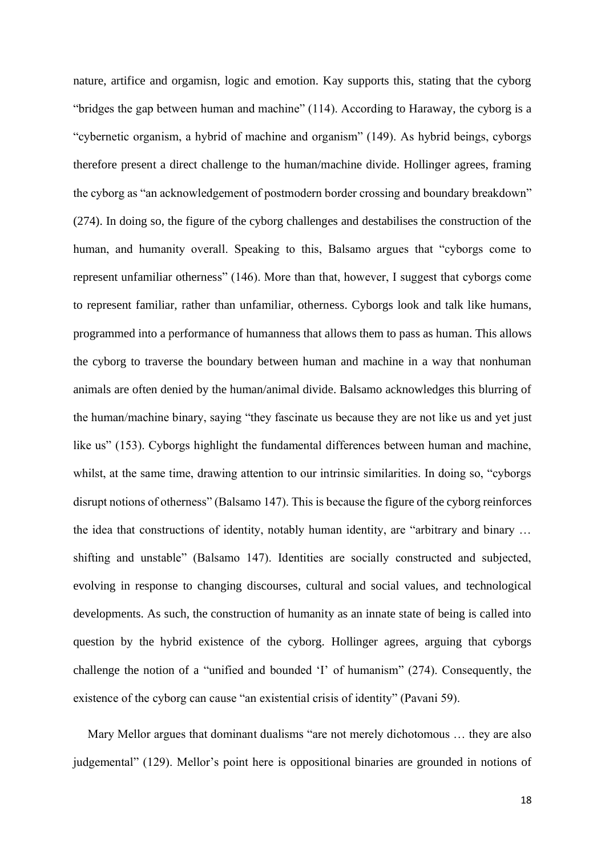nature, artifice and orgamisn, logic and emotion. Kay supports this, stating that the cyborg "bridges the gap between human and machine" (114). According to Haraway, the cyborg is a "cybernetic organism, a hybrid of machine and organism" (149). As hybrid beings, cyborgs therefore present a direct challenge to the human/machine divide. Hollinger agrees, framing the cyborg as "an acknowledgement of postmodern border crossing and boundary breakdown" (274). In doing so, the figure of the cyborg challenges and destabilises the construction of the human, and humanity overall. Speaking to this, Balsamo argues that "cyborgs come to represent unfamiliar otherness" (146). More than that, however, I suggest that cyborgs come to represent familiar, rather than unfamiliar, otherness. Cyborgs look and talk like humans, programmed into a performance of humanness that allows them to pass as human. This allows the cyborg to traverse the boundary between human and machine in a way that nonhuman animals are often denied by the human/animal divide. Balsamo acknowledges this blurring of the human/machine binary, saying "they fascinate us because they are not like us and yet just like us" (153). Cyborgs highlight the fundamental differences between human and machine, whilst, at the same time, drawing attention to our intrinsic similarities. In doing so, "cyborgs disrupt notions of otherness" (Balsamo 147). This is because the figure of the cyborg reinforces the idea that constructions of identity, notably human identity, are "arbitrary and binary … shifting and unstable" (Balsamo 147). Identities are socially constructed and subjected, evolving in response to changing discourses, cultural and social values, and technological developments. As such, the construction of humanity as an innate state of being is called into question by the hybrid existence of the cyborg. Hollinger agrees, arguing that cyborgs challenge the notion of a "unified and bounded 'I' of humanism" (274). Consequently, the existence of the cyborg can cause "an existential crisis of identity" (Pavani 59).

Mary Mellor argues that dominant dualisms "are not merely dichotomous … they are also judgemental" (129). Mellor's point here is oppositional binaries are grounded in notions of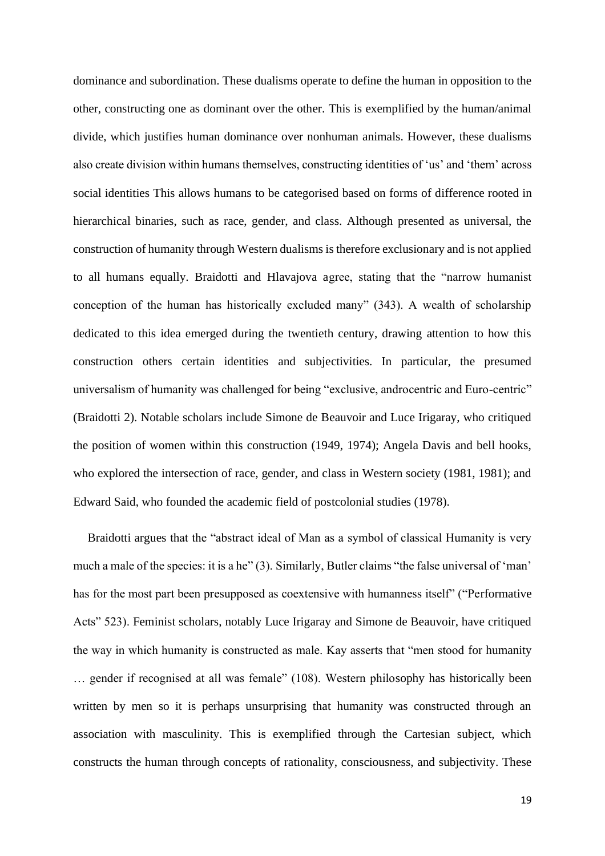dominance and subordination. These dualisms operate to define the human in opposition to the other, constructing one as dominant over the other. This is exemplified by the human/animal divide, which justifies human dominance over nonhuman animals. However, these dualisms also create division within humans themselves, constructing identities of 'us' and 'them' across social identities This allows humans to be categorised based on forms of difference rooted in hierarchical binaries, such as race, gender, and class. Although presented as universal, the construction of humanity through Western dualisms is therefore exclusionary and is not applied to all humans equally. Braidotti and Hlavajova agree, stating that the "narrow humanist conception of the human has historically excluded many" (343). A wealth of scholarship dedicated to this idea emerged during the twentieth century, drawing attention to how this construction others certain identities and subjectivities. In particular, the presumed universalism of humanity was challenged for being "exclusive, androcentric and Euro-centric" (Braidotti 2). Notable scholars include Simone de Beauvoir and Luce Irigaray, who critiqued the position of women within this construction (1949, 1974); Angela Davis and bell hooks, who explored the intersection of race, gender, and class in Western society (1981, 1981); and Edward Said, who founded the academic field of postcolonial studies (1978).

Braidotti argues that the "abstract ideal of Man as a symbol of classical Humanity is very much a male of the species: it is a he" (3). Similarly, Butler claims "the false universal of 'man' has for the most part been presupposed as coextensive with humanness itself" ("Performative Acts" 523). Feminist scholars, notably Luce Irigaray and Simone de Beauvoir, have critiqued the way in which humanity is constructed as male. Kay asserts that "men stood for humanity … gender if recognised at all was female" (108). Western philosophy has historically been written by men so it is perhaps unsurprising that humanity was constructed through an association with masculinity. This is exemplified through the Cartesian subject, which constructs the human through concepts of rationality, consciousness, and subjectivity. These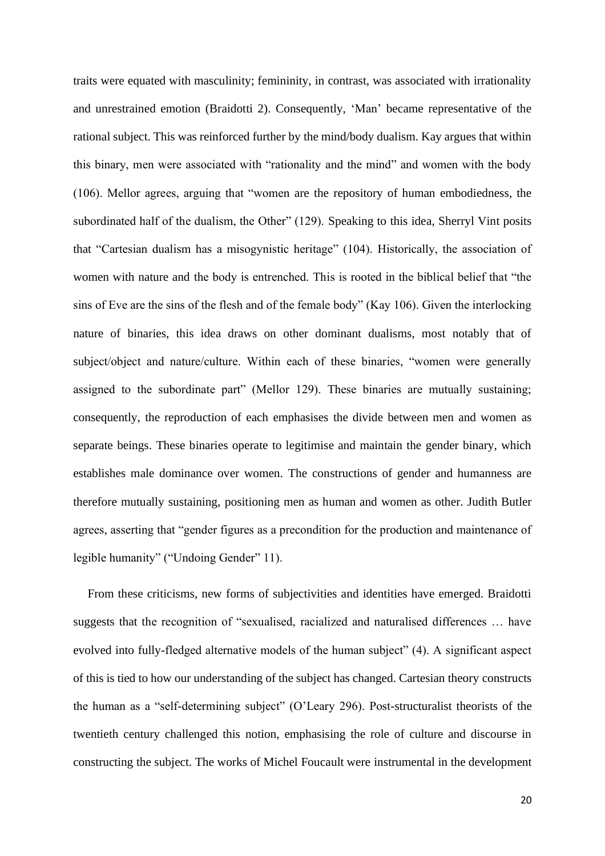traits were equated with masculinity; femininity, in contrast, was associated with irrationality and unrestrained emotion (Braidotti 2). Consequently, 'Man' became representative of the rational subject. This was reinforced further by the mind/body dualism. Kay argues that within this binary, men were associated with "rationality and the mind" and women with the body (106). Mellor agrees, arguing that "women are the repository of human embodiedness, the subordinated half of the dualism, the Other" (129). Speaking to this idea, Sherryl Vint posits that "Cartesian dualism has a misogynistic heritage" (104). Historically, the association of women with nature and the body is entrenched. This is rooted in the biblical belief that "the sins of Eve are the sins of the flesh and of the female body" (Kay 106). Given the interlocking nature of binaries, this idea draws on other dominant dualisms, most notably that of subject/object and nature/culture. Within each of these binaries, "women were generally assigned to the subordinate part" (Mellor 129). These binaries are mutually sustaining; consequently, the reproduction of each emphasises the divide between men and women as separate beings. These binaries operate to legitimise and maintain the gender binary, which establishes male dominance over women. The constructions of gender and humanness are therefore mutually sustaining, positioning men as human and women as other. Judith Butler agrees, asserting that "gender figures as a precondition for the production and maintenance of legible humanity" ("Undoing Gender" 11).

From these criticisms, new forms of subjectivities and identities have emerged. Braidotti suggests that the recognition of "sexualised, racialized and naturalised differences … have evolved into fully-fledged alternative models of the human subject" (4). A significant aspect of this is tied to how our understanding of the subject has changed. Cartesian theory constructs the human as a "self-determining subject" (O'Leary 296). Post-structuralist theorists of the twentieth century challenged this notion, emphasising the role of culture and discourse in constructing the subject. The works of Michel Foucault were instrumental in the development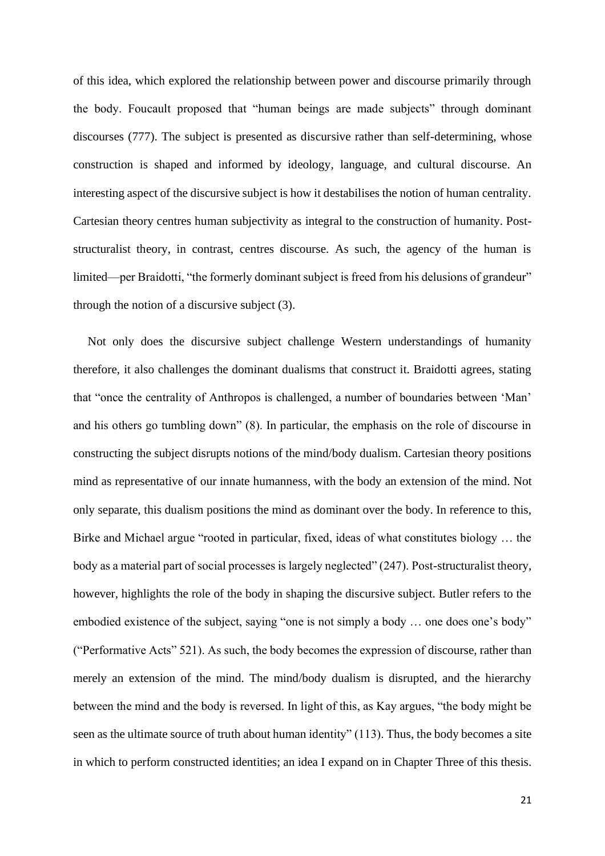of this idea, which explored the relationship between power and discourse primarily through the body. Foucault proposed that "human beings are made subjects" through dominant discourses (777). The subject is presented as discursive rather than self-determining, whose construction is shaped and informed by ideology, language, and cultural discourse. An interesting aspect of the discursive subject is how it destabilises the notion of human centrality. Cartesian theory centres human subjectivity as integral to the construction of humanity. Poststructuralist theory, in contrast, centres discourse. As such, the agency of the human is limited—per Braidotti, "the formerly dominant subject is freed from his delusions of grandeur" through the notion of a discursive subject (3).

Not only does the discursive subject challenge Western understandings of humanity therefore, it also challenges the dominant dualisms that construct it. Braidotti agrees, stating that "once the centrality of Anthropos is challenged, a number of boundaries between 'Man' and his others go tumbling down" (8). In particular, the emphasis on the role of discourse in constructing the subject disrupts notions of the mind/body dualism. Cartesian theory positions mind as representative of our innate humanness, with the body an extension of the mind. Not only separate, this dualism positions the mind as dominant over the body. In reference to this, Birke and Michael argue "rooted in particular, fixed, ideas of what constitutes biology … the body as a material part of social processes is largely neglected" (247). Post-structuralist theory, however, highlights the role of the body in shaping the discursive subject. Butler refers to the embodied existence of the subject, saying "one is not simply a body … one does one's body" ("Performative Acts" 521). As such, the body becomes the expression of discourse, rather than merely an extension of the mind. The mind/body dualism is disrupted, and the hierarchy between the mind and the body is reversed. In light of this, as Kay argues, "the body might be seen as the ultimate source of truth about human identity" (113). Thus, the body becomes a site in which to perform constructed identities; an idea I expand on in Chapter Three of this thesis.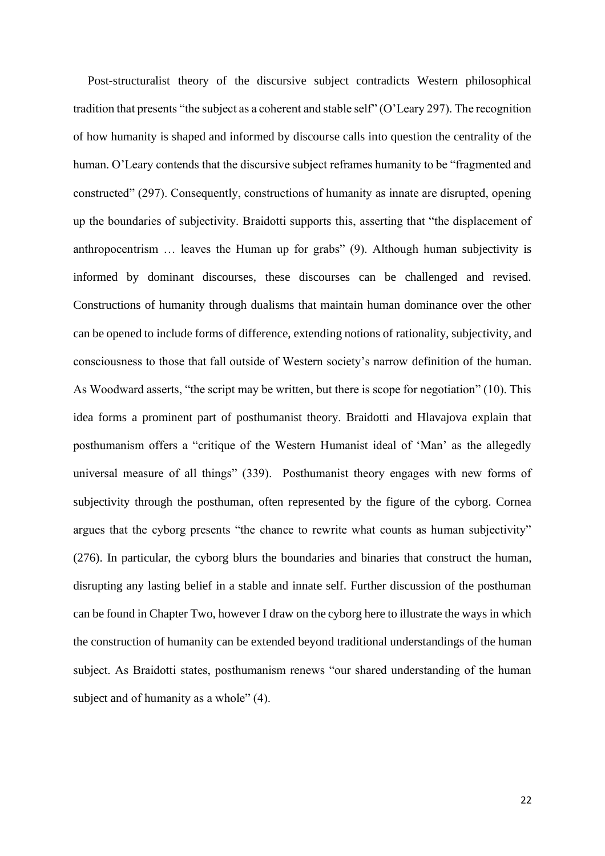Post-structuralist theory of the discursive subject contradicts Western philosophical tradition that presents "the subject as a coherent and stable self" (O'Leary 297). The recognition of how humanity is shaped and informed by discourse calls into question the centrality of the human. O'Leary contends that the discursive subject reframes humanity to be "fragmented and constructed" (297). Consequently, constructions of humanity as innate are disrupted, opening up the boundaries of subjectivity. Braidotti supports this, asserting that "the displacement of anthropocentrism … leaves the Human up for grabs" (9). Although human subjectivity is informed by dominant discourses, these discourses can be challenged and revised. Constructions of humanity through dualisms that maintain human dominance over the other can be opened to include forms of difference, extending notions of rationality, subjectivity, and consciousness to those that fall outside of Western society's narrow definition of the human. As Woodward asserts, "the script may be written, but there is scope for negotiation" (10). This idea forms a prominent part of posthumanist theory. Braidotti and Hlavajova explain that posthumanism offers a "critique of the Western Humanist ideal of 'Man' as the allegedly universal measure of all things" (339). Posthumanist theory engages with new forms of subjectivity through the posthuman, often represented by the figure of the cyborg. Cornea argues that the cyborg presents "the chance to rewrite what counts as human subjectivity" (276). In particular, the cyborg blurs the boundaries and binaries that construct the human, disrupting any lasting belief in a stable and innate self. Further discussion of the posthuman can be found in Chapter Two, however I draw on the cyborg here to illustrate the ways in which the construction of humanity can be extended beyond traditional understandings of the human subject. As Braidotti states, posthumanism renews "our shared understanding of the human subject and of humanity as a whole" (4).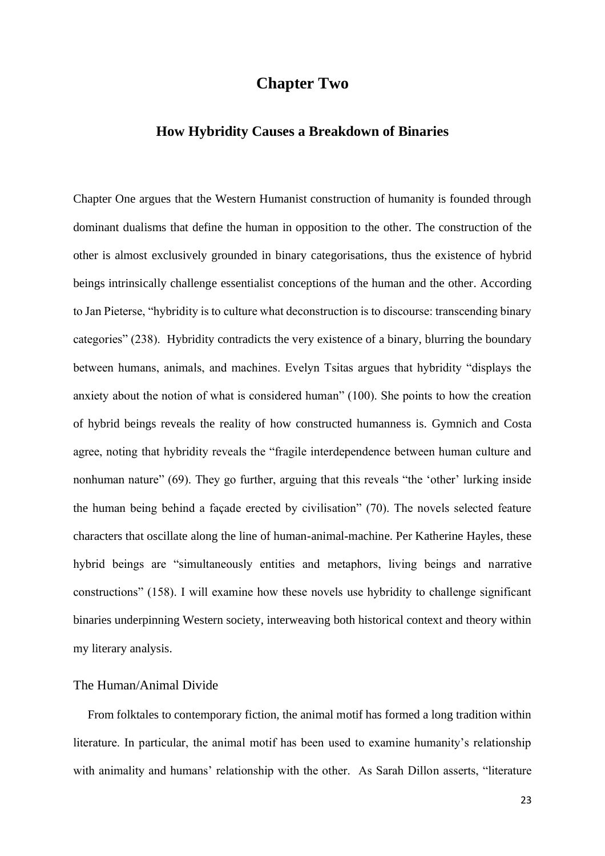## **Chapter Two**

### <span id="page-22-0"></span>**How Hybridity Causes a Breakdown of Binaries**

<span id="page-22-1"></span>Chapter One argues that the Western Humanist construction of humanity is founded through dominant dualisms that define the human in opposition to the other. The construction of the other is almost exclusively grounded in binary categorisations, thus the existence of hybrid beings intrinsically challenge essentialist conceptions of the human and the other. According to Jan Pieterse, "hybridity is to culture what deconstruction is to discourse: transcending binary categories" (238). Hybridity contradicts the very existence of a binary, blurring the boundary between humans, animals, and machines. Evelyn Tsitas argues that hybridity "displays the anxiety about the notion of what is considered human" (100). She points to how the creation of hybrid beings reveals the reality of how constructed humanness is. Gymnich and Costa agree, noting that hybridity reveals the "fragile interdependence between human culture and nonhuman nature" (69). They go further, arguing that this reveals "the 'other' lurking inside the human being behind a façade erected by civilisation" (70). The novels selected feature characters that oscillate along the line of human-animal-machine. Per Katherine Hayles, these hybrid beings are "simultaneously entities and metaphors, living beings and narrative constructions" (158). I will examine how these novels use hybridity to challenge significant binaries underpinning Western society, interweaving both historical context and theory within my literary analysis.

#### <span id="page-22-2"></span>The Human/Animal Divide

From folktales to contemporary fiction, the animal motif has formed a long tradition within literature. In particular, the animal motif has been used to examine humanity's relationship with animality and humans' relationship with the other. As Sarah Dillon asserts, "literature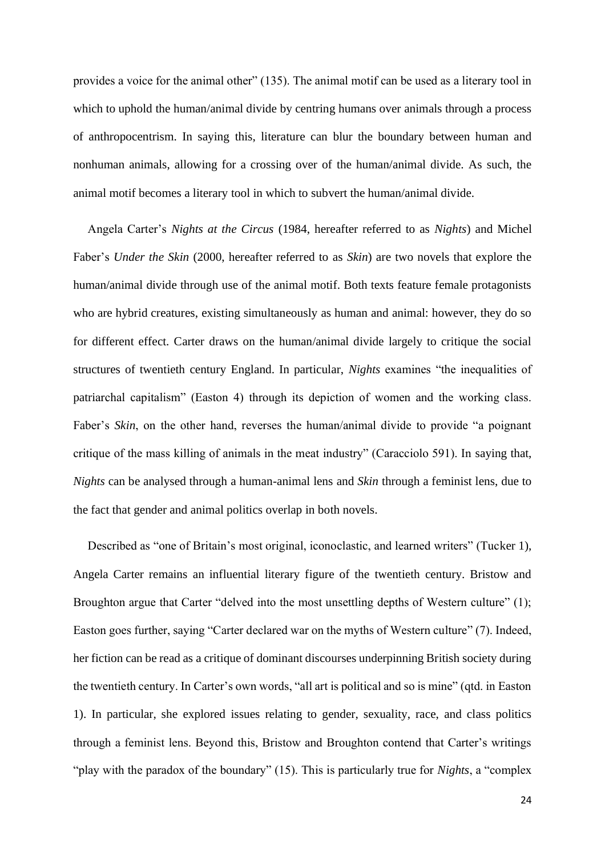provides a voice for the animal other" (135). The animal motif can be used as a literary tool in which to uphold the human/animal divide by centring humans over animals through a process of anthropocentrism. In saying this, literature can blur the boundary between human and nonhuman animals, allowing for a crossing over of the human/animal divide. As such, the animal motif becomes a literary tool in which to subvert the human/animal divide.

Angela Carter's *Nights at the Circus* (1984, hereafter referred to as *Nights*) and Michel Faber's *Under the Skin* (2000, hereafter referred to as *Skin*) are two novels that explore the human/animal divide through use of the animal motif. Both texts feature female protagonists who are hybrid creatures, existing simultaneously as human and animal: however, they do so for different effect. Carter draws on the human/animal divide largely to critique the social structures of twentieth century England. In particular, *Nights* examines "the inequalities of patriarchal capitalism" (Easton 4) through its depiction of women and the working class. Faber's *Skin*, on the other hand, reverses the human/animal divide to provide "a poignant critique of the mass killing of animals in the meat industry" (Caracciolo 591). In saying that, *Nights* can be analysed through a human-animal lens and *Skin* through a feminist lens, due to the fact that gender and animal politics overlap in both novels.

Described as "one of Britain's most original, iconoclastic, and learned writers" (Tucker 1), Angela Carter remains an influential literary figure of the twentieth century. Bristow and Broughton argue that Carter "delved into the most unsettling depths of Western culture" (1); Easton goes further, saying "Carter declared war on the myths of Western culture" (7). Indeed, her fiction can be read as a critique of dominant discourses underpinning British society during the twentieth century. In Carter's own words, "all art is political and so is mine" (qtd. in Easton 1). In particular, she explored issues relating to gender, sexuality, race, and class politics through a feminist lens. Beyond this, Bristow and Broughton contend that Carter's writings "play with the paradox of the boundary" (15). This is particularly true for *Nights*, a "complex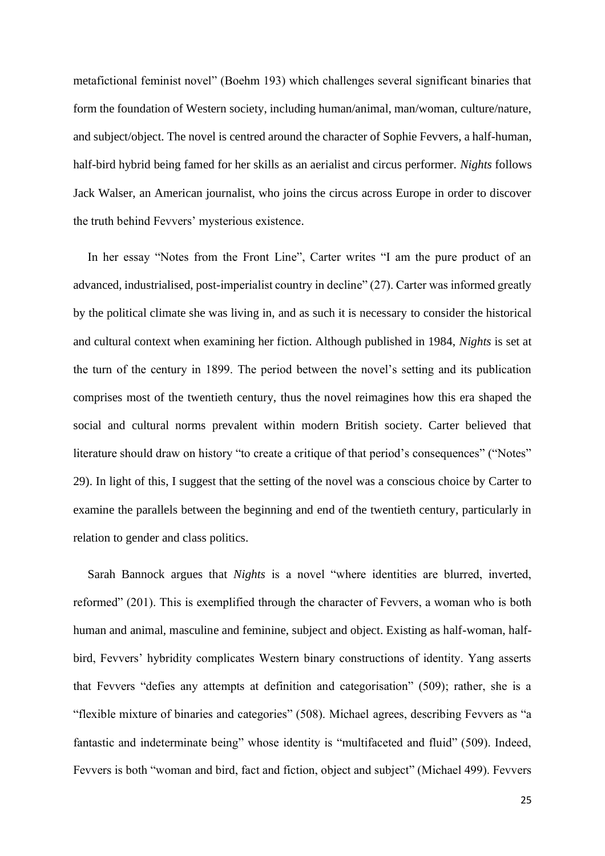metafictional feminist novel" (Boehm 193) which challenges several significant binaries that form the foundation of Western society, including human/animal, man/woman, culture/nature, and subject/object. The novel is centred around the character of Sophie Fevvers, a half-human, half-bird hybrid being famed for her skills as an aerialist and circus performer. *Nights* follows Jack Walser, an American journalist, who joins the circus across Europe in order to discover the truth behind Fevvers' mysterious existence.

In her essay "Notes from the Front Line", Carter writes "I am the pure product of an advanced, industrialised, post-imperialist country in decline" (27). Carter was informed greatly by the political climate she was living in, and as such it is necessary to consider the historical and cultural context when examining her fiction. Although published in 1984, *Nights* is set at the turn of the century in 1899. The period between the novel's setting and its publication comprises most of the twentieth century, thus the novel reimagines how this era shaped the social and cultural norms prevalent within modern British society. Carter believed that literature should draw on history "to create a critique of that period's consequences" ("Notes" 29). In light of this, I suggest that the setting of the novel was a conscious choice by Carter to examine the parallels between the beginning and end of the twentieth century, particularly in relation to gender and class politics.

Sarah Bannock argues that *Nights* is a novel "where identities are blurred, inverted, reformed" (201). This is exemplified through the character of Fevvers, a woman who is both human and animal, masculine and feminine, subject and object. Existing as half-woman, halfbird, Fevvers' hybridity complicates Western binary constructions of identity. Yang asserts that Fevvers "defies any attempts at definition and categorisation" (509); rather, she is a "flexible mixture of binaries and categories" (508). Michael agrees, describing Fevvers as "a fantastic and indeterminate being" whose identity is "multifaceted and fluid" (509). Indeed, Fevvers is both "woman and bird, fact and fiction, object and subject" (Michael 499). Fevvers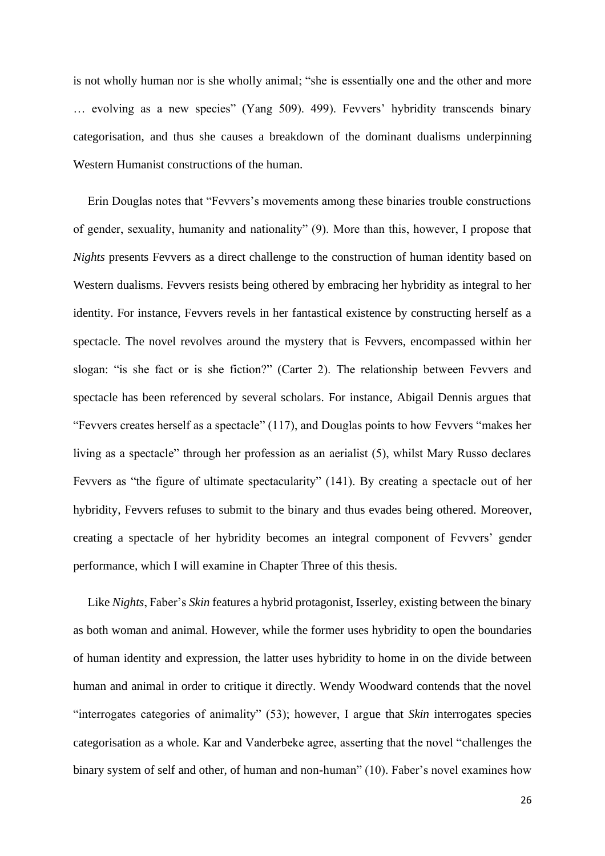is not wholly human nor is she wholly animal; "she is essentially one and the other and more … evolving as a new species" (Yang 509). 499). Fevvers' hybridity transcends binary categorisation, and thus she causes a breakdown of the dominant dualisms underpinning Western Humanist constructions of the human.

Erin Douglas notes that "Fevvers's movements among these binaries trouble constructions of gender, sexuality, humanity and nationality" (9). More than this, however, I propose that *Nights* presents Fevvers as a direct challenge to the construction of human identity based on Western dualisms. Fevvers resists being othered by embracing her hybridity as integral to her identity. For instance, Fevvers revels in her fantastical existence by constructing herself as a spectacle. The novel revolves around the mystery that is Fevvers, encompassed within her slogan: "is she fact or is she fiction?" (Carter 2). The relationship between Fevvers and spectacle has been referenced by several scholars. For instance, Abigail Dennis argues that "Fevvers creates herself as a spectacle" (117), and Douglas points to how Fevvers "makes her living as a spectacle" through her profession as an aerialist (5), whilst Mary Russo declares Fevvers as "the figure of ultimate spectacularity" (141). By creating a spectacle out of her hybridity, Fevvers refuses to submit to the binary and thus evades being othered. Moreover, creating a spectacle of her hybridity becomes an integral component of Fevvers' gender performance, which I will examine in Chapter Three of this thesis.

Like *Nights*, Faber's *Skin* features a hybrid protagonist, Isserley, existing between the binary as both woman and animal. However, while the former uses hybridity to open the boundaries of human identity and expression, the latter uses hybridity to home in on the divide between human and animal in order to critique it directly. Wendy Woodward contends that the novel "interrogates categories of animality" (53); however, I argue that *Skin* interrogates species categorisation as a whole. Kar and Vanderbeke agree, asserting that the novel "challenges the binary system of self and other, of human and non-human" (10). Faber's novel examines how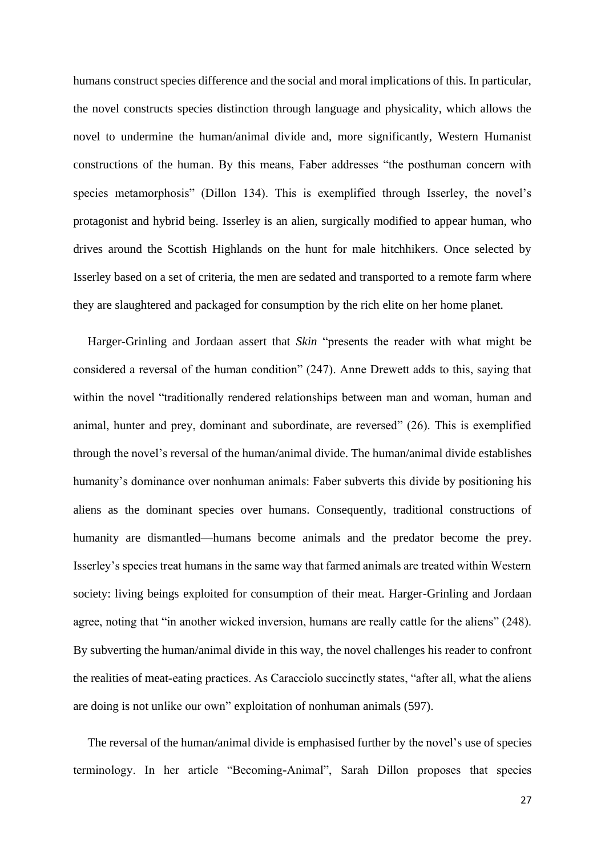humans construct species difference and the social and moral implications of this. In particular, the novel constructs species distinction through language and physicality, which allows the novel to undermine the human/animal divide and, more significantly, Western Humanist constructions of the human. By this means, Faber addresses "the posthuman concern with species metamorphosis" (Dillon 134). This is exemplified through Isserley, the novel's protagonist and hybrid being. Isserley is an alien, surgically modified to appear human, who drives around the Scottish Highlands on the hunt for male hitchhikers. Once selected by Isserley based on a set of criteria, the men are sedated and transported to a remote farm where they are slaughtered and packaged for consumption by the rich elite on her home planet.

Harger-Grinling and Jordaan assert that *Skin* "presents the reader with what might be considered a reversal of the human condition" (247). Anne Drewett adds to this, saying that within the novel "traditionally rendered relationships between man and woman, human and animal, hunter and prey, dominant and subordinate, are reversed" (26). This is exemplified through the novel's reversal of the human/animal divide. The human/animal divide establishes humanity's dominance over nonhuman animals: Faber subverts this divide by positioning his aliens as the dominant species over humans. Consequently, traditional constructions of humanity are dismantled––humans become animals and the predator become the prey. Isserley's species treat humans in the same way that farmed animals are treated within Western society: living beings exploited for consumption of their meat. Harger-Grinling and Jordaan agree, noting that "in another wicked inversion, humans are really cattle for the aliens" (248). By subverting the human/animal divide in this way, the novel challenges his reader to confront the realities of meat-eating practices. As Caracciolo succinctly states, "after all, what the aliens are doing is not unlike our own" exploitation of nonhuman animals (597).

The reversal of the human/animal divide is emphasised further by the novel's use of species terminology. In her article "Becoming-Animal", Sarah Dillon proposes that species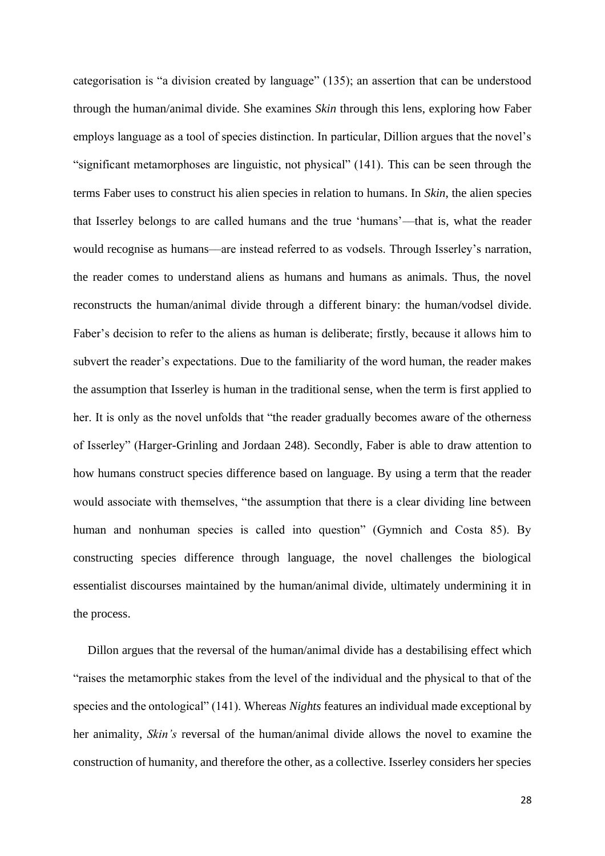categorisation is "a division created by language" (135); an assertion that can be understood through the human/animal divide. She examines *Skin* through this lens, exploring how Faber employs language as a tool of species distinction. In particular, Dillion argues that the novel's "significant metamorphoses are linguistic, not physical" (141). This can be seen through the terms Faber uses to construct his alien species in relation to humans. In *Skin*, the alien species that Isserley belongs to are called humans and the true 'humans'––that is, what the reader would recognise as humans––are instead referred to as vodsels. Through Isserley's narration, the reader comes to understand aliens as humans and humans as animals. Thus, the novel reconstructs the human/animal divide through a different binary: the human/vodsel divide. Faber's decision to refer to the aliens as human is deliberate; firstly, because it allows him to subvert the reader's expectations. Due to the familiarity of the word human, the reader makes the assumption that Isserley is human in the traditional sense, when the term is first applied to her. It is only as the novel unfolds that "the reader gradually becomes aware of the otherness of Isserley" (Harger-Grinling and Jordaan 248). Secondly, Faber is able to draw attention to how humans construct species difference based on language. By using a term that the reader would associate with themselves, "the assumption that there is a clear dividing line between human and nonhuman species is called into question" (Gymnich and Costa 85). By constructing species difference through language, the novel challenges the biological essentialist discourses maintained by the human/animal divide, ultimately undermining it in the process.

Dillon argues that the reversal of the human/animal divide has a destabilising effect which "raises the metamorphic stakes from the level of the individual and the physical to that of the species and the ontological" (141). Whereas *Nights* features an individual made exceptional by her animality, *Skin's* reversal of the human/animal divide allows the novel to examine the construction of humanity, and therefore the other, as a collective. Isserley considers her species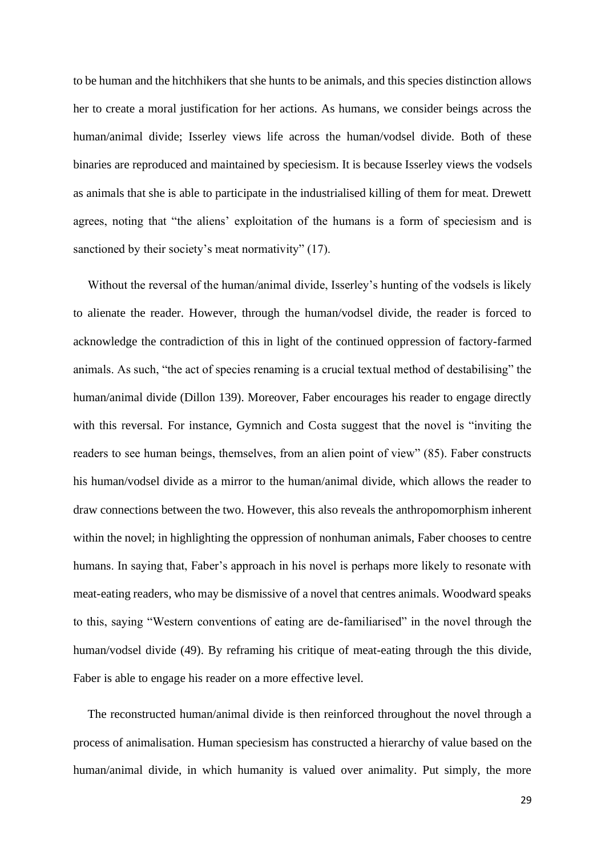to be human and the hitchhikers that she hunts to be animals, and this species distinction allows her to create a moral justification for her actions. As humans, we consider beings across the human/animal divide; Isserley views life across the human/vodsel divide. Both of these binaries are reproduced and maintained by speciesism. It is because Isserley views the vodsels as animals that she is able to participate in the industrialised killing of them for meat. Drewett agrees, noting that "the aliens' exploitation of the humans is a form of speciesism and is sanctioned by their society's meat normativity" (17).

Without the reversal of the human/animal divide, Isserley's hunting of the vodsels is likely to alienate the reader. However, through the human/vodsel divide, the reader is forced to acknowledge the contradiction of this in light of the continued oppression of factory-farmed animals. As such, "the act of species renaming is a crucial textual method of destabilising" the human/animal divide (Dillon 139). Moreover, Faber encourages his reader to engage directly with this reversal. For instance, Gymnich and Costa suggest that the novel is "inviting the readers to see human beings, themselves, from an alien point of view" (85). Faber constructs his human/vodsel divide as a mirror to the human/animal divide, which allows the reader to draw connections between the two. However, this also reveals the anthropomorphism inherent within the novel; in highlighting the oppression of nonhuman animals, Faber chooses to centre humans. In saying that, Faber's approach in his novel is perhaps more likely to resonate with meat-eating readers, who may be dismissive of a novel that centres animals. Woodward speaks to this, saying "Western conventions of eating are de-familiarised" in the novel through the human/vodsel divide (49). By reframing his critique of meat-eating through the this divide, Faber is able to engage his reader on a more effective level.

The reconstructed human/animal divide is then reinforced throughout the novel through a process of animalisation. Human speciesism has constructed a hierarchy of value based on the human/animal divide, in which humanity is valued over animality. Put simply, the more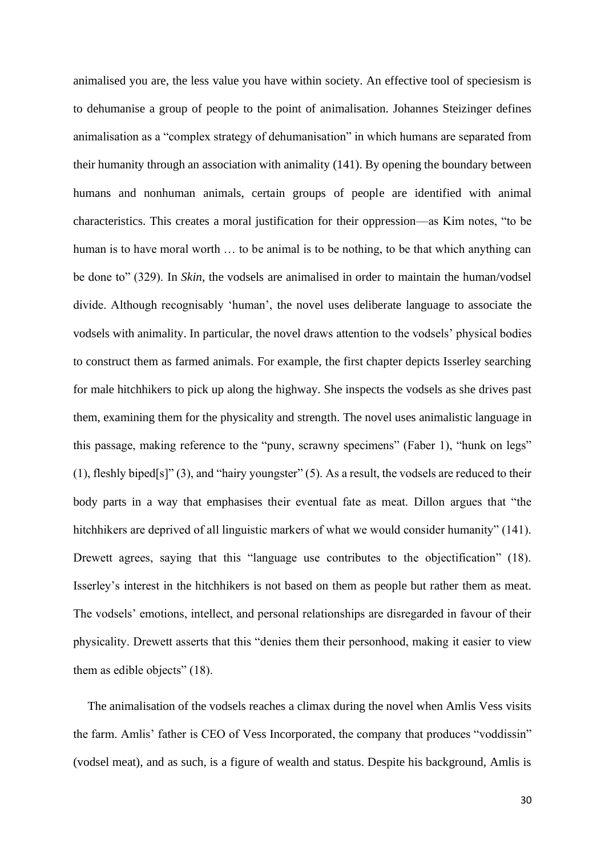animalised you are, the less value you have within society. An effective tool of speciesism is to dehumanise a group of people to the point of animalisation. Johannes Steizinger defines animalisation as a "complex strategy of dehumanisation" in which humans are separated from their humanity through an association with animality (141). By opening the boundary between humans and nonhuman animals, certain groups of people are identified with animal characteristics. This creates a moral justification for their oppression––as Kim notes, "to be human is to have moral worth … to be animal is to be nothing, to be that which anything can be done to" (329). In *Skin*, the vodsels are animalised in order to maintain the human/vodsel divide. Although recognisably 'human', the novel uses deliberate language to associate the vodsels with animality. In particular, the novel draws attention to the vodsels' physical bodies to construct them as farmed animals. For example, the first chapter depicts Isserley searching for male hitchhikers to pick up along the highway. She inspects the vodsels as she drives past them, examining them for the physicality and strength. The novel uses animalistic language in this passage, making reference to the "puny, scrawny specimens" (Faber 1), "hunk on legs" (1), fleshly biped[s]" (3), and "hairy youngster" (5). As a result, the vodsels are reduced to their body parts in a way that emphasises their eventual fate as meat. Dillon argues that "the hitchhikers are deprived of all linguistic markers of what we would consider humanity" (141). Drewett agrees, saying that this "language use contributes to the objectification" (18). Isserley's interest in the hitchhikers is not based on them as people but rather them as meat. The vodsels' emotions, intellect, and personal relationships are disregarded in favour of their physicality. Drewett asserts that this "denies them their personhood, making it easier to view them as edible objects" (18).

The animalisation of the vodsels reaches a climax during the novel when Amlis Vess visits the farm. Amlis' father is CEO of Vess Incorporated, the company that produces "voddissin" (vodsel meat), and as such, is a figure of wealth and status. Despite his background, Amlis is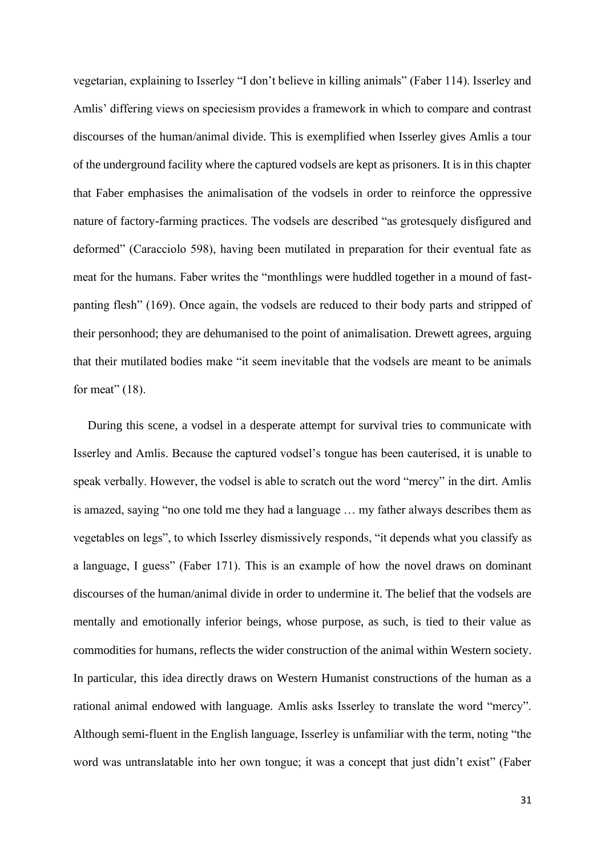vegetarian, explaining to Isserley "I don't believe in killing animals" (Faber 114). Isserley and Amlis' differing views on speciesism provides a framework in which to compare and contrast discourses of the human/animal divide. This is exemplified when Isserley gives Amlis a tour of the underground facility where the captured vodsels are kept as prisoners. It is in this chapter that Faber emphasises the animalisation of the vodsels in order to reinforce the oppressive nature of factory-farming practices. The vodsels are described "as grotesquely disfigured and deformed" (Caracciolo 598), having been mutilated in preparation for their eventual fate as meat for the humans. Faber writes the "monthlings were huddled together in a mound of fastpanting flesh" (169). Once again, the vodsels are reduced to their body parts and stripped of their personhood; they are dehumanised to the point of animalisation. Drewett agrees, arguing that their mutilated bodies make "it seem inevitable that the vodsels are meant to be animals for meat"  $(18)$ .

During this scene, a vodsel in a desperate attempt for survival tries to communicate with Isserley and Amlis. Because the captured vodsel's tongue has been cauterised, it is unable to speak verbally. However, the vodsel is able to scratch out the word "mercy" in the dirt. Amlis is amazed, saying "no one told me they had a language … my father always describes them as vegetables on legs", to which Isserley dismissively responds, "it depends what you classify as a language, I guess" (Faber 171). This is an example of how the novel draws on dominant discourses of the human/animal divide in order to undermine it. The belief that the vodsels are mentally and emotionally inferior beings, whose purpose, as such, is tied to their value as commodities for humans, reflects the wider construction of the animal within Western society. In particular, this idea directly draws on Western Humanist constructions of the human as a rational animal endowed with language. Amlis asks Isserley to translate the word "mercy". Although semi-fluent in the English language, Isserley is unfamiliar with the term, noting "the word was untranslatable into her own tongue; it was a concept that just didn't exist" (Faber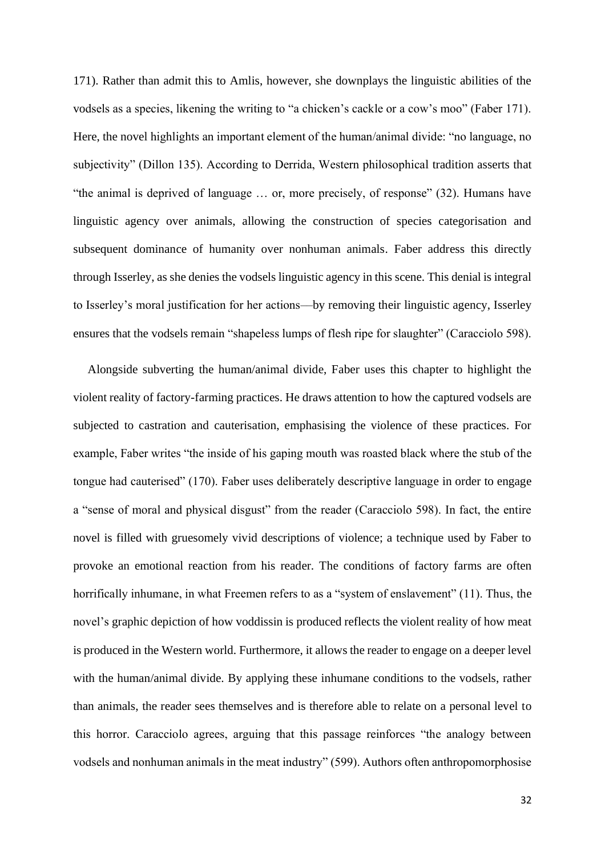171). Rather than admit this to Amlis, however, she downplays the linguistic abilities of the vodsels as a species, likening the writing to "a chicken's cackle or a cow's moo" (Faber 171). Here, the novel highlights an important element of the human/animal divide: "no language, no subjectivity" (Dillon 135). According to Derrida, Western philosophical tradition asserts that "the animal is deprived of language … or, more precisely, of response" (32). Humans have linguistic agency over animals, allowing the construction of species categorisation and subsequent dominance of humanity over nonhuman animals. Faber address this directly through Isserley, as she denies the vodsels linguistic agency in this scene. This denial is integral to Isserley's moral justification for her actions––by removing their linguistic agency, Isserley ensures that the vodsels remain "shapeless lumps of flesh ripe for slaughter" (Caracciolo 598).

Alongside subverting the human/animal divide, Faber uses this chapter to highlight the violent reality of factory-farming practices. He draws attention to how the captured vodsels are subjected to castration and cauterisation, emphasising the violence of these practices. For example, Faber writes "the inside of his gaping mouth was roasted black where the stub of the tongue had cauterised" (170). Faber uses deliberately descriptive language in order to engage a "sense of moral and physical disgust" from the reader (Caracciolo 598). In fact, the entire novel is filled with gruesomely vivid descriptions of violence; a technique used by Faber to provoke an emotional reaction from his reader. The conditions of factory farms are often horrifically inhumane, in what Freemen refers to as a "system of enslavement" (11). Thus, the novel's graphic depiction of how voddissin is produced reflects the violent reality of how meat is produced in the Western world. Furthermore, it allows the reader to engage on a deeper level with the human/animal divide. By applying these inhumane conditions to the vodsels, rather than animals, the reader sees themselves and is therefore able to relate on a personal level to this horror. Caracciolo agrees, arguing that this passage reinforces "the analogy between vodsels and nonhuman animals in the meat industry" (599). Authors often anthropomorphosise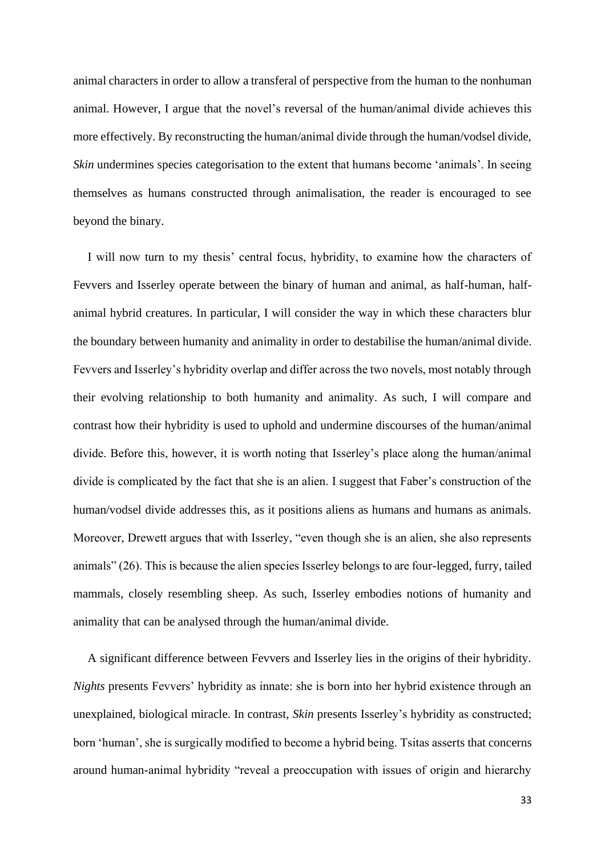animal characters in order to allow a transferal of perspective from the human to the nonhuman animal. However, I argue that the novel's reversal of the human/animal divide achieves this more effectively. By reconstructing the human/animal divide through the human/vodsel divide, *Skin* undermines species categorisation to the extent that humans become 'animals'. In seeing themselves as humans constructed through animalisation, the reader is encouraged to see beyond the binary.

I will now turn to my thesis' central focus, hybridity, to examine how the characters of Fevvers and Isserley operate between the binary of human and animal, as half-human, halfanimal hybrid creatures. In particular, I will consider the way in which these characters blur the boundary between humanity and animality in order to destabilise the human/animal divide. Fevvers and Isserley's hybridity overlap and differ across the two novels, most notably through their evolving relationship to both humanity and animality. As such, I will compare and contrast how their hybridity is used to uphold and undermine discourses of the human/animal divide. Before this, however, it is worth noting that Isserley's place along the human/animal divide is complicated by the fact that she is an alien. I suggest that Faber's construction of the human/vodsel divide addresses this, as it positions aliens as humans and humans as animals. Moreover, Drewett argues that with Isserley, "even though she is an alien, she also represents animals" (26). This is because the alien species Isserley belongs to are four-legged, furry, tailed mammals, closely resembling sheep. As such, Isserley embodies notions of humanity and animality that can be analysed through the human/animal divide.

A significant difference between Fevvers and Isserley lies in the origins of their hybridity. *Nights* presents Fevvers' hybridity as innate: she is born into her hybrid existence through an unexplained, biological miracle. In contrast, *Skin* presents Isserley's hybridity as constructed; born 'human', she is surgically modified to become a hybrid being. Tsitas asserts that concerns around human-animal hybridity "reveal a preoccupation with issues of origin and hierarchy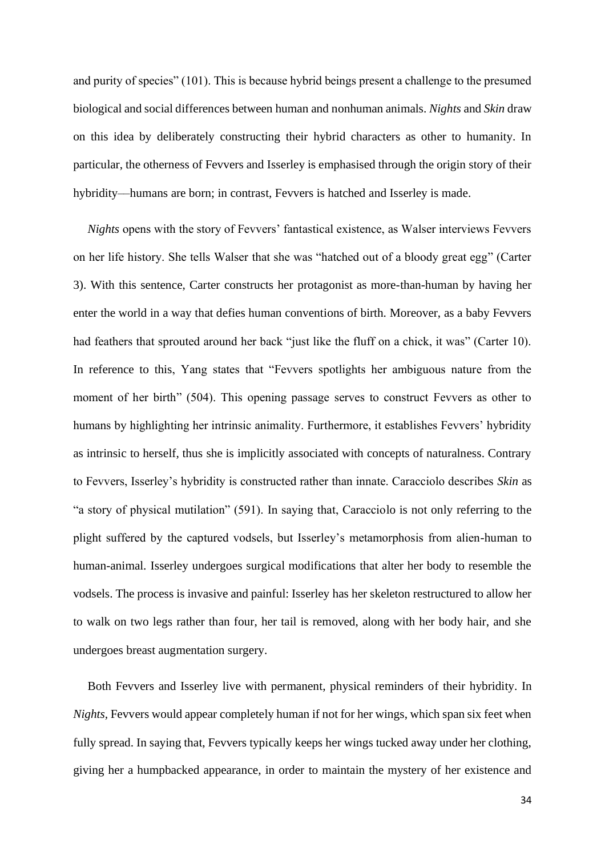and purity of species" (101). This is because hybrid beings present a challenge to the presumed biological and social differences between human and nonhuman animals. *Nights* and *Skin* draw on this idea by deliberately constructing their hybrid characters as other to humanity. In particular, the otherness of Fevvers and Isserley is emphasised through the origin story of their hybridity––humans are born; in contrast, Fevvers is hatched and Isserley is made.

*Nights* opens with the story of Fevvers' fantastical existence, as Walser interviews Fevvers on her life history. She tells Walser that she was "hatched out of a bloody great egg" (Carter 3). With this sentence, Carter constructs her protagonist as more-than-human by having her enter the world in a way that defies human conventions of birth. Moreover, as a baby Fevvers had feathers that sprouted around her back "just like the fluff on a chick, it was" (Carter 10). In reference to this, Yang states that "Fevvers spotlights her ambiguous nature from the moment of her birth" (504). This opening passage serves to construct Fevvers as other to humans by highlighting her intrinsic animality. Furthermore, it establishes Fevvers' hybridity as intrinsic to herself, thus she is implicitly associated with concepts of naturalness. Contrary to Fevvers, Isserley's hybridity is constructed rather than innate. Caracciolo describes *Skin* as "a story of physical mutilation" (591). In saying that, Caracciolo is not only referring to the plight suffered by the captured vodsels, but Isserley's metamorphosis from alien-human to human-animal. Isserley undergoes surgical modifications that alter her body to resemble the vodsels. The process is invasive and painful: Isserley has her skeleton restructured to allow her to walk on two legs rather than four, her tail is removed, along with her body hair, and she undergoes breast augmentation surgery.

Both Fevvers and Isserley live with permanent, physical reminders of their hybridity. In *Nights*, Fevvers would appear completely human if not for her wings, which span six feet when fully spread. In saying that, Fevvers typically keeps her wings tucked away under her clothing, giving her a humpbacked appearance, in order to maintain the mystery of her existence and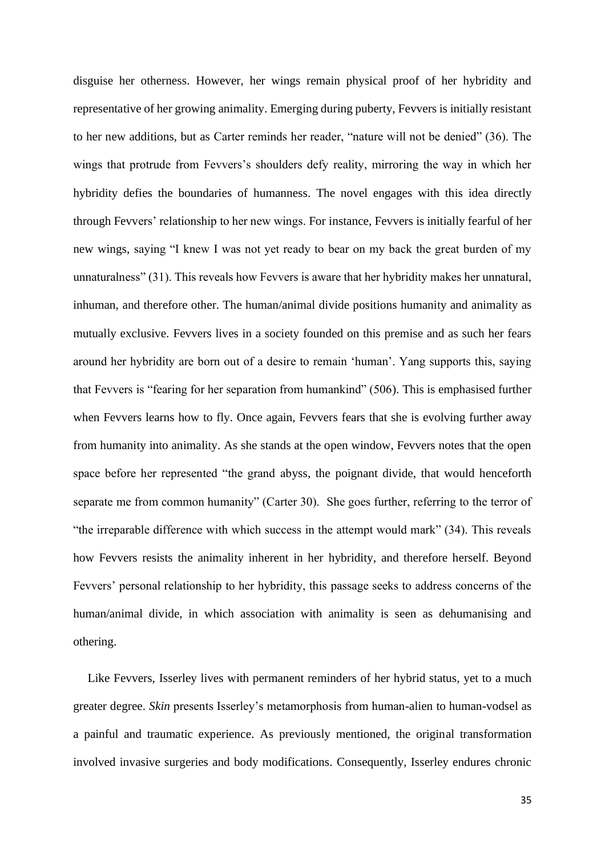disguise her otherness. However, her wings remain physical proof of her hybridity and representative of her growing animality. Emerging during puberty, Fevvers is initially resistant to her new additions, but as Carter reminds her reader, "nature will not be denied" (36). The wings that protrude from Fevvers's shoulders defy reality, mirroring the way in which her hybridity defies the boundaries of humanness. The novel engages with this idea directly through Fevvers' relationship to her new wings. For instance, Fevvers is initially fearful of her new wings, saying "I knew I was not yet ready to bear on my back the great burden of my unnaturalness" (31). This reveals how Fevvers is aware that her hybridity makes her unnatural, inhuman, and therefore other. The human/animal divide positions humanity and animality as mutually exclusive. Fevvers lives in a society founded on this premise and as such her fears around her hybridity are born out of a desire to remain 'human'. Yang supports this, saying that Fevvers is "fearing for her separation from humankind" (506). This is emphasised further when Fevvers learns how to fly. Once again, Fevvers fears that she is evolving further away from humanity into animality. As she stands at the open window, Fevvers notes that the open space before her represented "the grand abyss, the poignant divide, that would henceforth separate me from common humanity" (Carter 30). She goes further, referring to the terror of "the irreparable difference with which success in the attempt would mark" (34). This reveals how Fevvers resists the animality inherent in her hybridity, and therefore herself. Beyond Fevvers' personal relationship to her hybridity, this passage seeks to address concerns of the human/animal divide, in which association with animality is seen as dehumanising and othering.

Like Fevvers, Isserley lives with permanent reminders of her hybrid status, yet to a much greater degree. *Skin* presents Isserley's metamorphosis from human-alien to human-vodsel as a painful and traumatic experience. As previously mentioned, the original transformation involved invasive surgeries and body modifications. Consequently, Isserley endures chronic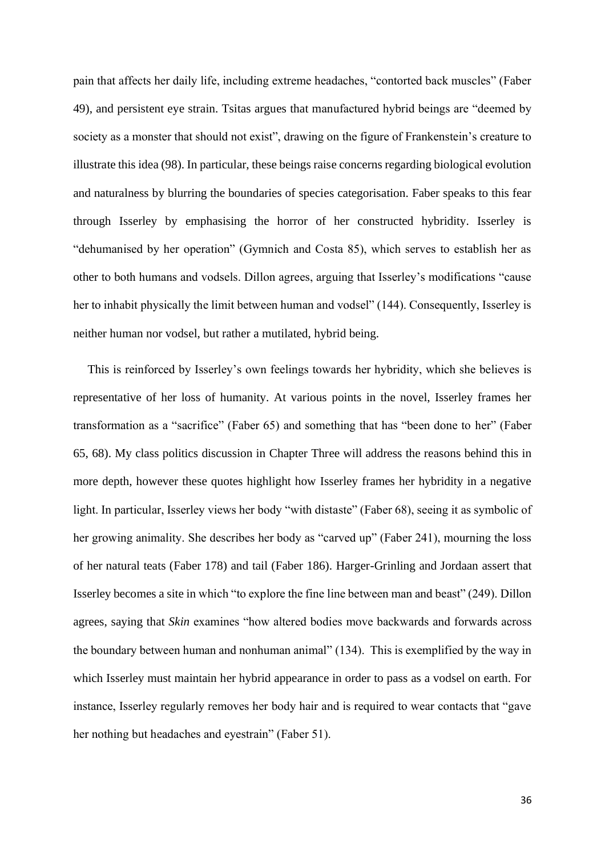pain that affects her daily life, including extreme headaches, "contorted back muscles" (Faber 49), and persistent eye strain. Tsitas argues that manufactured hybrid beings are "deemed by society as a monster that should not exist", drawing on the figure of Frankenstein's creature to illustrate this idea (98). In particular, these beings raise concerns regarding biological evolution and naturalness by blurring the boundaries of species categorisation. Faber speaks to this fear through Isserley by emphasising the horror of her constructed hybridity. Isserley is "dehumanised by her operation" (Gymnich and Costa 85), which serves to establish her as other to both humans and vodsels. Dillon agrees, arguing that Isserley's modifications "cause her to inhabit physically the limit between human and vodsel" (144). Consequently, Isserley is neither human nor vodsel, but rather a mutilated, hybrid being.

This is reinforced by Isserley's own feelings towards her hybridity, which she believes is representative of her loss of humanity. At various points in the novel, Isserley frames her transformation as a "sacrifice" (Faber 65) and something that has "been done to her" (Faber 65, 68). My class politics discussion in Chapter Three will address the reasons behind this in more depth, however these quotes highlight how Isserley frames her hybridity in a negative light. In particular, Isserley views her body "with distaste" (Faber 68), seeing it as symbolic of her growing animality. She describes her body as "carved up" (Faber 241), mourning the loss of her natural teats (Faber 178) and tail (Faber 186). Harger-Grinling and Jordaan assert that Isserley becomes a site in which "to explore the fine line between man and beast" (249). Dillon agrees, saying that *Skin* examines "how altered bodies move backwards and forwards across the boundary between human and nonhuman animal" (134). This is exemplified by the way in which Isserley must maintain her hybrid appearance in order to pass as a vodsel on earth. For instance, Isserley regularly removes her body hair and is required to wear contacts that "gave her nothing but headaches and eyestrain" (Faber 51).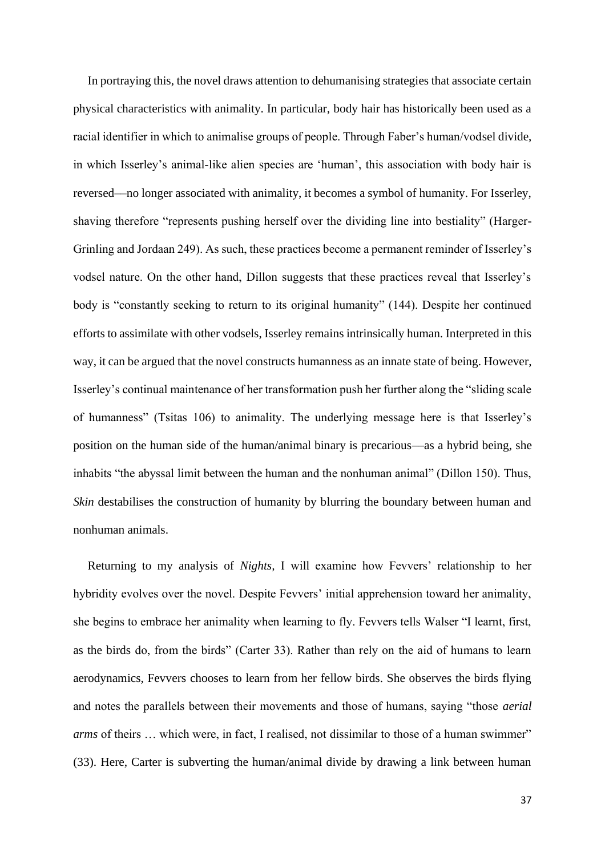In portraying this, the novel draws attention to dehumanising strategies that associate certain physical characteristics with animality. In particular, body hair has historically been used as a racial identifier in which to animalise groups of people. Through Faber's human/vodsel divide, in which Isserley's animal-like alien species are 'human', this association with body hair is reversed––no longer associated with animality, it becomes a symbol of humanity. For Isserley, shaving therefore "represents pushing herself over the dividing line into bestiality" (Harger-Grinling and Jordaan 249). As such, these practices become a permanent reminder of Isserley's vodsel nature. On the other hand, Dillon suggests that these practices reveal that Isserley's body is "constantly seeking to return to its original humanity" (144). Despite her continued efforts to assimilate with other vodsels, Isserley remains intrinsically human. Interpreted in this way, it can be argued that the novel constructs humanness as an innate state of being. However, Isserley's continual maintenance of her transformation push her further along the "sliding scale of humanness" (Tsitas 106) to animality. The underlying message here is that Isserley's position on the human side of the human/animal binary is precarious––as a hybrid being, she inhabits "the abyssal limit between the human and the nonhuman animal" (Dillon 150). Thus, *Skin* destabilises the construction of humanity by blurring the boundary between human and nonhuman animals.

Returning to my analysis of *Nights,* I will examine how Fevvers' relationship to her hybridity evolves over the novel. Despite Fevvers' initial apprehension toward her animality, she begins to embrace her animality when learning to fly. Fevvers tells Walser "I learnt, first, as the birds do, from the birds" (Carter 33). Rather than rely on the aid of humans to learn aerodynamics, Fevvers chooses to learn from her fellow birds. She observes the birds flying and notes the parallels between their movements and those of humans, saying "those *aerial arms* of theirs … which were, in fact, I realised, not dissimilar to those of a human swimmer" (33). Here, Carter is subverting the human/animal divide by drawing a link between human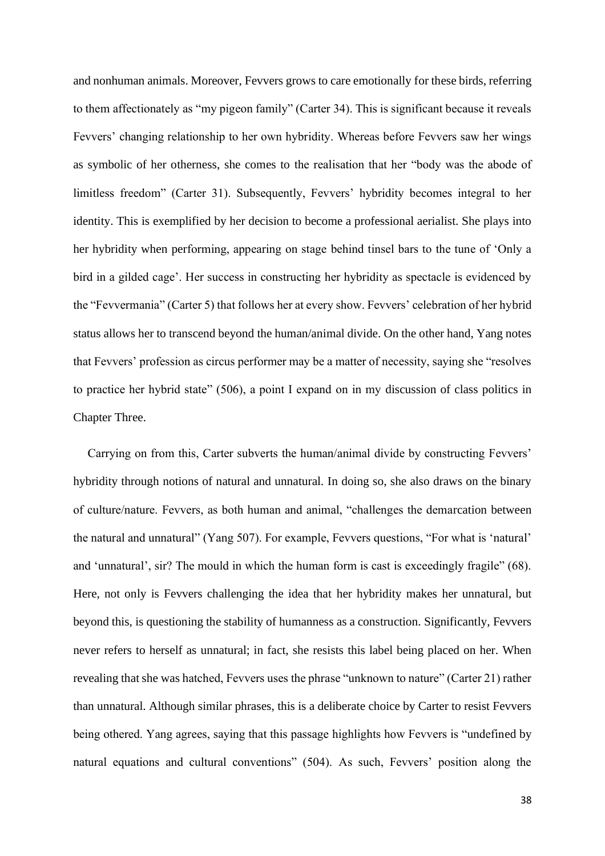and nonhuman animals. Moreover, Fevvers grows to care emotionally for these birds, referring to them affectionately as "my pigeon family" (Carter 34). This is significant because it reveals Fevvers' changing relationship to her own hybridity. Whereas before Fevvers saw her wings as symbolic of her otherness, she comes to the realisation that her "body was the abode of limitless freedom" (Carter 31). Subsequently, Fevvers' hybridity becomes integral to her identity. This is exemplified by her decision to become a professional aerialist. She plays into her hybridity when performing, appearing on stage behind tinsel bars to the tune of 'Only a bird in a gilded cage'. Her success in constructing her hybridity as spectacle is evidenced by the "Fevvermania" (Carter 5) that follows her at every show. Fevvers' celebration of her hybrid status allows her to transcend beyond the human/animal divide. On the other hand, Yang notes that Fevvers' profession as circus performer may be a matter of necessity, saying she "resolves to practice her hybrid state" (506), a point I expand on in my discussion of class politics in Chapter Three.

Carrying on from this, Carter subverts the human/animal divide by constructing Fevvers' hybridity through notions of natural and unnatural. In doing so, she also draws on the binary of culture/nature. Fevvers, as both human and animal, "challenges the demarcation between the natural and unnatural" (Yang 507). For example, Fevvers questions, "For what is 'natural' and 'unnatural', sir? The mould in which the human form is cast is exceedingly fragile" (68). Here, not only is Fevvers challenging the idea that her hybridity makes her unnatural, but beyond this, is questioning the stability of humanness as a construction. Significantly, Fevvers never refers to herself as unnatural; in fact, she resists this label being placed on her. When revealing that she was hatched, Fevvers uses the phrase "unknown to nature" (Carter 21) rather than unnatural. Although similar phrases, this is a deliberate choice by Carter to resist Fevvers being othered. Yang agrees, saying that this passage highlights how Fevvers is "undefined by natural equations and cultural conventions" (504). As such, Fevvers' position along the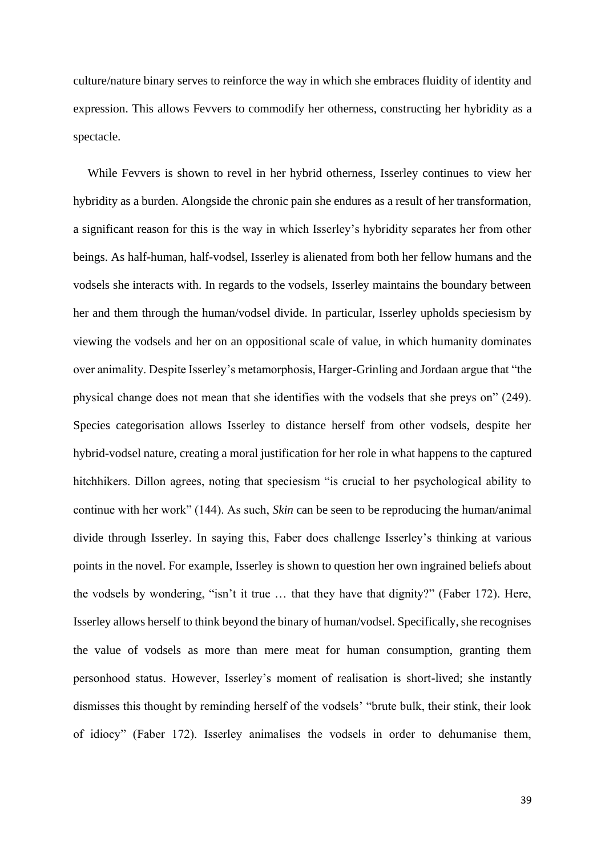culture/nature binary serves to reinforce the way in which she embraces fluidity of identity and expression. This allows Fevvers to commodify her otherness, constructing her hybridity as a spectacle.

While Fevvers is shown to revel in her hybrid otherness, Isserley continues to view her hybridity as a burden. Alongside the chronic pain she endures as a result of her transformation, a significant reason for this is the way in which Isserley's hybridity separates her from other beings. As half-human, half-vodsel, Isserley is alienated from both her fellow humans and the vodsels she interacts with. In regards to the vodsels, Isserley maintains the boundary between her and them through the human/vodsel divide. In particular, Isserley upholds speciesism by viewing the vodsels and her on an oppositional scale of value, in which humanity dominates over animality. Despite Isserley's metamorphosis, Harger-Grinling and Jordaan argue that "the physical change does not mean that she identifies with the vodsels that she preys on" (249). Species categorisation allows Isserley to distance herself from other vodsels, despite her hybrid-vodsel nature, creating a moral justification for her role in what happens to the captured hitchhikers. Dillon agrees, noting that speciesism "is crucial to her psychological ability to continue with her work" (144). As such, *Skin* can be seen to be reproducing the human/animal divide through Isserley. In saying this, Faber does challenge Isserley's thinking at various points in the novel. For example, Isserley is shown to question her own ingrained beliefs about the vodsels by wondering, "isn't it true … that they have that dignity?" (Faber 172). Here, Isserley allows herself to think beyond the binary of human/vodsel. Specifically, she recognises the value of vodsels as more than mere meat for human consumption, granting them personhood status. However, Isserley's moment of realisation is short-lived; she instantly dismisses this thought by reminding herself of the vodsels' "brute bulk, their stink, their look of idiocy" (Faber 172). Isserley animalises the vodsels in order to dehumanise them,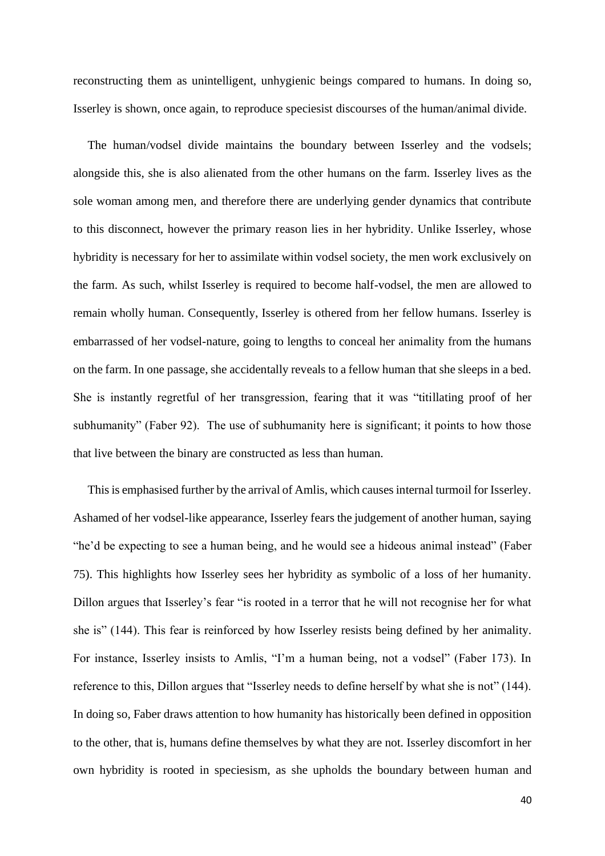reconstructing them as unintelligent, unhygienic beings compared to humans. In doing so, Isserley is shown, once again, to reproduce speciesist discourses of the human/animal divide.

The human/vodsel divide maintains the boundary between Isserley and the vodsels; alongside this, she is also alienated from the other humans on the farm. Isserley lives as the sole woman among men, and therefore there are underlying gender dynamics that contribute to this disconnect, however the primary reason lies in her hybridity. Unlike Isserley, whose hybridity is necessary for her to assimilate within vodsel society, the men work exclusively on the farm. As such, whilst Isserley is required to become half-vodsel, the men are allowed to remain wholly human. Consequently, Isserley is othered from her fellow humans. Isserley is embarrassed of her vodsel-nature, going to lengths to conceal her animality from the humans on the farm. In one passage, she accidentally reveals to a fellow human that she sleeps in a bed. She is instantly regretful of her transgression, fearing that it was "titillating proof of her subhumanity" (Faber 92). The use of subhumanity here is significant; it points to how those that live between the binary are constructed as less than human.

This is emphasised further by the arrival of Amlis, which causes internal turmoil for Isserley. Ashamed of her vodsel-like appearance, Isserley fears the judgement of another human, saying "he'd be expecting to see a human being, and he would see a hideous animal instead" (Faber 75). This highlights how Isserley sees her hybridity as symbolic of a loss of her humanity. Dillon argues that Isserley's fear "is rooted in a terror that he will not recognise her for what she is" (144). This fear is reinforced by how Isserley resists being defined by her animality. For instance, Isserley insists to Amlis, "I'm a human being, not a vodsel" (Faber 173). In reference to this, Dillon argues that "Isserley needs to define herself by what she is not" (144). In doing so, Faber draws attention to how humanity has historically been defined in opposition to the other, that is, humans define themselves by what they are not. Isserley discomfort in her own hybridity is rooted in speciesism, as she upholds the boundary between human and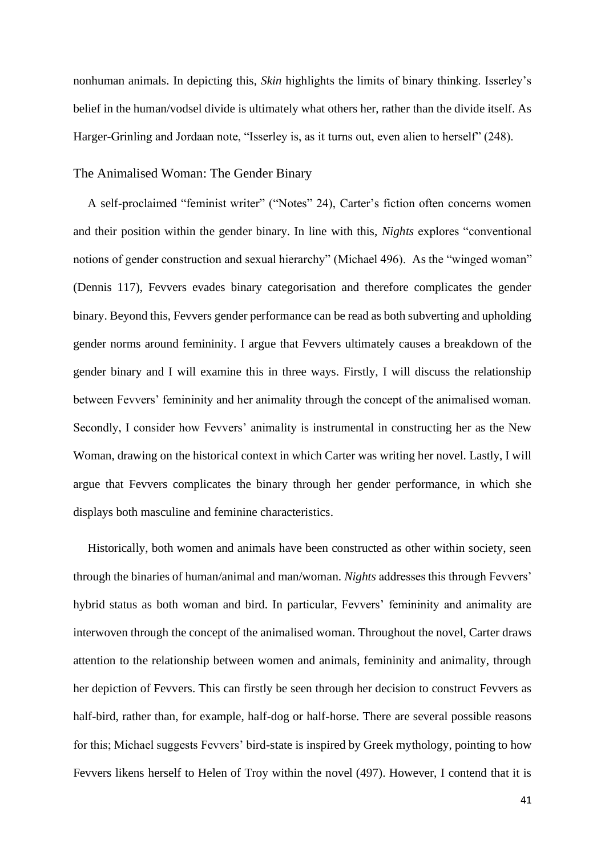nonhuman animals. In depicting this, *Skin* highlights the limits of binary thinking. Isserley's belief in the human/vodsel divide is ultimately what others her, rather than the divide itself. As Harger-Grinling and Jordaan note, "Isserley is, as it turns out, even alien to herself" (248).

## The Animalised Woman: The Gender Binary

A self-proclaimed "feminist writer" ("Notes" 24), Carter's fiction often concerns women and their position within the gender binary. In line with this, *Nights* explores "conventional notions of gender construction and sexual hierarchy" (Michael 496). As the "winged woman" (Dennis 117), Fevvers evades binary categorisation and therefore complicates the gender binary. Beyond this, Fevvers gender performance can be read as both subverting and upholding gender norms around femininity. I argue that Fevvers ultimately causes a breakdown of the gender binary and I will examine this in three ways. Firstly, I will discuss the relationship between Fevvers' femininity and her animality through the concept of the animalised woman. Secondly, I consider how Fevvers' animality is instrumental in constructing her as the New Woman, drawing on the historical context in which Carter was writing her novel. Lastly, I will argue that Fevvers complicates the binary through her gender performance, in which she displays both masculine and feminine characteristics.

Historically, both women and animals have been constructed as other within society, seen through the binaries of human/animal and man/woman. *Nights* addresses this through Fevvers' hybrid status as both woman and bird. In particular, Fevvers' femininity and animality are interwoven through the concept of the animalised woman. Throughout the novel, Carter draws attention to the relationship between women and animals, femininity and animality, through her depiction of Fevvers. This can firstly be seen through her decision to construct Fevvers as half-bird, rather than, for example, half-dog or half-horse. There are several possible reasons for this; Michael suggests Fevvers' bird-state is inspired by Greek mythology, pointing to how Fevvers likens herself to Helen of Troy within the novel (497). However, I contend that it is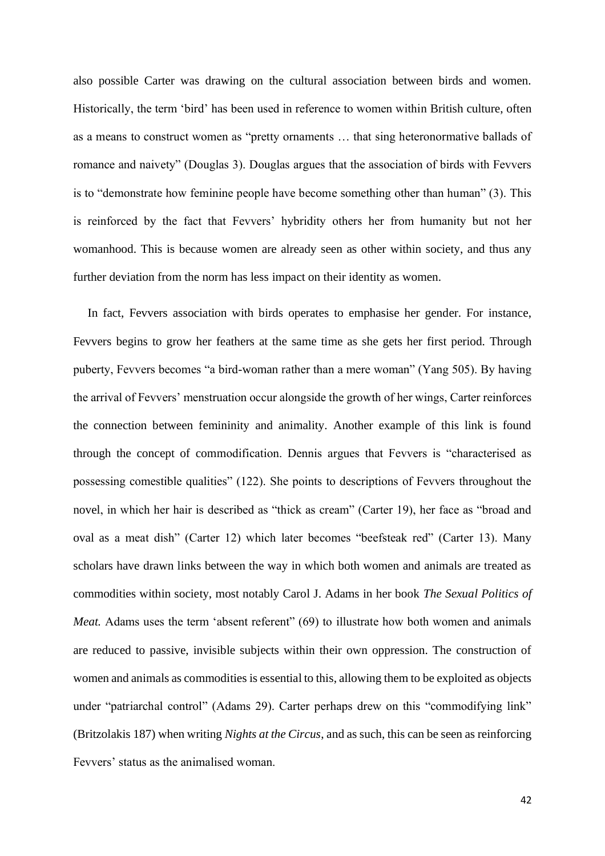also possible Carter was drawing on the cultural association between birds and women. Historically, the term 'bird' has been used in reference to women within British culture, often as a means to construct women as "pretty ornaments … that sing heteronormative ballads of romance and naivety" (Douglas 3). Douglas argues that the association of birds with Fevvers is to "demonstrate how feminine people have become something other than human" (3). This is reinforced by the fact that Fevvers' hybridity others her from humanity but not her womanhood. This is because women are already seen as other within society, and thus any further deviation from the norm has less impact on their identity as women.

In fact, Fevvers association with birds operates to emphasise her gender. For instance, Fevvers begins to grow her feathers at the same time as she gets her first period. Through puberty, Fevvers becomes "a bird-woman rather than a mere woman" (Yang 505). By having the arrival of Fevvers' menstruation occur alongside the growth of her wings, Carter reinforces the connection between femininity and animality. Another example of this link is found through the concept of commodification. Dennis argues that Fevvers is "characterised as possessing comestible qualities" (122). She points to descriptions of Fevvers throughout the novel, in which her hair is described as "thick as cream" (Carter 19), her face as "broad and oval as a meat dish" (Carter 12) which later becomes "beefsteak red" (Carter 13). Many scholars have drawn links between the way in which both women and animals are treated as commodities within society, most notably Carol J. Adams in her book *The Sexual Politics of Meat.* Adams uses the term 'absent referent" (69) to illustrate how both women and animals are reduced to passive, invisible subjects within their own oppression. The construction of women and animals as commodities is essential to this, allowing them to be exploited as objects under "patriarchal control" (Adams 29). Carter perhaps drew on this "commodifying link" (Britzolakis 187) when writing *Nights at the Circus*, and as such, this can be seen as reinforcing Fevvers' status as the animalised woman.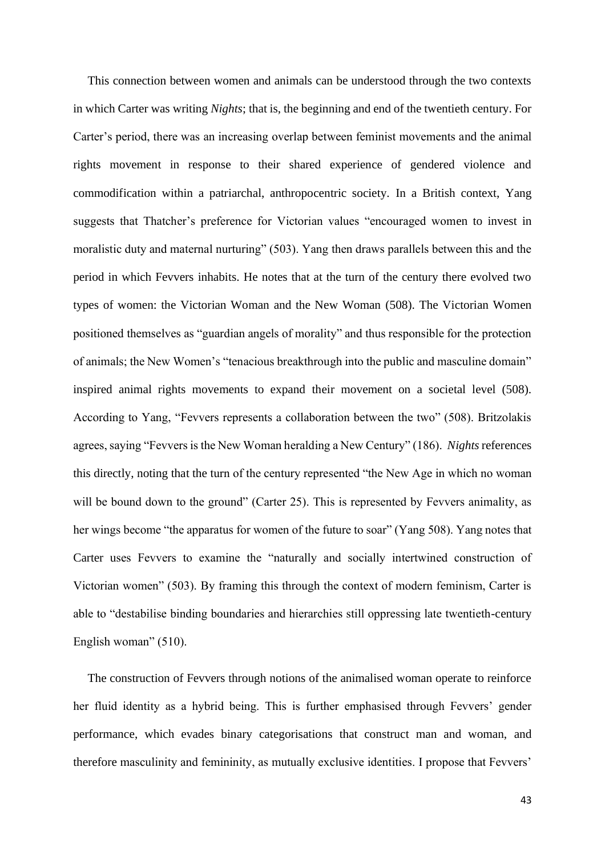This connection between women and animals can be understood through the two contexts in which Carter was writing *Nights*; that is, the beginning and end of the twentieth century. For Carter's period, there was an increasing overlap between feminist movements and the animal rights movement in response to their shared experience of gendered violence and commodification within a patriarchal, anthropocentric society. In a British context, Yang suggests that Thatcher's preference for Victorian values "encouraged women to invest in moralistic duty and maternal nurturing" (503). Yang then draws parallels between this and the period in which Fevvers inhabits. He notes that at the turn of the century there evolved two types of women: the Victorian Woman and the New Woman (508). The Victorian Women positioned themselves as "guardian angels of morality" and thus responsible for the protection of animals; the New Women's "tenacious breakthrough into the public and masculine domain" inspired animal rights movements to expand their movement on a societal level (508). According to Yang, "Fevvers represents a collaboration between the two" (508). Britzolakis agrees, saying "Fevvers is the New Woman heralding a New Century" (186). *Nights* references this directly, noting that the turn of the century represented "the New Age in which no woman will be bound down to the ground" (Carter 25). This is represented by Fevvers animality, as her wings become "the apparatus for women of the future to soar" (Yang 508). Yang notes that Carter uses Fevvers to examine the "naturally and socially intertwined construction of Victorian women" (503). By framing this through the context of modern feminism, Carter is able to "destabilise binding boundaries and hierarchies still oppressing late twentieth-century English woman" (510).

The construction of Fevvers through notions of the animalised woman operate to reinforce her fluid identity as a hybrid being. This is further emphasised through Fevvers' gender performance, which evades binary categorisations that construct man and woman, and therefore masculinity and femininity, as mutually exclusive identities. I propose that Fevvers'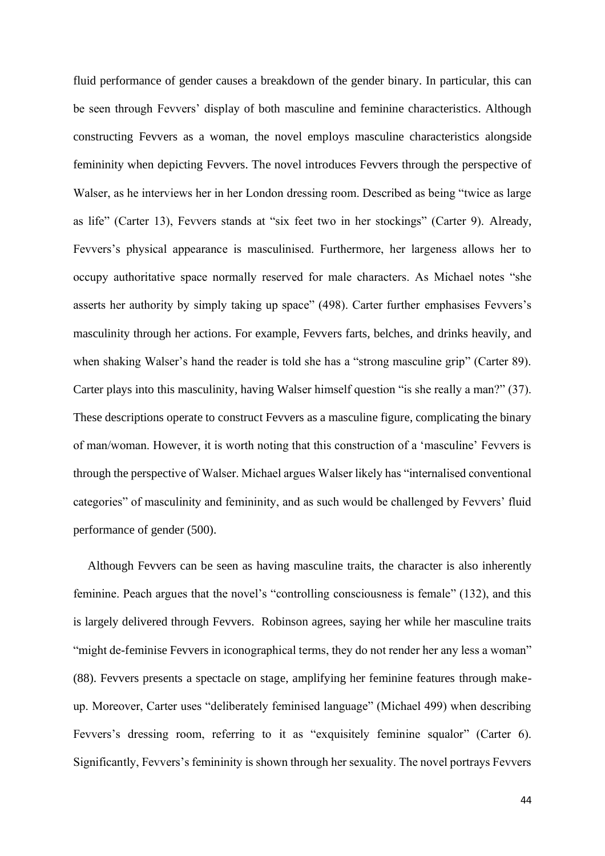fluid performance of gender causes a breakdown of the gender binary. In particular, this can be seen through Fevvers' display of both masculine and feminine characteristics. Although constructing Fevvers as a woman, the novel employs masculine characteristics alongside femininity when depicting Fevvers. The novel introduces Fevvers through the perspective of Walser, as he interviews her in her London dressing room. Described as being "twice as large as life" (Carter 13), Fevvers stands at "six feet two in her stockings" (Carter 9). Already, Fevvers's physical appearance is masculinised. Furthermore, her largeness allows her to occupy authoritative space normally reserved for male characters. As Michael notes "she asserts her authority by simply taking up space" (498). Carter further emphasises Fevvers's masculinity through her actions. For example, Fevvers farts, belches, and drinks heavily, and when shaking Walser's hand the reader is told she has a "strong masculine grip" (Carter 89). Carter plays into this masculinity, having Walser himself question "is she really a man?" (37). These descriptions operate to construct Fevvers as a masculine figure, complicating the binary of man/woman. However, it is worth noting that this construction of a 'masculine' Fevvers is through the perspective of Walser. Michael argues Walser likely has "internalised conventional categories" of masculinity and femininity, and as such would be challenged by Fevvers' fluid performance of gender (500).

Although Fevvers can be seen as having masculine traits, the character is also inherently feminine. Peach argues that the novel's "controlling consciousness is female" (132), and this is largely delivered through Fevvers. Robinson agrees, saying her while her masculine traits "might de-feminise Fevvers in iconographical terms, they do not render her any less a woman" (88). Fevvers presents a spectacle on stage, amplifying her feminine features through makeup. Moreover, Carter uses "deliberately feminised language" (Michael 499) when describing Fevvers's dressing room, referring to it as "exquisitely feminine squalor" (Carter 6). Significantly, Fevvers's femininity is shown through her sexuality. The novel portrays Fevvers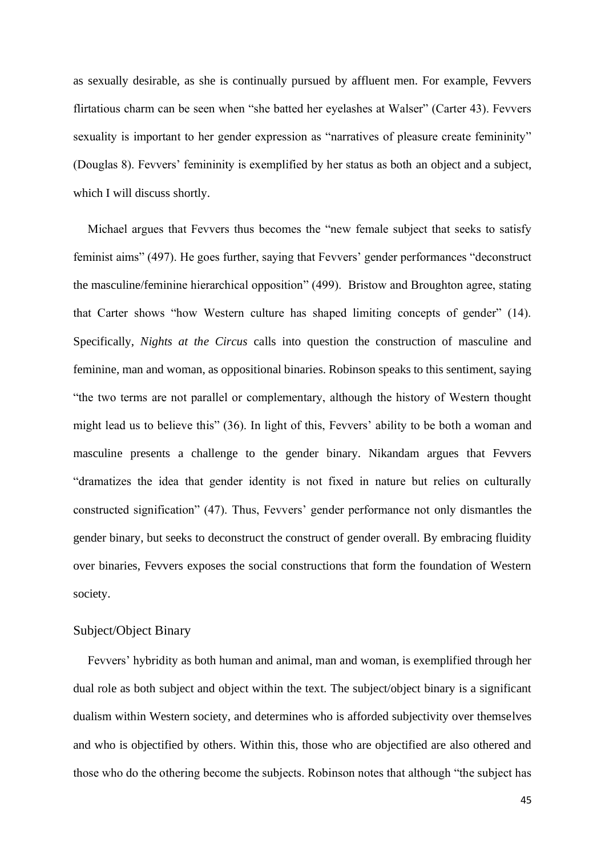as sexually desirable, as she is continually pursued by affluent men. For example, Fevvers flirtatious charm can be seen when "she batted her eyelashes at Walser" (Carter 43). Fevvers sexuality is important to her gender expression as "narratives of pleasure create femininity" (Douglas 8). Fevvers' femininity is exemplified by her status as both an object and a subject, which I will discuss shortly.

Michael argues that Fevvers thus becomes the "new female subject that seeks to satisfy feminist aims" (497). He goes further, saying that Fevvers' gender performances "deconstruct the masculine/feminine hierarchical opposition" (499). Bristow and Broughton agree, stating that Carter shows "how Western culture has shaped limiting concepts of gender" (14). Specifically, *Nights at the Circus* calls into question the construction of masculine and feminine, man and woman, as oppositional binaries. Robinson speaks to this sentiment, saying "the two terms are not parallel or complementary, although the history of Western thought might lead us to believe this" (36). In light of this, Fevvers' ability to be both a woman and masculine presents a challenge to the gender binary. Nikandam argues that Fevvers "dramatizes the idea that gender identity is not fixed in nature but relies on culturally constructed signification" (47). Thus, Fevvers' gender performance not only dismantles the gender binary, but seeks to deconstruct the construct of gender overall. By embracing fluidity over binaries, Fevvers exposes the social constructions that form the foundation of Western society.

# Subject/Object Binary

Fevvers' hybridity as both human and animal, man and woman, is exemplified through her dual role as both subject and object within the text. The subject/object binary is a significant dualism within Western society, and determines who is afforded subjectivity over themselves and who is objectified by others. Within this, those who are objectified are also othered and those who do the othering become the subjects. Robinson notes that although "the subject has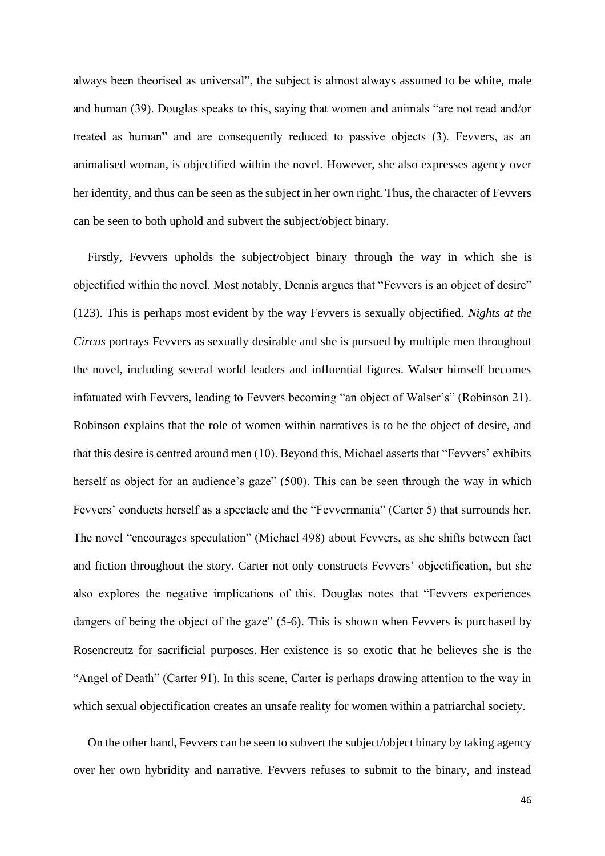always been theorised as universal", the subject is almost always assumed to be white, male and human (39). Douglas speaks to this, saying that women and animals "are not read and/or treated as human" and are consequently reduced to passive objects (3). Fevvers, as an animalised woman, is objectified within the novel. However, she also expresses agency over her identity, and thus can be seen as the subject in her own right. Thus, the character of Fevvers can be seen to both uphold and subvert the subject/object binary.

Firstly, Fevvers upholds the subject/object binary through the way in which she is objectified within the novel. Most notably, Dennis argues that "Fevvers is an object of desire" (123). This is perhaps most evident by the way Fevvers is sexually objectified. *Nights at the Circus* portrays Fevvers as sexually desirable and she is pursued by multiple men throughout the novel, including several world leaders and influential figures. Walser himself becomes infatuated with Fevvers, leading to Fevvers becoming "an object of Walser's" (Robinson 21). Robinson explains that the role of women within narratives is to be the object of desire, and that this desire is centred around men (10). Beyond this, Michael asserts that "Fevvers' exhibits herself as object for an audience's gaze" (500). This can be seen through the way in which Fevvers' conducts herself as a spectacle and the "Fevvermania" (Carter 5) that surrounds her. The novel "encourages speculation" (Michael 498) about Fevvers, as she shifts between fact and fiction throughout the story. Carter not only constructs Fevvers' objectification, but she also explores the negative implications of this. Douglas notes that "Fevvers experiences dangers of being the object of the gaze" (5-6). This is shown when Fevvers is purchased by Rosencreutz for sacrificial purposes. Her existence is so exotic that he believes she is the "Angel of Death" (Carter 91). In this scene, Carter is perhaps drawing attention to the way in which sexual objectification creates an unsafe reality for women within a patriarchal society.

On the other hand, Fevvers can be seen to subvert the subject/object binary by taking agency over her own hybridity and narrative. Fevvers refuses to submit to the binary, and instead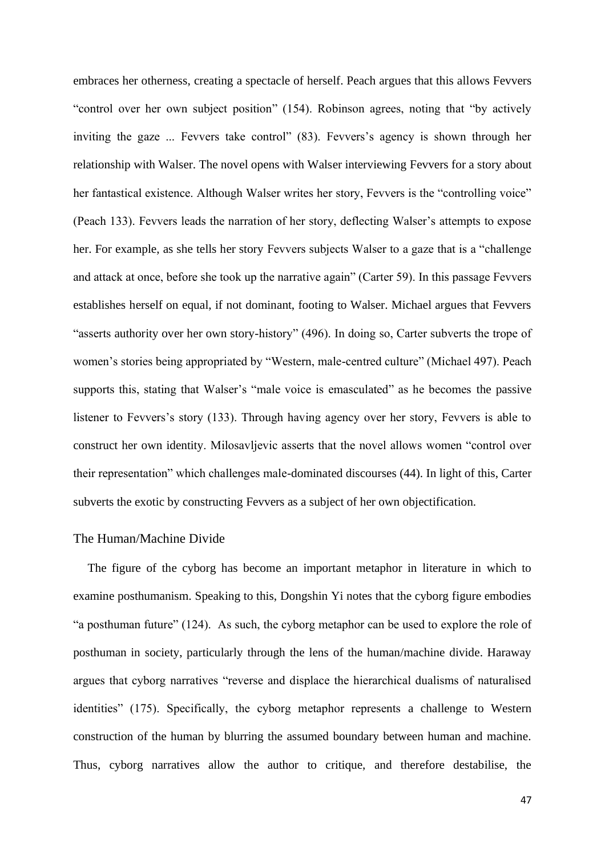embraces her otherness, creating a spectacle of herself. Peach argues that this allows Fevvers "control over her own subject position" (154). Robinson agrees, noting that "by actively inviting the gaze ... Fevvers take control" (83). Fevvers's agency is shown through her relationship with Walser. The novel opens with Walser interviewing Fevvers for a story about her fantastical existence. Although Walser writes her story, Fevvers is the "controlling voice" (Peach 133). Fevvers leads the narration of her story, deflecting Walser's attempts to expose her. For example, as she tells her story Fevvers subjects Walser to a gaze that is a "challenge and attack at once, before she took up the narrative again" (Carter 59). In this passage Fevvers establishes herself on equal, if not dominant, footing to Walser. Michael argues that Fevvers "asserts authority over her own story-history" (496). In doing so, Carter subverts the trope of women's stories being appropriated by "Western, male-centred culture" (Michael 497). Peach supports this, stating that Walser's "male voice is emasculated" as he becomes the passive listener to Fevvers's story (133). Through having agency over her story, Fevvers is able to construct her own identity. Milosavljevic asserts that the novel allows women "control over their representation" which challenges male-dominated discourses (44). In light of this, Carter subverts the exotic by constructing Fevvers as a subject of her own objectification.

### The Human/Machine Divide

The figure of the cyborg has become an important metaphor in literature in which to examine posthumanism. Speaking to this, Dongshin Yi notes that the cyborg figure embodies "a posthuman future" (124). As such, the cyborg metaphor can be used to explore the role of posthuman in society, particularly through the lens of the human/machine divide. Haraway argues that cyborg narratives "reverse and displace the hierarchical dualisms of naturalised identities" (175). Specifically, the cyborg metaphor represents a challenge to Western construction of the human by blurring the assumed boundary between human and machine. Thus, cyborg narratives allow the author to critique, and therefore destabilise, the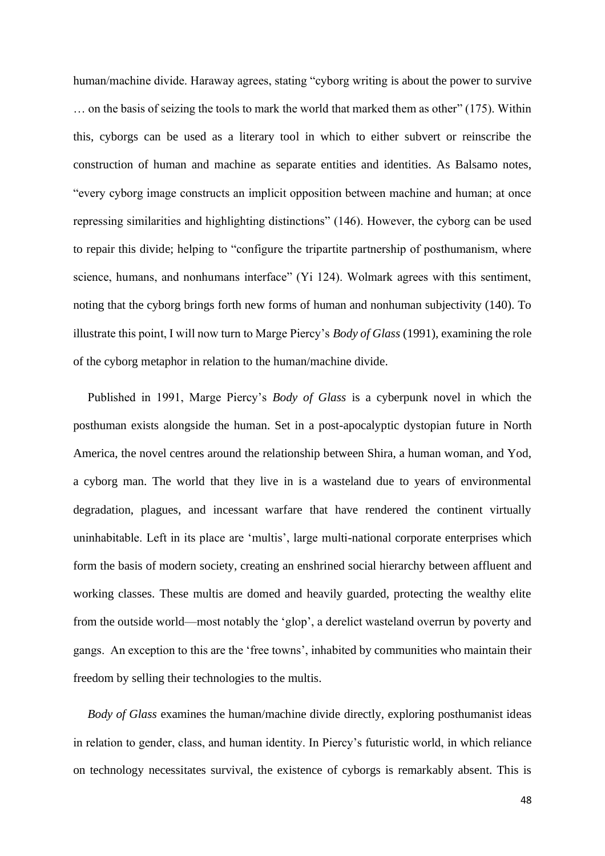human/machine divide. Haraway agrees, stating "cyborg writing is about the power to survive … on the basis of seizing the tools to mark the world that marked them as other" (175). Within this, cyborgs can be used as a literary tool in which to either subvert or reinscribe the construction of human and machine as separate entities and identities. As Balsamo notes, "every cyborg image constructs an implicit opposition between machine and human; at once repressing similarities and highlighting distinctions" (146). However, the cyborg can be used to repair this divide; helping to "configure the tripartite partnership of posthumanism, where science, humans, and nonhumans interface" (Yi 124). Wolmark agrees with this sentiment, noting that the cyborg brings forth new forms of human and nonhuman subjectivity (140). To illustrate this point, I will now turn to Marge Piercy's *Body of Glass* (1991), examining the role of the cyborg metaphor in relation to the human/machine divide.

Published in 1991, Marge Piercy's *Body of Glass* is a cyberpunk novel in which the posthuman exists alongside the human. Set in a post-apocalyptic dystopian future in North America, the novel centres around the relationship between Shira, a human woman, and Yod, a cyborg man. The world that they live in is a wasteland due to years of environmental degradation, plagues, and incessant warfare that have rendered the continent virtually uninhabitable. Left in its place are 'multis', large multi-national corporate enterprises which form the basis of modern society, creating an enshrined social hierarchy between affluent and working classes. These multis are domed and heavily guarded, protecting the wealthy elite from the outside world—most notably the 'glop', a derelict wasteland overrun by poverty and gangs. An exception to this are the 'free towns', inhabited by communities who maintain their freedom by selling their technologies to the multis.

*Body of Glass* examines the human/machine divide directly, exploring posthumanist ideas in relation to gender, class, and human identity. In Piercy's futuristic world, in which reliance on technology necessitates survival, the existence of cyborgs is remarkably absent. This is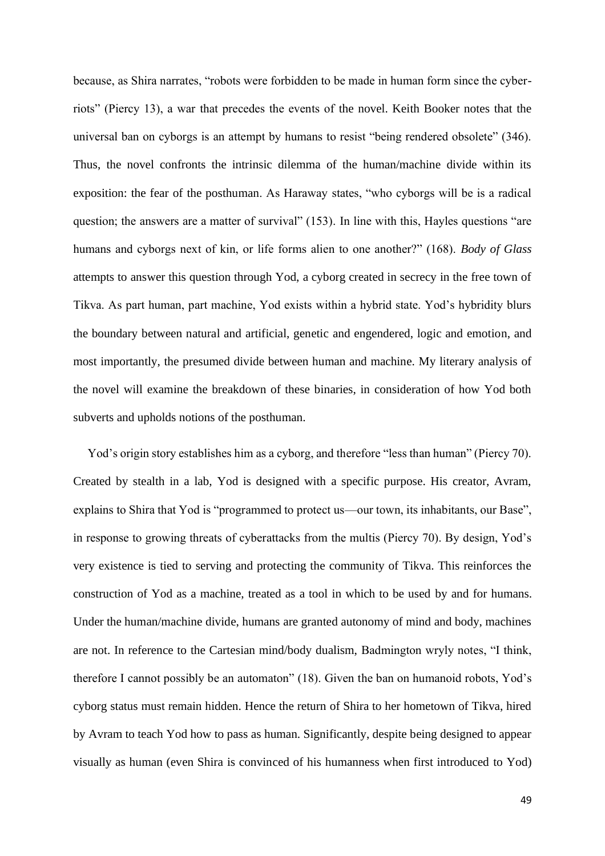because, as Shira narrates, "robots were forbidden to be made in human form since the cyberriots" (Piercy 13), a war that precedes the events of the novel. Keith Booker notes that the universal ban on cyborgs is an attempt by humans to resist "being rendered obsolete" (346). Thus, the novel confronts the intrinsic dilemma of the human/machine divide within its exposition: the fear of the posthuman. As Haraway states, "who cyborgs will be is a radical question; the answers are a matter of survival" (153). In line with this, Hayles questions "are humans and cyborgs next of kin, or life forms alien to one another?" (168). *Body of Glass* attempts to answer this question through Yod, a cyborg created in secrecy in the free town of Tikva. As part human, part machine, Yod exists within a hybrid state. Yod's hybridity blurs the boundary between natural and artificial, genetic and engendered, logic and emotion, and most importantly, the presumed divide between human and machine. My literary analysis of the novel will examine the breakdown of these binaries, in consideration of how Yod both subverts and upholds notions of the posthuman.

Yod's origin story establishes him as a cyborg, and therefore "less than human" (Piercy 70). Created by stealth in a lab, Yod is designed with a specific purpose. His creator, Avram, explains to Shira that Yod is "programmed to protect us—our town, its inhabitants, our Base", in response to growing threats of cyberattacks from the multis (Piercy 70). By design, Yod's very existence is tied to serving and protecting the community of Tikva. This reinforces the construction of Yod as a machine, treated as a tool in which to be used by and for humans. Under the human/machine divide, humans are granted autonomy of mind and body, machines are not. In reference to the Cartesian mind/body dualism, Badmington wryly notes, "I think, therefore I cannot possibly be an automaton" (18). Given the ban on humanoid robots, Yod's cyborg status must remain hidden. Hence the return of Shira to her hometown of Tikva, hired by Avram to teach Yod how to pass as human. Significantly, despite being designed to appear visually as human (even Shira is convinced of his humanness when first introduced to Yod)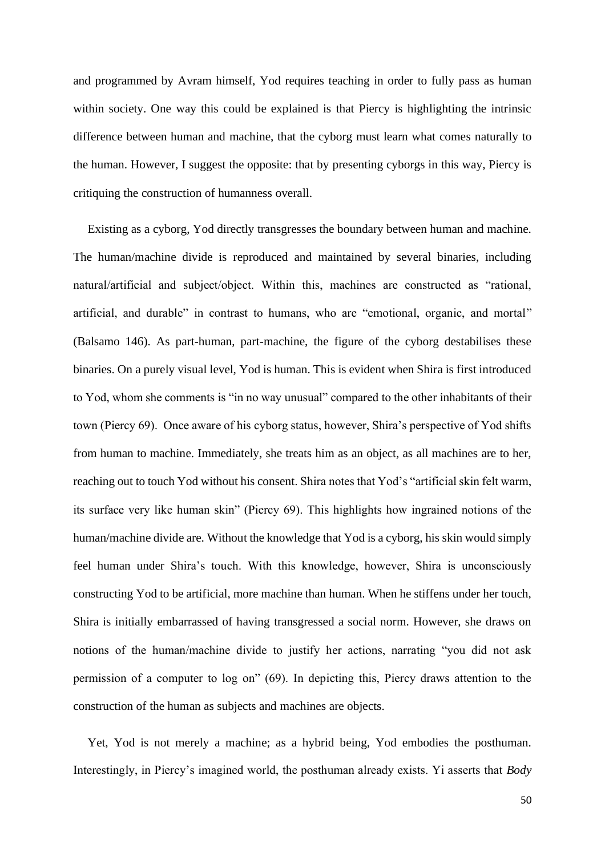and programmed by Avram himself, Yod requires teaching in order to fully pass as human within society. One way this could be explained is that Piercy is highlighting the intrinsic difference between human and machine, that the cyborg must learn what comes naturally to the human. However, I suggest the opposite: that by presenting cyborgs in this way, Piercy is critiquing the construction of humanness overall.

Existing as a cyborg, Yod directly transgresses the boundary between human and machine. The human/machine divide is reproduced and maintained by several binaries, including natural/artificial and subject/object. Within this, machines are constructed as "rational, artificial, and durable" in contrast to humans, who are "emotional, organic, and mortal" (Balsamo 146). As part-human, part-machine, the figure of the cyborg destabilises these binaries. On a purely visual level, Yod is human. This is evident when Shira is first introduced to Yod, whom she comments is "in no way unusual" compared to the other inhabitants of their town (Piercy 69). Once aware of his cyborg status, however, Shira's perspective of Yod shifts from human to machine. Immediately, she treats him as an object, as all machines are to her, reaching out to touch Yod without his consent. Shira notes that Yod's "artificial skin felt warm, its surface very like human skin" (Piercy 69). This highlights how ingrained notions of the human/machine divide are. Without the knowledge that Yod is a cyborg, his skin would simply feel human under Shira's touch. With this knowledge, however, Shira is unconsciously constructing Yod to be artificial, more machine than human. When he stiffens under her touch, Shira is initially embarrassed of having transgressed a social norm. However, she draws on notions of the human/machine divide to justify her actions, narrating "you did not ask permission of a computer to log on" (69). In depicting this, Piercy draws attention to the construction of the human as subjects and machines are objects.

Yet, Yod is not merely a machine; as a hybrid being, Yod embodies the posthuman. Interestingly, in Piercy's imagined world, the posthuman already exists. Yi asserts that *Body*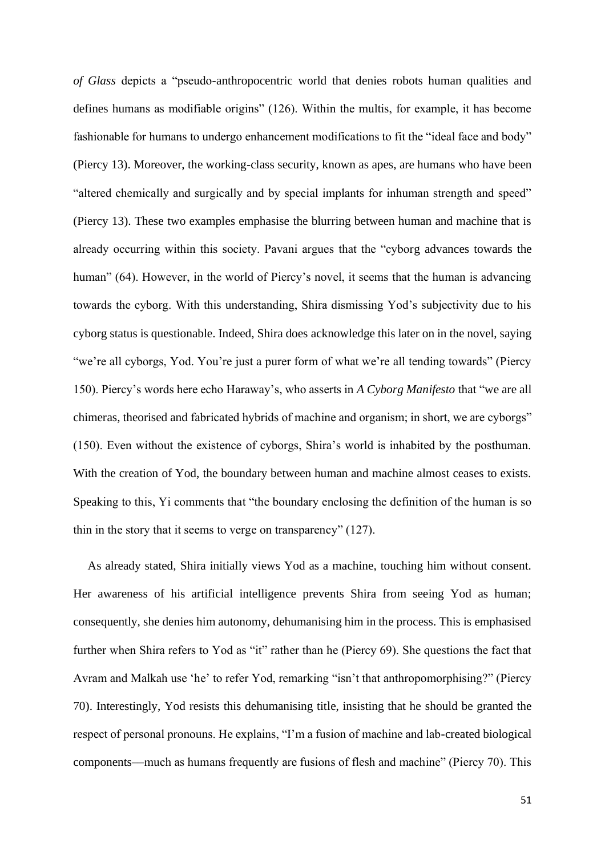*of Glass* depicts a "pseudo-anthropocentric world that denies robots human qualities and defines humans as modifiable origins" (126). Within the multis, for example, it has become fashionable for humans to undergo enhancement modifications to fit the "ideal face and body" (Piercy 13). Moreover, the working-class security, known as apes, are humans who have been "altered chemically and surgically and by special implants for inhuman strength and speed" (Piercy 13). These two examples emphasise the blurring between human and machine that is already occurring within this society. Pavani argues that the "cyborg advances towards the human" (64). However, in the world of Piercy's novel, it seems that the human is advancing towards the cyborg. With this understanding, Shira dismissing Yod's subjectivity due to his cyborg status is questionable. Indeed, Shira does acknowledge this later on in the novel, saying "we're all cyborgs, Yod. You're just a purer form of what we're all tending towards" (Piercy 150). Piercy's words here echo Haraway's, who asserts in *A Cyborg Manifesto* that "we are all chimeras, theorised and fabricated hybrids of machine and organism; in short, we are cyborgs" (150). Even without the existence of cyborgs, Shira's world is inhabited by the posthuman. With the creation of Yod, the boundary between human and machine almost ceases to exists. Speaking to this, Yi comments that "the boundary enclosing the definition of the human is so thin in the story that it seems to verge on transparency" (127).

As already stated, Shira initially views Yod as a machine, touching him without consent. Her awareness of his artificial intelligence prevents Shira from seeing Yod as human; consequently, she denies him autonomy, dehumanising him in the process. This is emphasised further when Shira refers to Yod as "it" rather than he (Piercy 69). She questions the fact that Avram and Malkah use 'he' to refer Yod, remarking "isn't that anthropomorphising?" (Piercy 70). Interestingly, Yod resists this dehumanising title, insisting that he should be granted the respect of personal pronouns. He explains, "I'm a fusion of machine and lab-created biological components––much as humans frequently are fusions of flesh and machine" (Piercy 70). This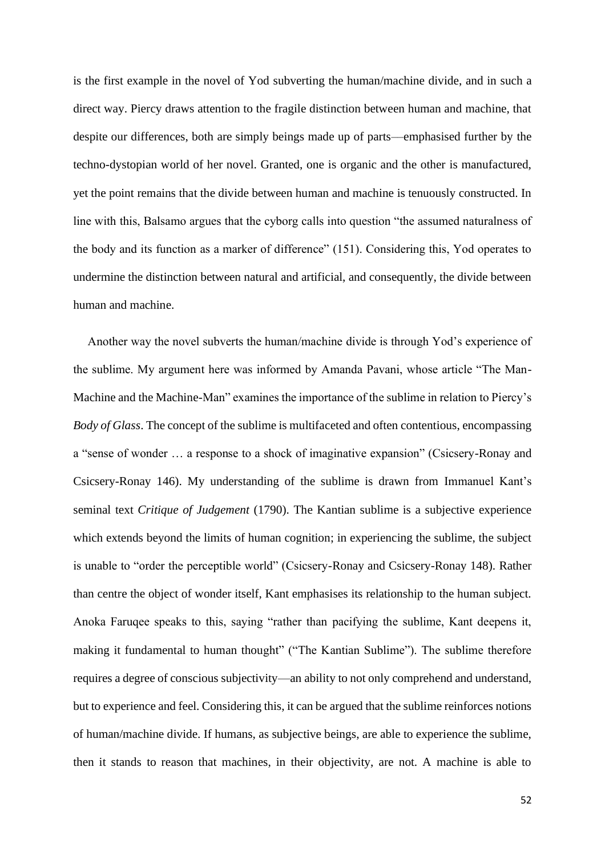is the first example in the novel of Yod subverting the human/machine divide, and in such a direct way. Piercy draws attention to the fragile distinction between human and machine, that despite our differences, both are simply beings made up of parts––emphasised further by the techno-dystopian world of her novel. Granted, one is organic and the other is manufactured, yet the point remains that the divide between human and machine is tenuously constructed. In line with this, Balsamo argues that the cyborg calls into question "the assumed naturalness of the body and its function as a marker of difference" (151). Considering this, Yod operates to undermine the distinction between natural and artificial, and consequently, the divide between human and machine.

Another way the novel subverts the human/machine divide is through Yod's experience of the sublime. My argument here was informed by Amanda Pavani, whose article "The Man-Machine and the Machine-Man" examines the importance of the sublime in relation to Piercy's *Body of Glass*. The concept of the sublime is multifaceted and often contentious, encompassing a "sense of wonder … a response to a shock of imaginative expansion" (Csicsery-Ronay and Csicsery-Ronay 146). My understanding of the sublime is drawn from Immanuel Kant's seminal text *Critique of Judgement* (1790). The Kantian sublime is a subjective experience which extends beyond the limits of human cognition; in experiencing the sublime, the subject is unable to "order the perceptible world" (Csicsery-Ronay and Csicsery-Ronay 148). Rather than centre the object of wonder itself, Kant emphasises its relationship to the human subject. Anoka Faruqee speaks to this, saying "rather than pacifying the sublime, Kant deepens it, making it fundamental to human thought" ("The Kantian Sublime"). The sublime therefore requires a degree of conscious subjectivity—an ability to not only comprehend and understand, but to experience and feel. Considering this, it can be argued that the sublime reinforces notions of human/machine divide. If humans, as subjective beings, are able to experience the sublime, then it stands to reason that machines, in their objectivity, are not. A machine is able to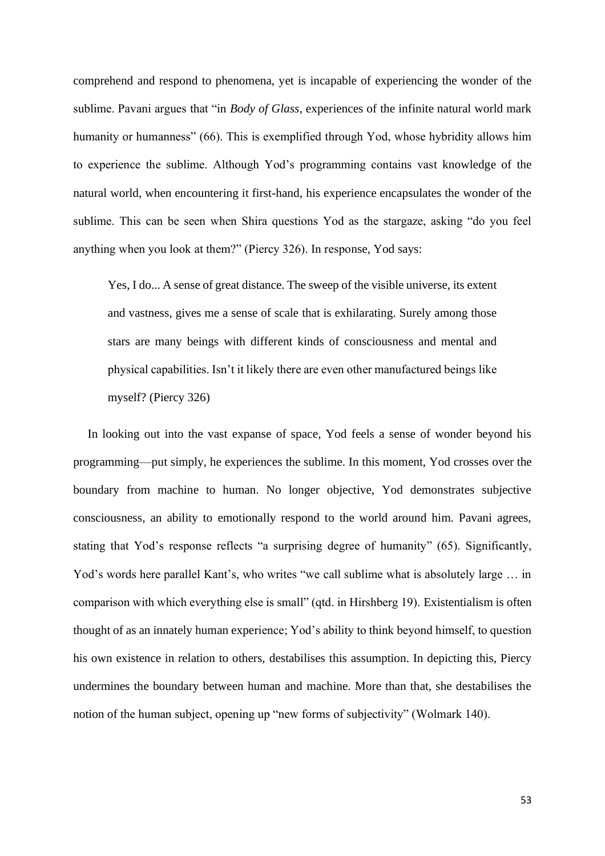comprehend and respond to phenomena, yet is incapable of experiencing the wonder of the sublime. Pavani argues that "in *Body of Glass*, experiences of the infinite natural world mark humanity or humanness" (66). This is exemplified through Yod, whose hybridity allows him to experience the sublime. Although Yod's programming contains vast knowledge of the natural world, when encountering it first-hand, his experience encapsulates the wonder of the sublime. This can be seen when Shira questions Yod as the stargaze, asking "do you feel anything when you look at them?" (Piercy 326). In response, Yod says:

Yes, I do... A sense of great distance. The sweep of the visible universe, its extent and vastness, gives me a sense of scale that is exhilarating. Surely among those stars are many beings with different kinds of consciousness and mental and physical capabilities. Isn't it likely there are even other manufactured beings like myself? (Piercy 326)

In looking out into the vast expanse of space, Yod feels a sense of wonder beyond his programming—put simply, he experiences the sublime. In this moment, Yod crosses over the boundary from machine to human. No longer objective, Yod demonstrates subjective consciousness, an ability to emotionally respond to the world around him. Pavani agrees, stating that Yod's response reflects "a surprising degree of humanity" (65). Significantly, Yod's words here parallel Kant's, who writes "we call sublime what is absolutely large … in comparison with which everything else is small" (qtd. in Hirshberg 19). Existentialism is often thought of as an innately human experience; Yod's ability to think beyond himself, to question his own existence in relation to others, destabilises this assumption. In depicting this, Piercy undermines the boundary between human and machine. More than that, she destabilises the notion of the human subject, opening up "new forms of subjectivity" (Wolmark 140).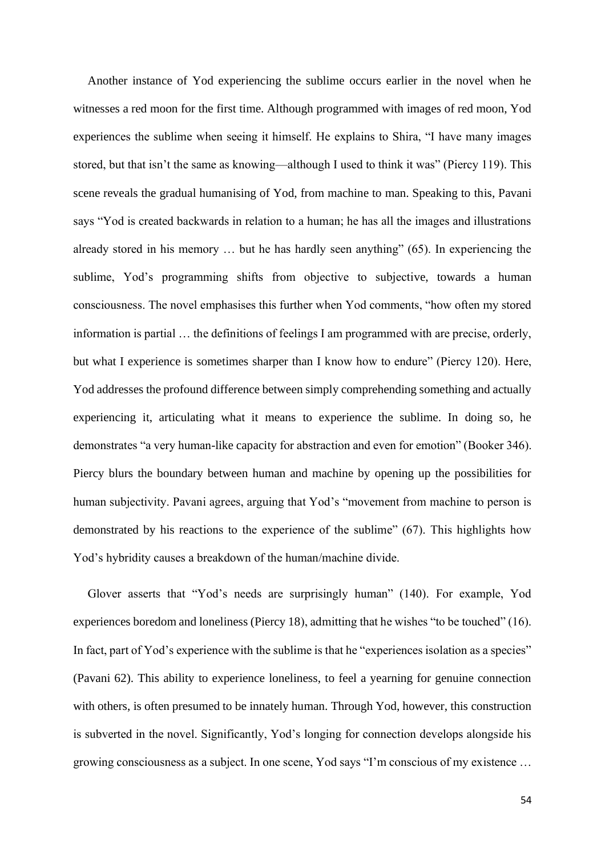Another instance of Yod experiencing the sublime occurs earlier in the novel when he witnesses a red moon for the first time. Although programmed with images of red moon, Yod experiences the sublime when seeing it himself. He explains to Shira, "I have many images stored, but that isn't the same as knowing—although I used to think it was" (Piercy 119). This scene reveals the gradual humanising of Yod, from machine to man. Speaking to this, Pavani says "Yod is created backwards in relation to a human; he has all the images and illustrations already stored in his memory … but he has hardly seen anything" (65). In experiencing the sublime, Yod's programming shifts from objective to subjective, towards a human consciousness. The novel emphasises this further when Yod comments, "how often my stored information is partial … the definitions of feelings I am programmed with are precise, orderly, but what I experience is sometimes sharper than I know how to endure" (Piercy 120). Here, Yod addresses the profound difference between simply comprehending something and actually experiencing it, articulating what it means to experience the sublime. In doing so, he demonstrates "a very human-like capacity for abstraction and even for emotion" (Booker 346). Piercy blurs the boundary between human and machine by opening up the possibilities for human subjectivity. Pavani agrees, arguing that Yod's "movement from machine to person is demonstrated by his reactions to the experience of the sublime" (67). This highlights how Yod's hybridity causes a breakdown of the human/machine divide.

Glover asserts that "Yod's needs are surprisingly human" (140). For example, Yod experiences boredom and loneliness (Piercy 18), admitting that he wishes "to be touched" (16). In fact, part of Yod's experience with the sublime is that he "experiences isolation as a species" (Pavani 62). This ability to experience loneliness, to feel a yearning for genuine connection with others, is often presumed to be innately human. Through Yod, however, this construction is subverted in the novel. Significantly, Yod's longing for connection develops alongside his growing consciousness as a subject. In one scene, Yod says "I'm conscious of my existence …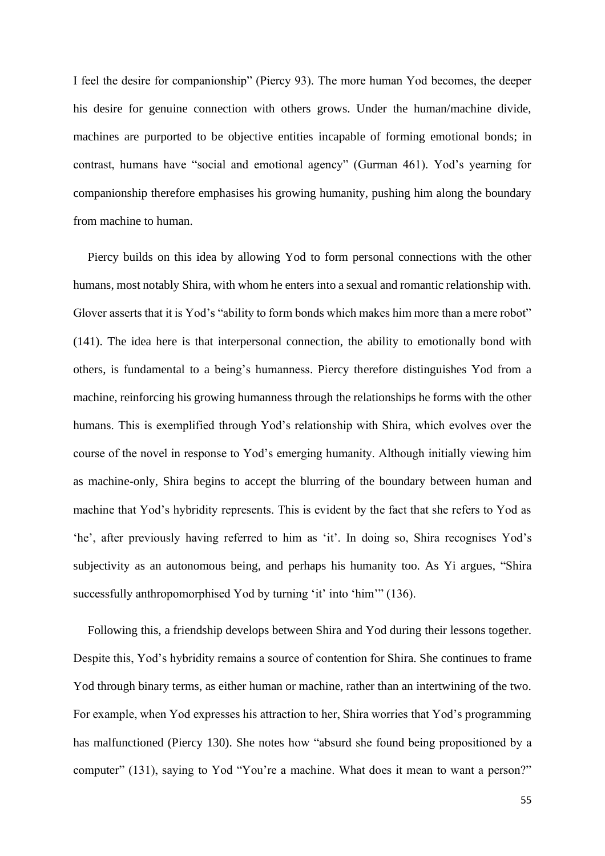I feel the desire for companionship" (Piercy 93). The more human Yod becomes, the deeper his desire for genuine connection with others grows. Under the human/machine divide, machines are purported to be objective entities incapable of forming emotional bonds; in contrast, humans have "social and emotional agency" (Gurman 461). Yod's yearning for companionship therefore emphasises his growing humanity, pushing him along the boundary from machine to human.

Piercy builds on this idea by allowing Yod to form personal connections with the other humans, most notably Shira, with whom he enters into a sexual and romantic relationship with. Glover asserts that it is Yod's "ability to form bonds which makes him more than a mere robot" (141). The idea here is that interpersonal connection, the ability to emotionally bond with others, is fundamental to a being's humanness. Piercy therefore distinguishes Yod from a machine, reinforcing his growing humanness through the relationships he forms with the other humans. This is exemplified through Yod's relationship with Shira, which evolves over the course of the novel in response to Yod's emerging humanity. Although initially viewing him as machine-only, Shira begins to accept the blurring of the boundary between human and machine that Yod's hybridity represents. This is evident by the fact that she refers to Yod as 'he', after previously having referred to him as 'it'. In doing so, Shira recognises Yod's subjectivity as an autonomous being, and perhaps his humanity too. As Yi argues, "Shira successfully anthropomorphised Yod by turning 'it' into 'him'" (136).

Following this, a friendship develops between Shira and Yod during their lessons together. Despite this, Yod's hybridity remains a source of contention for Shira. She continues to frame Yod through binary terms, as either human or machine, rather than an intertwining of the two. For example, when Yod expresses his attraction to her, Shira worries that Yod's programming has malfunctioned (Piercy 130). She notes how "absurd she found being propositioned by a computer" (131), saying to Yod "You're a machine. What does it mean to want a person?"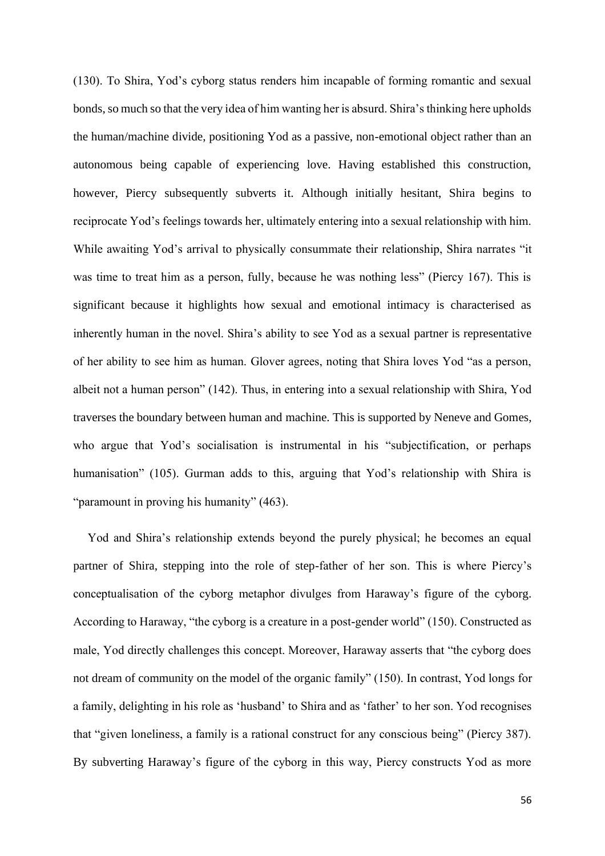(130). To Shira, Yod's cyborg status renders him incapable of forming romantic and sexual bonds, so much so that the very idea of him wanting her is absurd. Shira's thinking here upholds the human/machine divide, positioning Yod as a passive, non-emotional object rather than an autonomous being capable of experiencing love. Having established this construction, however, Piercy subsequently subverts it. Although initially hesitant, Shira begins to reciprocate Yod's feelings towards her, ultimately entering into a sexual relationship with him. While awaiting Yod's arrival to physically consummate their relationship, Shira narrates "it was time to treat him as a person, fully, because he was nothing less" (Piercy 167). This is significant because it highlights how sexual and emotional intimacy is characterised as inherently human in the novel. Shira's ability to see Yod as a sexual partner is representative of her ability to see him as human. Glover agrees, noting that Shira loves Yod "as a person, albeit not a human person" (142). Thus, in entering into a sexual relationship with Shira, Yod traverses the boundary between human and machine. This is supported by Neneve and Gomes, who argue that Yod's socialisation is instrumental in his "subjectification, or perhaps humanisation" (105). Gurman adds to this, arguing that Yod's relationship with Shira is "paramount in proving his humanity" (463).

Yod and Shira's relationship extends beyond the purely physical; he becomes an equal partner of Shira, stepping into the role of step-father of her son. This is where Piercy's conceptualisation of the cyborg metaphor divulges from Haraway's figure of the cyborg. According to Haraway, "the cyborg is a creature in a post-gender world" (150). Constructed as male, Yod directly challenges this concept. Moreover, Haraway asserts that "the cyborg does not dream of community on the model of the organic family" (150). In contrast, Yod longs for a family, delighting in his role as 'husband' to Shira and as 'father' to her son. Yod recognises that "given loneliness, a family is a rational construct for any conscious being" (Piercy 387). By subverting Haraway's figure of the cyborg in this way, Piercy constructs Yod as more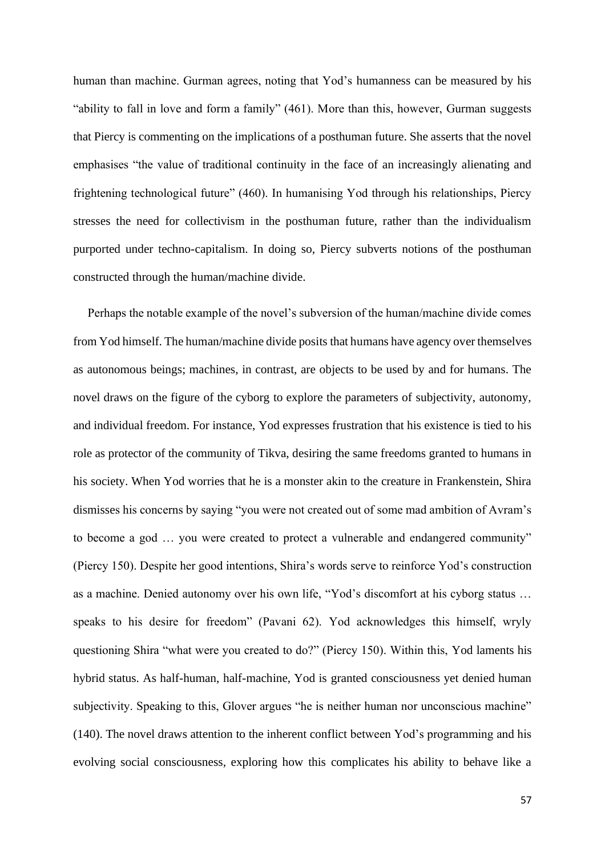human than machine. Gurman agrees, noting that Yod's humanness can be measured by his "ability to fall in love and form a family" (461). More than this, however, Gurman suggests that Piercy is commenting on the implications of a posthuman future. She asserts that the novel emphasises "the value of traditional continuity in the face of an increasingly alienating and frightening technological future" (460). In humanising Yod through his relationships, Piercy stresses the need for collectivism in the posthuman future, rather than the individualism purported under techno-capitalism. In doing so, Piercy subverts notions of the posthuman constructed through the human/machine divide.

Perhaps the notable example of the novel's subversion of the human/machine divide comes from Yod himself. The human/machine divide posits that humans have agency over themselves as autonomous beings; machines, in contrast, are objects to be used by and for humans. The novel draws on the figure of the cyborg to explore the parameters of subjectivity, autonomy, and individual freedom. For instance, Yod expresses frustration that his existence is tied to his role as protector of the community of Tikva, desiring the same freedoms granted to humans in his society. When Yod worries that he is a monster akin to the creature in Frankenstein, Shira dismisses his concerns by saying "you were not created out of some mad ambition of Avram's to become a god … you were created to protect a vulnerable and endangered community" (Piercy 150). Despite her good intentions, Shira's words serve to reinforce Yod's construction as a machine. Denied autonomy over his own life, "Yod's discomfort at his cyborg status … speaks to his desire for freedom" (Pavani 62). Yod acknowledges this himself, wryly questioning Shira "what were you created to do?" (Piercy 150). Within this, Yod laments his hybrid status. As half-human, half-machine, Yod is granted consciousness yet denied human subjectivity. Speaking to this, Glover argues "he is neither human nor unconscious machine" (140). The novel draws attention to the inherent conflict between Yod's programming and his evolving social consciousness, exploring how this complicates his ability to behave like a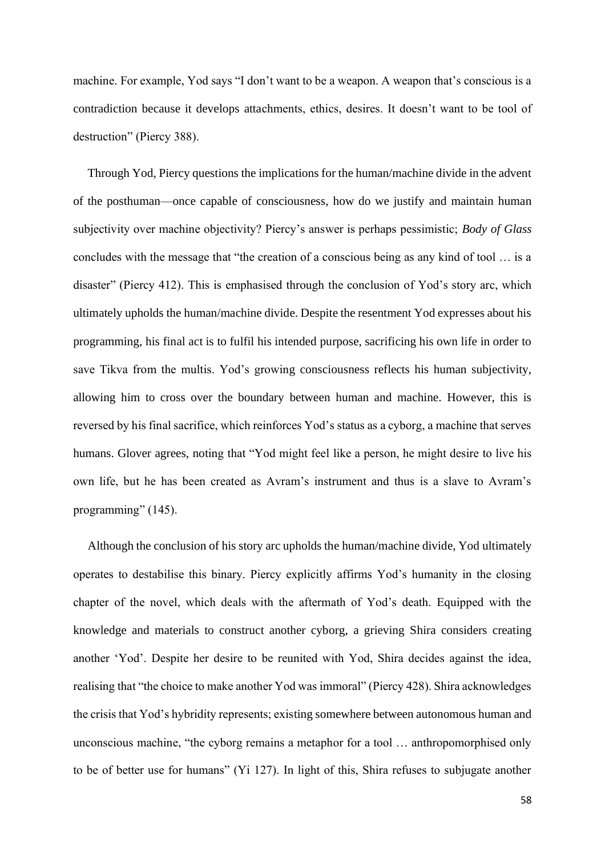machine. For example, Yod says "I don't want to be a weapon. A weapon that's conscious is a contradiction because it develops attachments, ethics, desires. It doesn't want to be tool of destruction" (Piercy 388).

Through Yod, Piercy questions the implications for the human/machine divide in the advent of the posthuman—once capable of consciousness, how do we justify and maintain human subjectivity over machine objectivity? Piercy's answer is perhaps pessimistic; *Body of Glass*  concludes with the message that "the creation of a conscious being as any kind of tool … is a disaster" (Piercy 412). This is emphasised through the conclusion of Yod's story arc, which ultimately upholds the human/machine divide. Despite the resentment Yod expresses about his programming, his final act is to fulfil his intended purpose, sacrificing his own life in order to save Tikva from the multis. Yod's growing consciousness reflects his human subjectivity, allowing him to cross over the boundary between human and machine. However, this is reversed by his final sacrifice, which reinforces Yod's status as a cyborg, a machine that serves humans. Glover agrees, noting that "Yod might feel like a person, he might desire to live his own life, but he has been created as Avram's instrument and thus is a slave to Avram's programming" (145).

Although the conclusion of his story arc upholds the human/machine divide, Yod ultimately operates to destabilise this binary. Piercy explicitly affirms Yod's humanity in the closing chapter of the novel, which deals with the aftermath of Yod's death. Equipped with the knowledge and materials to construct another cyborg, a grieving Shira considers creating another 'Yod'. Despite her desire to be reunited with Yod, Shira decides against the idea, realising that "the choice to make another Yod was immoral" (Piercy 428). Shira acknowledges the crisis that Yod's hybridity represents; existing somewhere between autonomous human and unconscious machine, "the cyborg remains a metaphor for a tool … anthropomorphised only to be of better use for humans" (Yi 127). In light of this, Shira refuses to subjugate another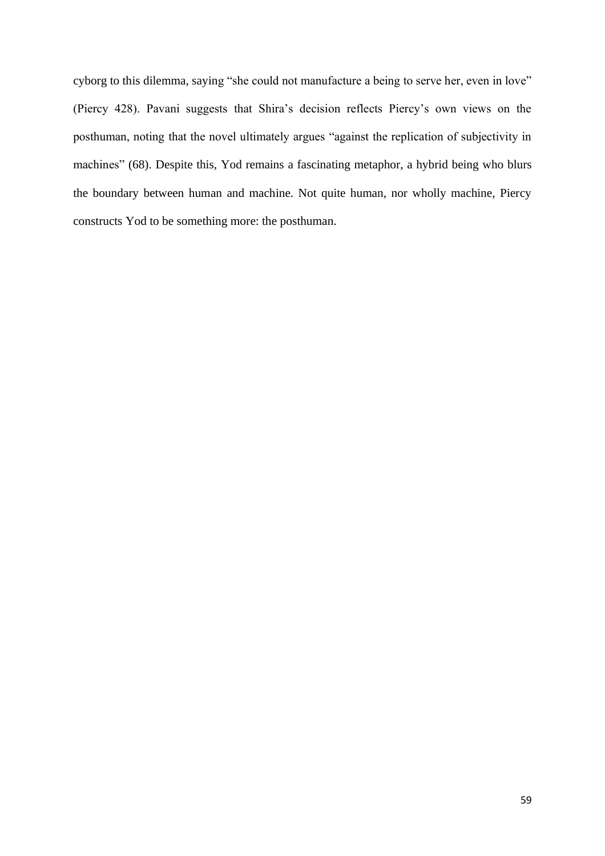cyborg to this dilemma, saying "she could not manufacture a being to serve her, even in love" (Piercy 428). Pavani suggests that Shira's decision reflects Piercy's own views on the posthuman, noting that the novel ultimately argues "against the replication of subjectivity in machines" (68). Despite this, Yod remains a fascinating metaphor, a hybrid being who blurs the boundary between human and machine. Not quite human, nor wholly machine, Piercy constructs Yod to be something more: the posthuman.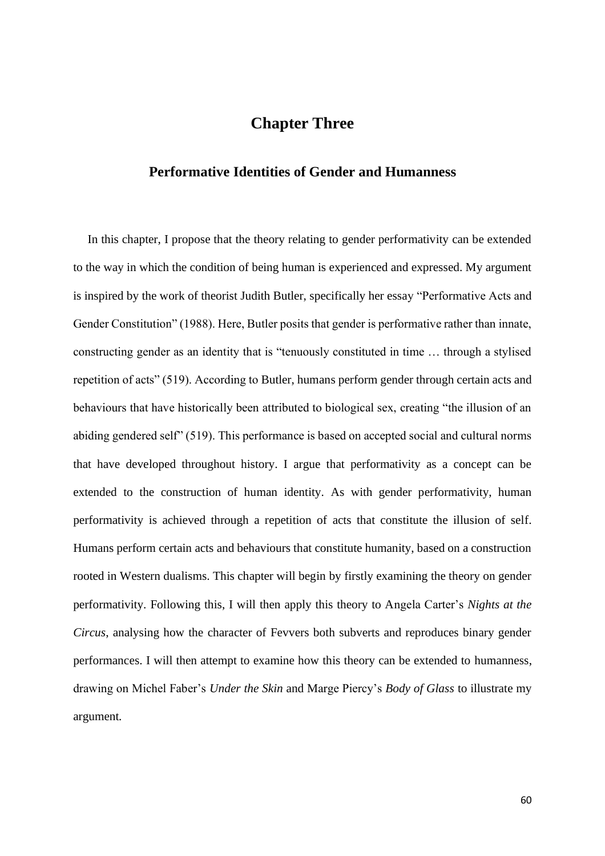# **Chapter Three**

# **Performative Identities of Gender and Humanness**

In this chapter, I propose that the theory relating to gender performativity can be extended to the way in which the condition of being human is experienced and expressed. My argument is inspired by the work of theorist Judith Butler, specifically her essay "Performative Acts and Gender Constitution" (1988). Here, Butler posits that gender is performative rather than innate, constructing gender as an identity that is "tenuously constituted in time … through a stylised repetition of acts" (519). According to Butler, humans perform gender through certain acts and behaviours that have historically been attributed to biological sex, creating "the illusion of an abiding gendered self" (519). This performance is based on accepted social and cultural norms that have developed throughout history. I argue that performativity as a concept can be extended to the construction of human identity. As with gender performativity, human performativity is achieved through a repetition of acts that constitute the illusion of self. Humans perform certain acts and behaviours that constitute humanity, based on a construction rooted in Western dualisms. This chapter will begin by firstly examining the theory on gender performativity. Following this, I will then apply this theory to Angela Carter's *Nights at the Circus*, analysing how the character of Fevvers both subverts and reproduces binary gender performances. I will then attempt to examine how this theory can be extended to humanness, drawing on Michel Faber's *Under the Skin* and Marge Piercy's *Body of Glass* to illustrate my argument*.*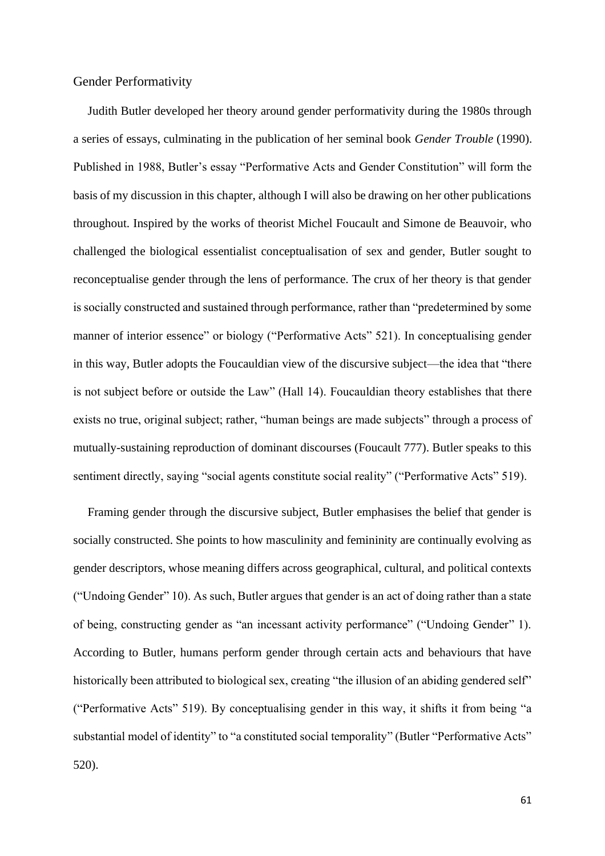# Gender Performativity

Judith Butler developed her theory around gender performativity during the 1980s through a series of essays, culminating in the publication of her seminal book *Gender Trouble* (1990). Published in 1988, Butler's essay "Performative Acts and Gender Constitution" will form the basis of my discussion in this chapter, although I will also be drawing on her other publications throughout. Inspired by the works of theorist Michel Foucault and Simone de Beauvoir, who challenged the biological essentialist conceptualisation of sex and gender, Butler sought to reconceptualise gender through the lens of performance. The crux of her theory is that gender is socially constructed and sustained through performance, rather than "predetermined by some manner of interior essence" or biology ("Performative Acts" 521). In conceptualising gender in this way, Butler adopts the Foucauldian view of the discursive subject—the idea that "there is not subject before or outside the Law" (Hall 14). Foucauldian theory establishes that there exists no true, original subject; rather, "human beings are made subjects" through a process of mutually-sustaining reproduction of dominant discourses (Foucault 777). Butler speaks to this sentiment directly, saying "social agents constitute social reality" ("Performative Acts" 519).

Framing gender through the discursive subject, Butler emphasises the belief that gender is socially constructed. She points to how masculinity and femininity are continually evolving as gender descriptors, whose meaning differs across geographical, cultural, and political contexts ("Undoing Gender" 10). As such, Butler argues that gender is an act of doing rather than a state of being, constructing gender as "an incessant activity performance" ("Undoing Gender" 1). According to Butler, humans perform gender through certain acts and behaviours that have historically been attributed to biological sex, creating "the illusion of an abiding gendered self" ("Performative Acts" 519). By conceptualising gender in this way, it shifts it from being "a substantial model of identity" to "a constituted social temporality" (Butler "Performative Acts" 520).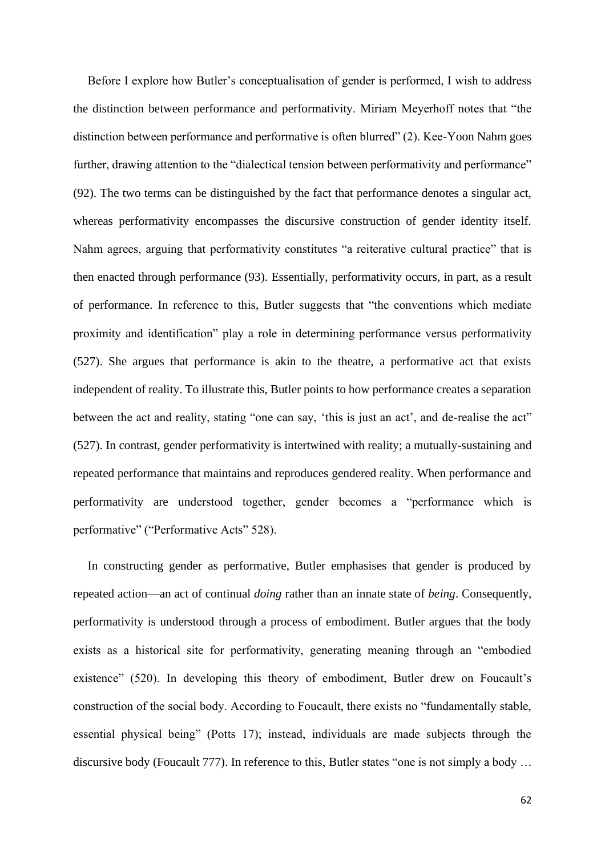Before I explore how Butler's conceptualisation of gender is performed, I wish to address the distinction between performance and performativity. Miriam Meyerhoff notes that "the distinction between performance and performative is often blurred" (2). Kee-Yoon Nahm goes further, drawing attention to the "dialectical tension between performativity and performance" (92). The two terms can be distinguished by the fact that performance denotes a singular act, whereas performativity encompasses the discursive construction of gender identity itself. Nahm agrees, arguing that performativity constitutes "a reiterative cultural practice" that is then enacted through performance (93). Essentially, performativity occurs, in part, as a result of performance. In reference to this, Butler suggests that "the conventions which mediate proximity and identification" play a role in determining performance versus performativity (527). She argues that performance is akin to the theatre, a performative act that exists independent of reality. To illustrate this, Butler points to how performance creates a separation between the act and reality, stating "one can say, 'this is just an act', and de-realise the act" (527). In contrast, gender performativity is intertwined with reality; a mutually-sustaining and repeated performance that maintains and reproduces gendered reality. When performance and performativity are understood together, gender becomes a "performance which is performative" ("Performative Acts" 528).

In constructing gender as performative, Butler emphasises that gender is produced by repeated action—an act of continual *doing* rather than an innate state of *being*. Consequently, performativity is understood through a process of embodiment. Butler argues that the body exists as a historical site for performativity, generating meaning through an "embodied existence" (520). In developing this theory of embodiment, Butler drew on Foucault's construction of the social body. According to Foucault, there exists no "fundamentally stable, essential physical being" (Potts 17); instead, individuals are made subjects through the discursive body (Foucault 777). In reference to this, Butler states "one is not simply a body …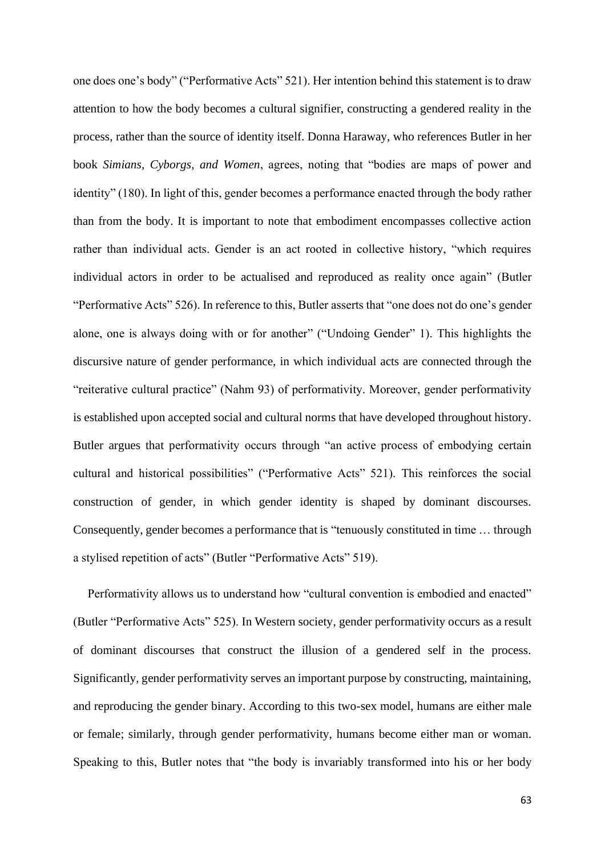one does one's body" ("Performative Acts" 521). Her intention behind this statement is to draw attention to how the body becomes a cultural signifier, constructing a gendered reality in the process, rather than the source of identity itself. Donna Haraway, who references Butler in her book *Simians, Cyborgs, and Women*, agrees, noting that "bodies are maps of power and identity" (180). In light of this, gender becomes a performance enacted through the body rather than from the body. It is important to note that embodiment encompasses collective action rather than individual acts. Gender is an act rooted in collective history, "which requires individual actors in order to be actualised and reproduced as reality once again" (Butler "Performative Acts" 526). In reference to this, Butler asserts that "one does not do one's gender alone, one is always doing with or for another" ("Undoing Gender" 1). This highlights the discursive nature of gender performance, in which individual acts are connected through the "reiterative cultural practice" (Nahm 93) of performativity. Moreover, gender performativity is established upon accepted social and cultural norms that have developed throughout history. Butler argues that performativity occurs through "an active process of embodying certain cultural and historical possibilities" ("Performative Acts" 521). This reinforces the social construction of gender, in which gender identity is shaped by dominant discourses. Consequently, gender becomes a performance that is "tenuously constituted in time … through a stylised repetition of acts" (Butler "Performative Acts" 519).

Performativity allows us to understand how "cultural convention is embodied and enacted" (Butler "Performative Acts" 525). In Western society, gender performativity occurs as a result of dominant discourses that construct the illusion of a gendered self in the process. Significantly, gender performativity serves an important purpose by constructing, maintaining, and reproducing the gender binary. According to this two-sex model, humans are either male or female; similarly, through gender performativity, humans become either man or woman. Speaking to this, Butler notes that "the body is invariably transformed into his or her body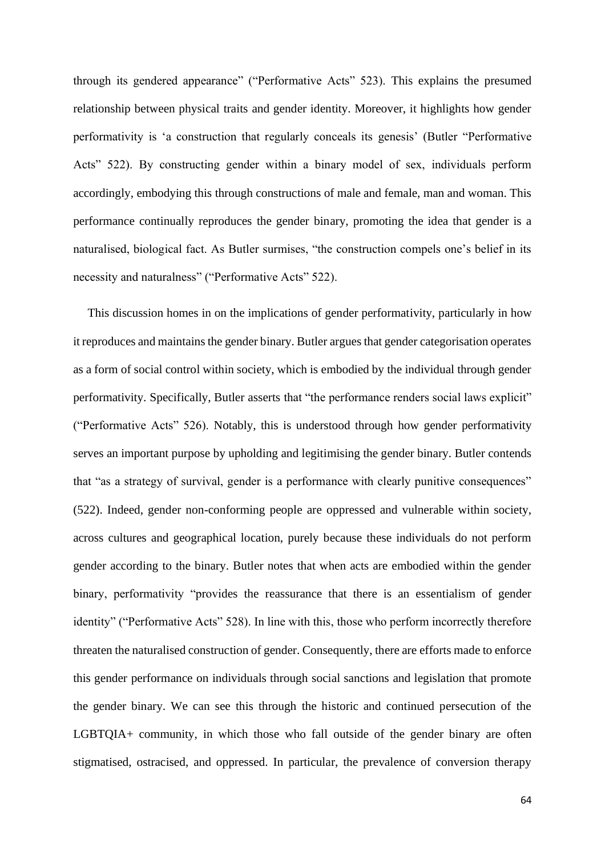through its gendered appearance" ("Performative Acts" 523). This explains the presumed relationship between physical traits and gender identity. Moreover, it highlights how gender performativity is 'a construction that regularly conceals its genesis' (Butler "Performative Acts" 522). By constructing gender within a binary model of sex, individuals perform accordingly, embodying this through constructions of male and female, man and woman. This performance continually reproduces the gender binary, promoting the idea that gender is a naturalised, biological fact. As Butler surmises, "the construction compels one's belief in its necessity and naturalness" ("Performative Acts" 522).

This discussion homes in on the implications of gender performativity, particularly in how it reproduces and maintains the gender binary. Butler argues that gender categorisation operates as a form of social control within society, which is embodied by the individual through gender performativity. Specifically, Butler asserts that "the performance renders social laws explicit" ("Performative Acts" 526). Notably, this is understood through how gender performativity serves an important purpose by upholding and legitimising the gender binary. Butler contends that "as a strategy of survival, gender is a performance with clearly punitive consequences" (522). Indeed, gender non-conforming people are oppressed and vulnerable within society, across cultures and geographical location, purely because these individuals do not perform gender according to the binary. Butler notes that when acts are embodied within the gender binary, performativity "provides the reassurance that there is an essentialism of gender identity" ("Performative Acts" 528). In line with this, those who perform incorrectly therefore threaten the naturalised construction of gender. Consequently, there are efforts made to enforce this gender performance on individuals through social sanctions and legislation that promote the gender binary. We can see this through the historic and continued persecution of the LGBTQIA+ community, in which those who fall outside of the gender binary are often stigmatised, ostracised, and oppressed. In particular, the prevalence of conversion therapy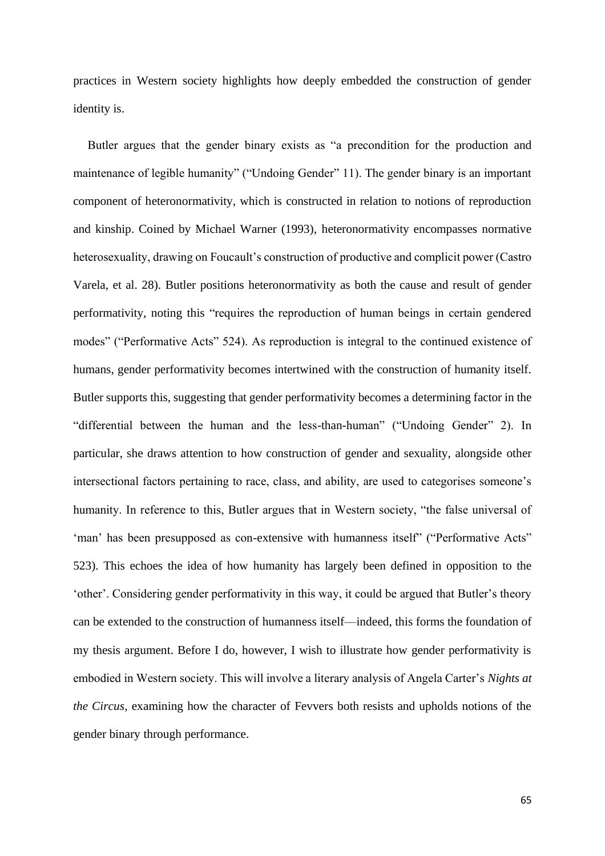practices in Western society highlights how deeply embedded the construction of gender identity is.

Butler argues that the gender binary exists as "a precondition for the production and maintenance of legible humanity" ("Undoing Gender" 11). The gender binary is an important component of heteronormativity, which is constructed in relation to notions of reproduction and kinship. Coined by Michael Warner (1993), heteronormativity encompasses normative heterosexuality, drawing on Foucault's construction of productive and complicit power (Castro Varela, et al. 28). Butler positions heteronormativity as both the cause and result of gender performativity, noting this "requires the reproduction of human beings in certain gendered modes" ("Performative Acts" 524). As reproduction is integral to the continued existence of humans, gender performativity becomes intertwined with the construction of humanity itself. Butler supports this, suggesting that gender performativity becomes a determining factor in the "differential between the human and the less-than-human" ("Undoing Gender" 2). In particular, she draws attention to how construction of gender and sexuality, alongside other intersectional factors pertaining to race, class, and ability, are used to categorises someone's humanity. In reference to this, Butler argues that in Western society, "the false universal of 'man' has been presupposed as con-extensive with humanness itself" ("Performative Acts" 523). This echoes the idea of how humanity has largely been defined in opposition to the 'other'. Considering gender performativity in this way, it could be argued that Butler's theory can be extended to the construction of humanness itself––indeed, this forms the foundation of my thesis argument. Before I do, however, I wish to illustrate how gender performativity is embodied in Western society. This will involve a literary analysis of Angela Carter's *Nights at the Circus*, examining how the character of Fevvers both resists and upholds notions of the gender binary through performance.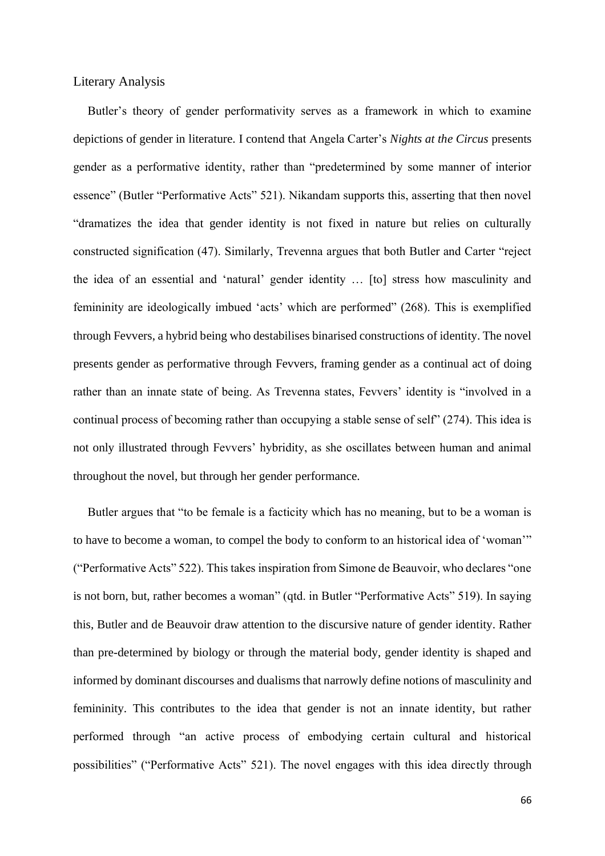## Literary Analysis

Butler's theory of gender performativity serves as a framework in which to examine depictions of gender in literature. I contend that Angela Carter's *Nights at the Circus* presents gender as a performative identity, rather than "predetermined by some manner of interior essence" (Butler "Performative Acts" 521). Nikandam supports this, asserting that then novel "dramatizes the idea that gender identity is not fixed in nature but relies on culturally constructed signification (47). Similarly, Trevenna argues that both Butler and Carter "reject the idea of an essential and 'natural' gender identity … [to] stress how masculinity and femininity are ideologically imbued 'acts' which are performed" (268). This is exemplified through Fevvers, a hybrid being who destabilises binarised constructions of identity. The novel presents gender as performative through Fevvers, framing gender as a continual act of doing rather than an innate state of being. As Trevenna states, Fevvers' identity is "involved in a continual process of becoming rather than occupying a stable sense of self" (274). This idea is not only illustrated through Fevvers' hybridity, as she oscillates between human and animal throughout the novel, but through her gender performance.

Butler argues that "to be female is a facticity which has no meaning, but to be a woman is to have to become a woman, to compel the body to conform to an historical idea of 'woman'" ("Performative Acts" 522). This takes inspiration from Simone de Beauvoir, who declares "one is not born, but, rather becomes a woman" (qtd. in Butler "Performative Acts" 519). In saying this, Butler and de Beauvoir draw attention to the discursive nature of gender identity. Rather than pre-determined by biology or through the material body, gender identity is shaped and informed by dominant discourses and dualisms that narrowly define notions of masculinity and femininity. This contributes to the idea that gender is not an innate identity, but rather performed through "an active process of embodying certain cultural and historical possibilities" ("Performative Acts" 521). The novel engages with this idea directly through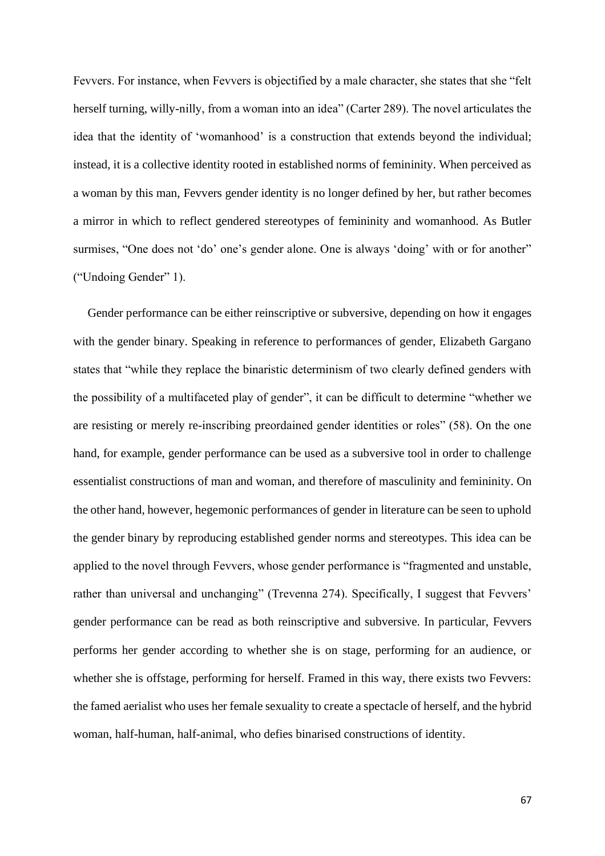Fevvers. For instance, when Fevvers is objectified by a male character, she states that she "felt herself turning, willy-nilly, from a woman into an idea" (Carter 289). The novel articulates the idea that the identity of 'womanhood' is a construction that extends beyond the individual; instead, it is a collective identity rooted in established norms of femininity. When perceived as a woman by this man, Fevvers gender identity is no longer defined by her, but rather becomes a mirror in which to reflect gendered stereotypes of femininity and womanhood. As Butler surmises, "One does not 'do' one's gender alone. One is always 'doing' with or for another" ("Undoing Gender" 1).

Gender performance can be either reinscriptive or subversive, depending on how it engages with the gender binary. Speaking in reference to performances of gender, Elizabeth Gargano states that "while they replace the binaristic determinism of two clearly defined genders with the possibility of a multifaceted play of gender", it can be difficult to determine "whether we are resisting or merely re-inscribing preordained gender identities or roles" (58). On the one hand, for example, gender performance can be used as a subversive tool in order to challenge essentialist constructions of man and woman, and therefore of masculinity and femininity. On the other hand, however, hegemonic performances of gender in literature can be seen to uphold the gender binary by reproducing established gender norms and stereotypes. This idea can be applied to the novel through Fevvers, whose gender performance is "fragmented and unstable, rather than universal and unchanging" (Trevenna 274). Specifically, I suggest that Fevvers' gender performance can be read as both reinscriptive and subversive. In particular, Fevvers performs her gender according to whether she is on stage, performing for an audience, or whether she is offstage, performing for herself. Framed in this way, there exists two Fevvers: the famed aerialist who uses her female sexuality to create a spectacle of herself, and the hybrid woman, half-human, half-animal, who defies binarised constructions of identity.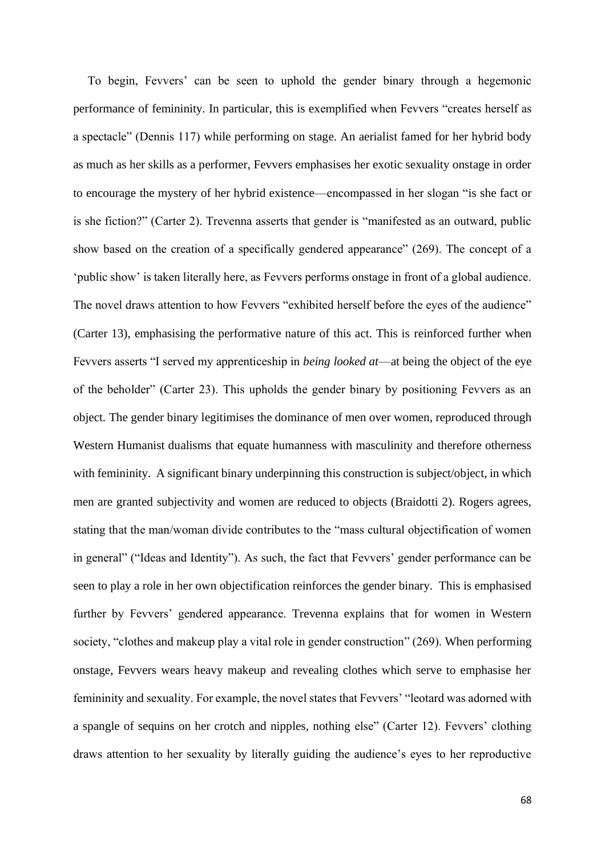To begin, Fevvers' can be seen to uphold the gender binary through a hegemonic performance of femininity. In particular, this is exemplified when Fevvers "creates herself as a spectacle" (Dennis 117) while performing on stage. An aerialist famed for her hybrid body as much as her skills as a performer, Fevvers emphasises her exotic sexuality onstage in order to encourage the mystery of her hybrid existence––encompassed in her slogan "is she fact or is she fiction?" (Carter 2). Trevenna asserts that gender is "manifested as an outward, public show based on the creation of a specifically gendered appearance" (269). The concept of a 'public show' is taken literally here, as Fevvers performs onstage in front of a global audience. The novel draws attention to how Fevvers "exhibited herself before the eyes of the audience" (Carter 13), emphasising the performative nature of this act. This is reinforced further when Fevvers asserts "I served my apprenticeship in *being looked at*––at being the object of the eye of the beholder" (Carter 23). This upholds the gender binary by positioning Fevvers as an object. The gender binary legitimises the dominance of men over women, reproduced through Western Humanist dualisms that equate humanness with masculinity and therefore otherness with femininity. A significant binary underpinning this construction is subject/object, in which men are granted subjectivity and women are reduced to objects (Braidotti 2). Rogers agrees, stating that the man/woman divide contributes to the "mass cultural objectification of women in general" ("Ideas and Identity"). As such, the fact that Fevvers' gender performance can be seen to play a role in her own objectification reinforces the gender binary. This is emphasised further by Fevvers' gendered appearance. Trevenna explains that for women in Western society, "clothes and makeup play a vital role in gender construction" (269). When performing onstage, Fevvers wears heavy makeup and revealing clothes which serve to emphasise her femininity and sexuality. For example, the novel states that Fevvers' "leotard was adorned with a spangle of sequins on her crotch and nipples, nothing else" (Carter 12). Fevvers' clothing draws attention to her sexuality by literally guiding the audience's eyes to her reproductive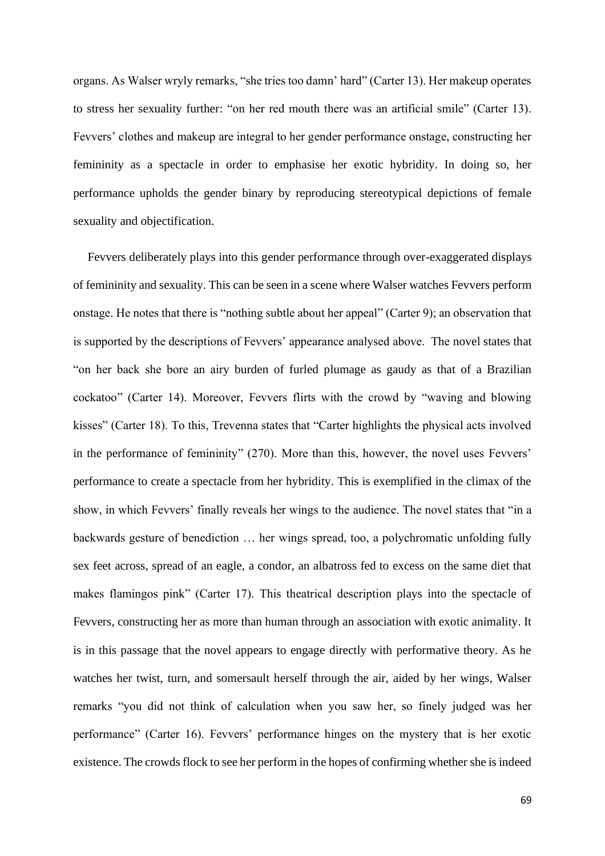organs. As Walser wryly remarks, "she tries too damn' hard" (Carter 13). Her makeup operates to stress her sexuality further: "on her red mouth there was an artificial smile" (Carter 13). Fevvers' clothes and makeup are integral to her gender performance onstage, constructing her femininity as a spectacle in order to emphasise her exotic hybridity. In doing so, her performance upholds the gender binary by reproducing stereotypical depictions of female sexuality and objectification.

Fevvers deliberately plays into this gender performance through over-exaggerated displays of femininity and sexuality. This can be seen in a scene where Walser watches Fevvers perform onstage. He notes that there is "nothing subtle about her appeal" (Carter 9); an observation that is supported by the descriptions of Fevvers' appearance analysed above. The novel states that "on her back she bore an airy burden of furled plumage as gaudy as that of a Brazilian cockatoo" (Carter 14). Moreover, Fevvers flirts with the crowd by "waving and blowing kisses" (Carter 18). To this, Trevenna states that "Carter highlights the physical acts involved in the performance of femininity" (270). More than this, however, the novel uses Fevvers' performance to create a spectacle from her hybridity. This is exemplified in the climax of the show, in which Fevvers' finally reveals her wings to the audience. The novel states that "in a backwards gesture of benediction … her wings spread, too, a polychromatic unfolding fully sex feet across, spread of an eagle, a condor, an albatross fed to excess on the same diet that makes flamingos pink" (Carter 17). This theatrical description plays into the spectacle of Fevvers, constructing her as more than human through an association with exotic animality. It is in this passage that the novel appears to engage directly with performative theory. As he watches her twist, turn, and somersault herself through the air, aided by her wings, Walser remarks "you did not think of calculation when you saw her, so finely judged was her performance" (Carter 16). Fevvers' performance hinges on the mystery that is her exotic existence. The crowds flock to see her perform in the hopes of confirming whether she is indeed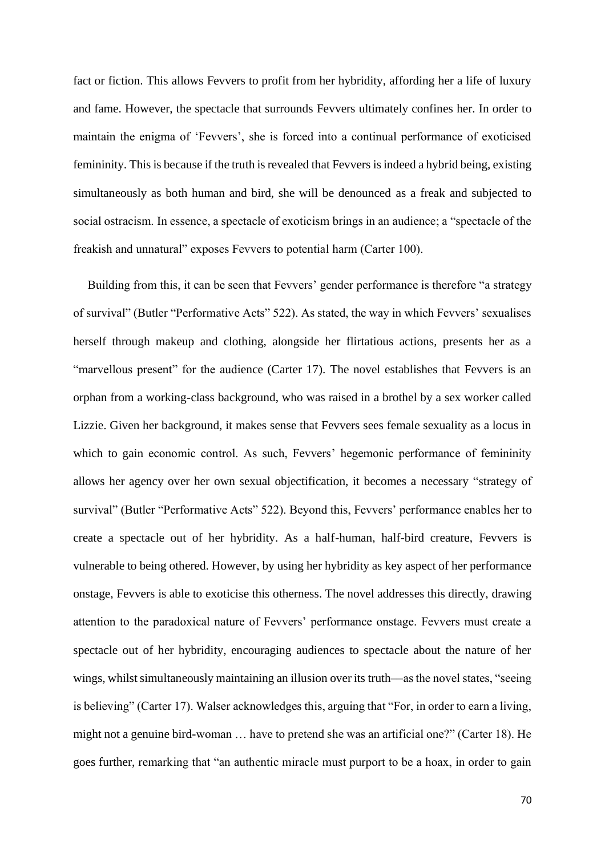fact or fiction. This allows Fevvers to profit from her hybridity, affording her a life of luxury and fame. However, the spectacle that surrounds Fevvers ultimately confines her. In order to maintain the enigma of 'Fevvers', she is forced into a continual performance of exoticised femininity. This is because if the truth is revealed that Fevvers is indeed a hybrid being, existing simultaneously as both human and bird, she will be denounced as a freak and subjected to social ostracism. In essence, a spectacle of exoticism brings in an audience; a "spectacle of the freakish and unnatural" exposes Fevvers to potential harm (Carter 100).

Building from this, it can be seen that Fevvers' gender performance is therefore "a strategy of survival" (Butler "Performative Acts" 522). As stated, the way in which Fevvers' sexualises herself through makeup and clothing, alongside her flirtatious actions, presents her as a "marvellous present" for the audience (Carter 17). The novel establishes that Fevvers is an orphan from a working-class background, who was raised in a brothel by a sex worker called Lizzie. Given her background, it makes sense that Fevvers sees female sexuality as a locus in which to gain economic control. As such, Fevvers' hegemonic performance of femininity allows her agency over her own sexual objectification, it becomes a necessary "strategy of survival" (Butler "Performative Acts" 522). Beyond this, Fevvers' performance enables her to create a spectacle out of her hybridity. As a half-human, half-bird creature, Fevvers is vulnerable to being othered. However, by using her hybridity as key aspect of her performance onstage, Fevvers is able to exoticise this otherness. The novel addresses this directly, drawing attention to the paradoxical nature of Fevvers' performance onstage. Fevvers must create a spectacle out of her hybridity, encouraging audiences to spectacle about the nature of her wings, whilst simultaneously maintaining an illusion over its truth––as the novel states, "seeing is believing" (Carter 17). Walser acknowledges this, arguing that "For, in order to earn a living, might not a genuine bird-woman … have to pretend she was an artificial one?" (Carter 18). He goes further, remarking that "an authentic miracle must purport to be a hoax, in order to gain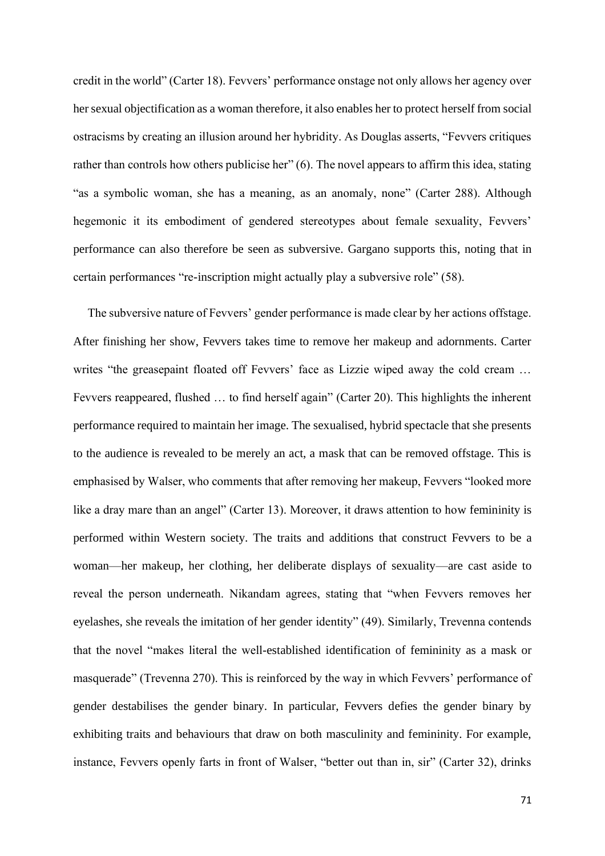credit in the world" (Carter 18). Fevvers' performance onstage not only allows her agency over her sexual objectification as a woman therefore, it also enables her to protect herself from social ostracisms by creating an illusion around her hybridity. As Douglas asserts, "Fevvers critiques rather than controls how others publicise her" (6). The novel appears to affirm this idea, stating "as a symbolic woman, she has a meaning, as an anomaly, none" (Carter 288). Although hegemonic it its embodiment of gendered stereotypes about female sexuality, Fevvers' performance can also therefore be seen as subversive. Gargano supports this, noting that in certain performances "re-inscription might actually play a subversive role" (58).

The subversive nature of Fevvers' gender performance is made clear by her actions offstage. After finishing her show, Fevvers takes time to remove her makeup and adornments. Carter writes "the greasepaint floated off Fevvers' face as Lizzie wiped away the cold cream … Fevvers reappeared, flushed … to find herself again" (Carter 20). This highlights the inherent performance required to maintain her image. The sexualised, hybrid spectacle that she presents to the audience is revealed to be merely an act, a mask that can be removed offstage. This is emphasised by Walser, who comments that after removing her makeup, Fevvers "looked more like a dray mare than an angel" (Carter 13). Moreover, it draws attention to how femininity is performed within Western society. The traits and additions that construct Fevvers to be a woman—her makeup, her clothing, her deliberate displays of sexuality—are cast aside to reveal the person underneath. Nikandam agrees, stating that "when Fevvers removes her eyelashes, she reveals the imitation of her gender identity" (49). Similarly, Trevenna contends that the novel "makes literal the well-established identification of femininity as a mask or masquerade" (Trevenna 270). This is reinforced by the way in which Fevvers' performance of gender destabilises the gender binary. In particular, Fevvers defies the gender binary by exhibiting traits and behaviours that draw on both masculinity and femininity. For example, instance, Fevvers openly farts in front of Walser, "better out than in, sir" (Carter 32), drinks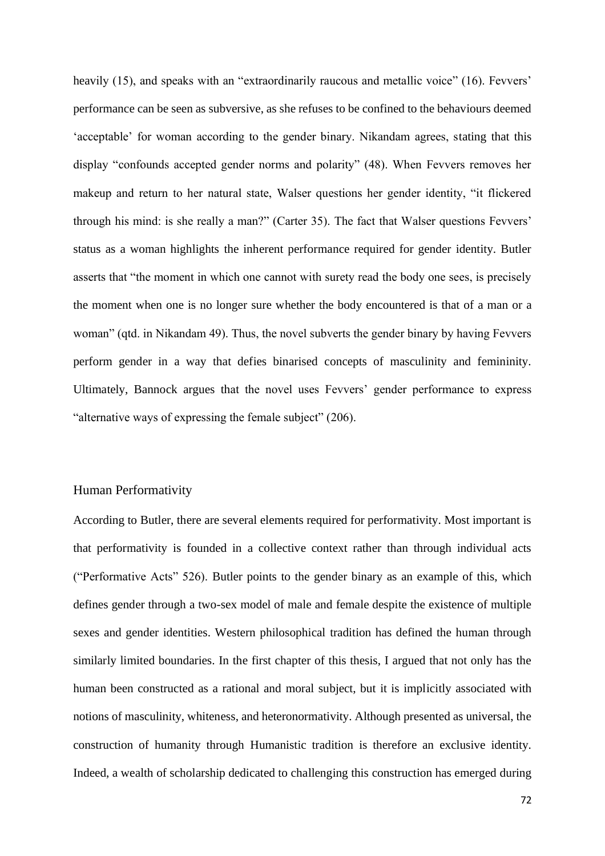heavily (15), and speaks with an "extraordinarily raucous and metallic voice" (16). Fevvers' performance can be seen as subversive, as she refuses to be confined to the behaviours deemed 'acceptable' for woman according to the gender binary. Nikandam agrees, stating that this display "confounds accepted gender norms and polarity" (48). When Fevvers removes her makeup and return to her natural state, Walser questions her gender identity, "it flickered through his mind: is she really a man?" (Carter 35). The fact that Walser questions Fevvers' status as a woman highlights the inherent performance required for gender identity. Butler asserts that "the moment in which one cannot with surety read the body one sees, is precisely the moment when one is no longer sure whether the body encountered is that of a man or a woman" (qtd. in Nikandam 49). Thus, the novel subverts the gender binary by having Fevvers perform gender in a way that defies binarised concepts of masculinity and femininity. Ultimately, Bannock argues that the novel uses Fevvers' gender performance to express "alternative ways of expressing the female subject" (206).

### Human Performativity

According to Butler, there are several elements required for performativity. Most important is that performativity is founded in a collective context rather than through individual acts ("Performative Acts" 526). Butler points to the gender binary as an example of this, which defines gender through a two-sex model of male and female despite the existence of multiple sexes and gender identities. Western philosophical tradition has defined the human through similarly limited boundaries. In the first chapter of this thesis, I argued that not only has the human been constructed as a rational and moral subject, but it is implicitly associated with notions of masculinity, whiteness, and heteronormativity. Although presented as universal, the construction of humanity through Humanistic tradition is therefore an exclusive identity. Indeed, a wealth of scholarship dedicated to challenging this construction has emerged during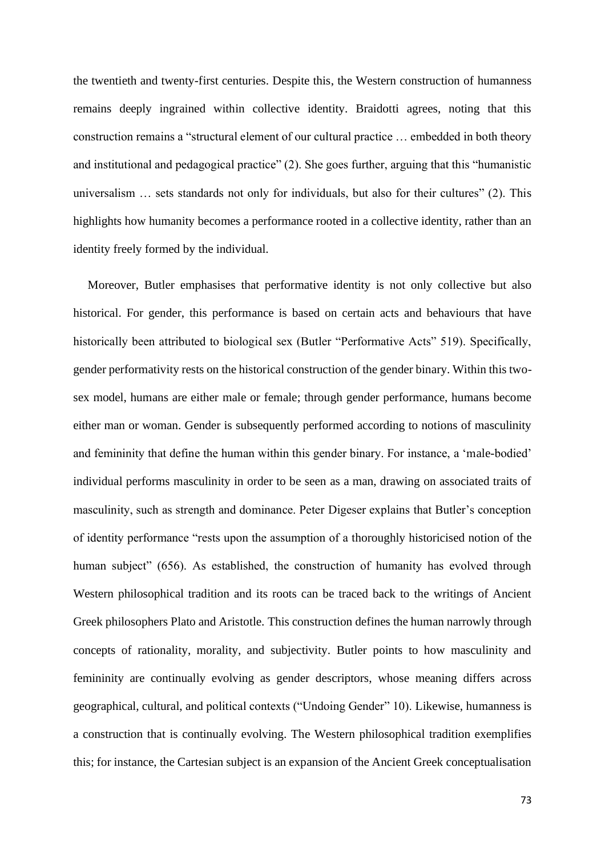the twentieth and twenty-first centuries. Despite this, the Western construction of humanness remains deeply ingrained within collective identity. Braidotti agrees, noting that this construction remains a "structural element of our cultural practice … embedded in both theory and institutional and pedagogical practice" (2). She goes further, arguing that this "humanistic universalism … sets standards not only for individuals, but also for their cultures" (2). This highlights how humanity becomes a performance rooted in a collective identity, rather than an identity freely formed by the individual.

Moreover, Butler emphasises that performative identity is not only collective but also historical. For gender, this performance is based on certain acts and behaviours that have historically been attributed to biological sex (Butler "Performative Acts" 519). Specifically, gender performativity rests on the historical construction of the gender binary. Within this twosex model, humans are either male or female; through gender performance, humans become either man or woman. Gender is subsequently performed according to notions of masculinity and femininity that define the human within this gender binary. For instance, a 'male-bodied' individual performs masculinity in order to be seen as a man, drawing on associated traits of masculinity, such as strength and dominance. Peter Digeser explains that Butler's conception of identity performance "rests upon the assumption of a thoroughly historicised notion of the human subject" (656). As established, the construction of humanity has evolved through Western philosophical tradition and its roots can be traced back to the writings of Ancient Greek philosophers Plato and Aristotle. This construction defines the human narrowly through concepts of rationality, morality, and subjectivity. Butler points to how masculinity and femininity are continually evolving as gender descriptors, whose meaning differs across geographical, cultural, and political contexts ("Undoing Gender" 10). Likewise, humanness is a construction that is continually evolving. The Western philosophical tradition exemplifies this; for instance, the Cartesian subject is an expansion of the Ancient Greek conceptualisation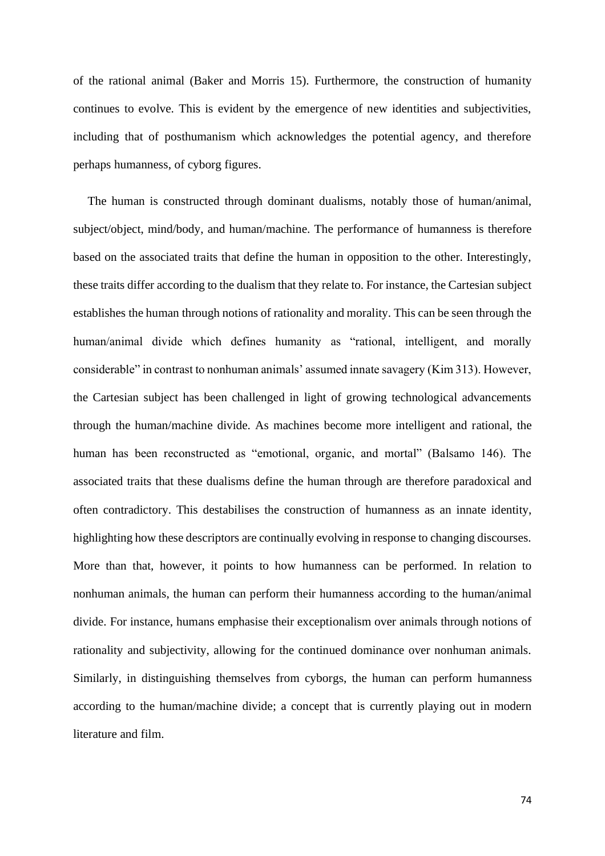of the rational animal (Baker and Morris 15). Furthermore, the construction of humanity continues to evolve. This is evident by the emergence of new identities and subjectivities, including that of posthumanism which acknowledges the potential agency, and therefore perhaps humanness, of cyborg figures.

The human is constructed through dominant dualisms, notably those of human/animal, subject/object, mind/body, and human/machine. The performance of humanness is therefore based on the associated traits that define the human in opposition to the other. Interestingly, these traits differ according to the dualism that they relate to. For instance, the Cartesian subject establishes the human through notions of rationality and morality. This can be seen through the human/animal divide which defines humanity as "rational, intelligent, and morally considerable" in contrast to nonhuman animals' assumed innate savagery (Kim 313). However, the Cartesian subject has been challenged in light of growing technological advancements through the human/machine divide. As machines become more intelligent and rational, the human has been reconstructed as "emotional, organic, and mortal" (Balsamo 146). The associated traits that these dualisms define the human through are therefore paradoxical and often contradictory. This destabilises the construction of humanness as an innate identity, highlighting how these descriptors are continually evolving in response to changing discourses. More than that, however, it points to how humanness can be performed. In relation to nonhuman animals, the human can perform their humanness according to the human/animal divide. For instance, humans emphasise their exceptionalism over animals through notions of rationality and subjectivity, allowing for the continued dominance over nonhuman animals. Similarly, in distinguishing themselves from cyborgs, the human can perform humanness according to the human/machine divide; a concept that is currently playing out in modern literature and film.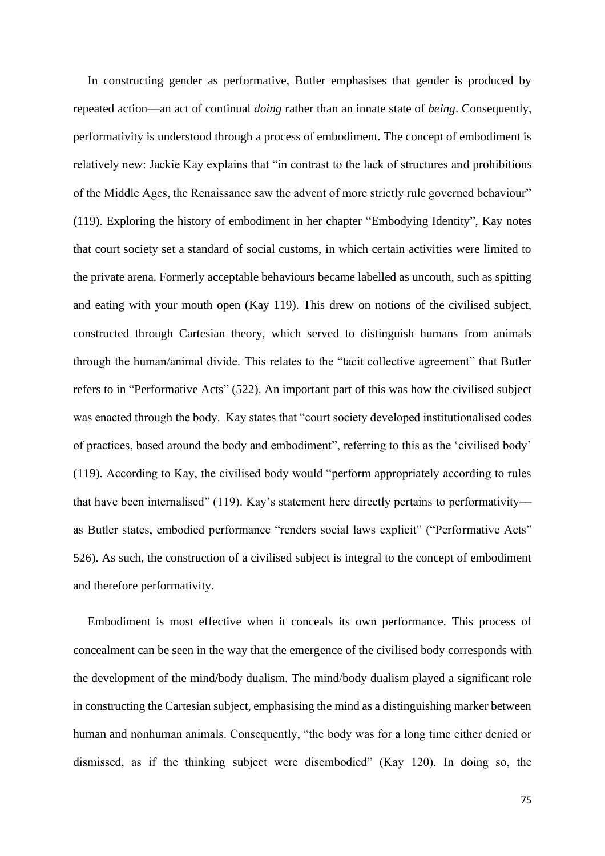In constructing gender as performative, Butler emphasises that gender is produced by repeated action—an act of continual *doing* rather than an innate state of *being*. Consequently, performativity is understood through a process of embodiment. The concept of embodiment is relatively new: Jackie Kay explains that "in contrast to the lack of structures and prohibitions of the Middle Ages, the Renaissance saw the advent of more strictly rule governed behaviour" (119). Exploring the history of embodiment in her chapter "Embodying Identity", Kay notes that court society set a standard of social customs, in which certain activities were limited to the private arena. Formerly acceptable behaviours became labelled as uncouth, such as spitting and eating with your mouth open (Kay 119). This drew on notions of the civilised subject, constructed through Cartesian theory, which served to distinguish humans from animals through the human/animal divide. This relates to the "tacit collective agreement" that Butler refers to in "Performative Acts" (522). An important part of this was how the civilised subject was enacted through the body. Kay states that "court society developed institutionalised codes of practices, based around the body and embodiment", referring to this as the 'civilised body' (119). According to Kay, the civilised body would "perform appropriately according to rules that have been internalised" (119). Kay's statement here directly pertains to performativity–– as Butler states, embodied performance "renders social laws explicit" ("Performative Acts" 526). As such, the construction of a civilised subject is integral to the concept of embodiment and therefore performativity.

Embodiment is most effective when it conceals its own performance. This process of concealment can be seen in the way that the emergence of the civilised body corresponds with the development of the mind/body dualism. The mind/body dualism played a significant role in constructing the Cartesian subject, emphasising the mind as a distinguishing marker between human and nonhuman animals. Consequently, "the body was for a long time either denied or dismissed, as if the thinking subject were disembodied" (Kay 120). In doing so, the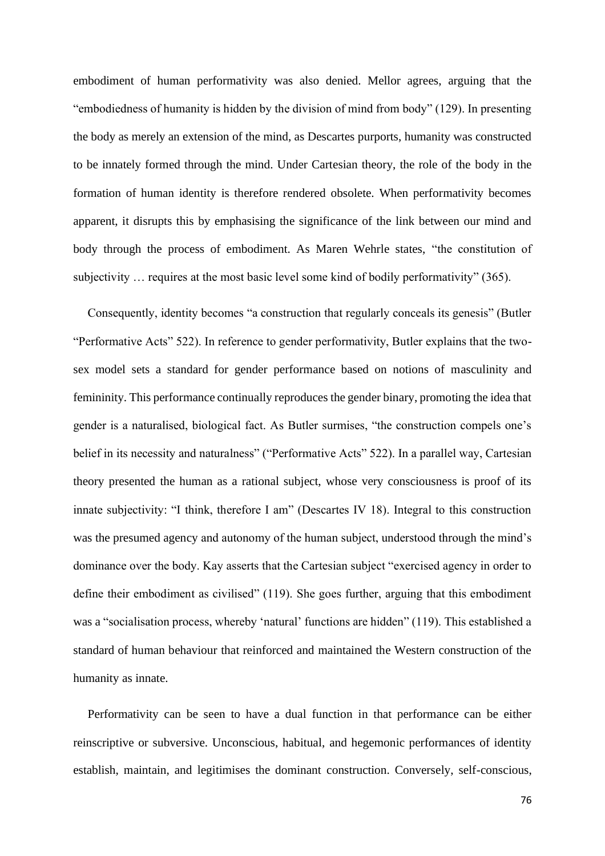embodiment of human performativity was also denied. Mellor agrees, arguing that the "embodiedness of humanity is hidden by the division of mind from body" (129). In presenting the body as merely an extension of the mind, as Descartes purports, humanity was constructed to be innately formed through the mind. Under Cartesian theory, the role of the body in the formation of human identity is therefore rendered obsolete. When performativity becomes apparent, it disrupts this by emphasising the significance of the link between our mind and body through the process of embodiment. As Maren Wehrle states, "the constitution of subjectivity … requires at the most basic level some kind of bodily performativity" (365).

Consequently, identity becomes "a construction that regularly conceals its genesis" (Butler "Performative Acts" 522). In reference to gender performativity, Butler explains that the twosex model sets a standard for gender performance based on notions of masculinity and femininity. This performance continually reproduces the gender binary, promoting the idea that gender is a naturalised, biological fact. As Butler surmises, "the construction compels one's belief in its necessity and naturalness" ("Performative Acts" 522). In a parallel way, Cartesian theory presented the human as a rational subject, whose very consciousness is proof of its innate subjectivity: "I think, therefore I am" (Descartes IV 18). Integral to this construction was the presumed agency and autonomy of the human subject, understood through the mind's dominance over the body. Kay asserts that the Cartesian subject "exercised agency in order to define their embodiment as civilised" (119). She goes further, arguing that this embodiment was a "socialisation process, whereby 'natural' functions are hidden" (119). This established a standard of human behaviour that reinforced and maintained the Western construction of the humanity as innate.

Performativity can be seen to have a dual function in that performance can be either reinscriptive or subversive. Unconscious, habitual, and hegemonic performances of identity establish, maintain, and legitimises the dominant construction. Conversely, self-conscious,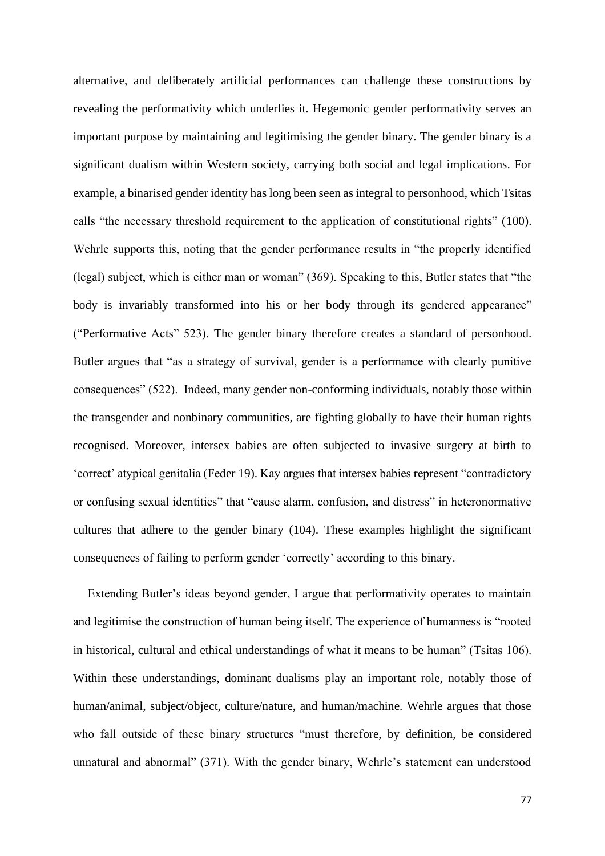alternative, and deliberately artificial performances can challenge these constructions by revealing the performativity which underlies it. Hegemonic gender performativity serves an important purpose by maintaining and legitimising the gender binary. The gender binary is a significant dualism within Western society, carrying both social and legal implications. For example, a binarised gender identity has long been seen as integral to personhood, which Tsitas calls "the necessary threshold requirement to the application of constitutional rights" (100). Wehrle supports this, noting that the gender performance results in "the properly identified (legal) subject, which is either man or woman" (369). Speaking to this, Butler states that "the body is invariably transformed into his or her body through its gendered appearance" ("Performative Acts" 523). The gender binary therefore creates a standard of personhood. Butler argues that "as a strategy of survival, gender is a performance with clearly punitive consequences" (522). Indeed, many gender non-conforming individuals, notably those within the transgender and nonbinary communities, are fighting globally to have their human rights recognised. Moreover, intersex babies are often subjected to invasive surgery at birth to 'correct' atypical genitalia (Feder 19). Kay argues that intersex babies represent "contradictory or confusing sexual identities" that "cause alarm, confusion, and distress" in heteronormative cultures that adhere to the gender binary (104). These examples highlight the significant consequences of failing to perform gender 'correctly' according to this binary.

Extending Butler's ideas beyond gender, I argue that performativity operates to maintain and legitimise the construction of human being itself. The experience of humanness is "rooted in historical, cultural and ethical understandings of what it means to be human" (Tsitas 106). Within these understandings, dominant dualisms play an important role, notably those of human/animal, subject/object, culture/nature, and human/machine. Wehrle argues that those who fall outside of these binary structures "must therefore, by definition, be considered unnatural and abnormal" (371). With the gender binary, Wehrle's statement can understood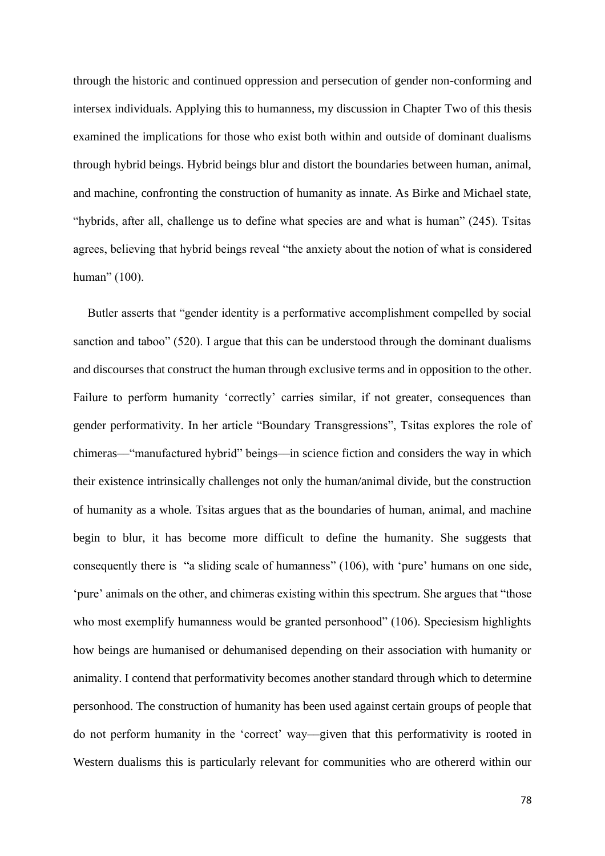through the historic and continued oppression and persecution of gender non-conforming and intersex individuals. Applying this to humanness, my discussion in Chapter Two of this thesis examined the implications for those who exist both within and outside of dominant dualisms through hybrid beings. Hybrid beings blur and distort the boundaries between human, animal, and machine, confronting the construction of humanity as innate. As Birke and Michael state, "hybrids, after all, challenge us to define what species are and what is human" (245). Tsitas agrees, believing that hybrid beings reveal "the anxiety about the notion of what is considered human" (100).

Butler asserts that "gender identity is a performative accomplishment compelled by social sanction and taboo" (520). I argue that this can be understood through the dominant dualisms and discourses that construct the human through exclusive terms and in opposition to the other. Failure to perform humanity 'correctly' carries similar, if not greater, consequences than gender performativity. In her article "Boundary Transgressions", Tsitas explores the role of chimeras––"manufactured hybrid" beings––in science fiction and considers the way in which their existence intrinsically challenges not only the human/animal divide, but the construction of humanity as a whole. Tsitas argues that as the boundaries of human, animal, and machine begin to blur, it has become more difficult to define the humanity. She suggests that consequently there is "a sliding scale of humanness" (106), with 'pure' humans on one side, 'pure' animals on the other, and chimeras existing within this spectrum. She argues that "those who most exemplify humanness would be granted personhood" (106). Speciesism highlights how beings are humanised or dehumanised depending on their association with humanity or animality. I contend that performativity becomes another standard through which to determine personhood. The construction of humanity has been used against certain groups of people that do not perform humanity in the 'correct' way––given that this performativity is rooted in Western dualisms this is particularly relevant for communities who are othererd within our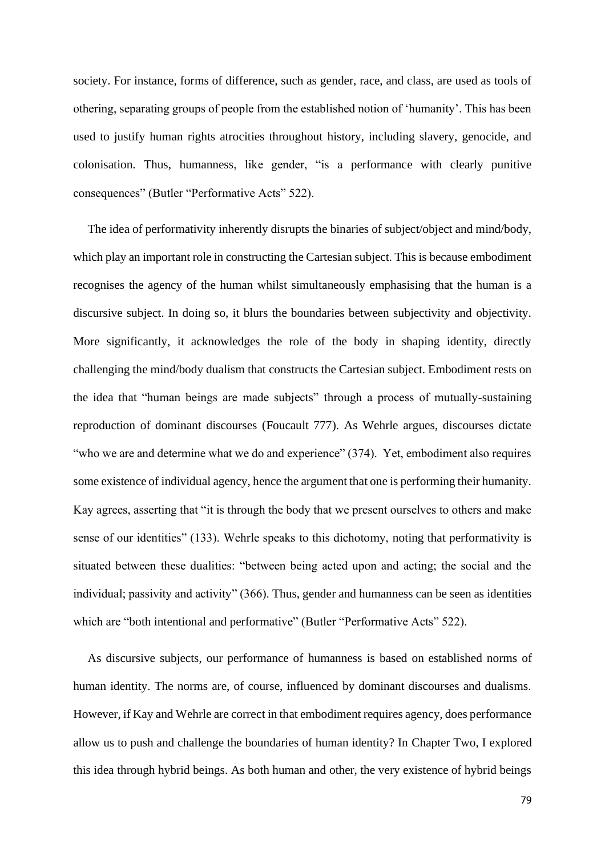society. For instance, forms of difference, such as gender, race, and class, are used as tools of othering, separating groups of people from the established notion of 'humanity'. This has been used to justify human rights atrocities throughout history, including slavery, genocide, and colonisation. Thus, humanness, like gender, "is a performance with clearly punitive consequences" (Butler "Performative Acts" 522).

The idea of performativity inherently disrupts the binaries of subject/object and mind/body, which play an important role in constructing the Cartesian subject. This is because embodiment recognises the agency of the human whilst simultaneously emphasising that the human is a discursive subject. In doing so, it blurs the boundaries between subjectivity and objectivity. More significantly, it acknowledges the role of the body in shaping identity, directly challenging the mind/body dualism that constructs the Cartesian subject. Embodiment rests on the idea that "human beings are made subjects" through a process of mutually-sustaining reproduction of dominant discourses (Foucault 777). As Wehrle argues, discourses dictate "who we are and determine what we do and experience" (374). Yet, embodiment also requires some existence of individual agency, hence the argument that one is performing their humanity. Kay agrees, asserting that "it is through the body that we present ourselves to others and make sense of our identities" (133). Wehrle speaks to this dichotomy, noting that performativity is situated between these dualities: "between being acted upon and acting; the social and the individual; passivity and activity" (366). Thus, gender and humanness can be seen as identities which are "both intentional and performative" (Butler "Performative Acts" 522).

As discursive subjects, our performance of humanness is based on established norms of human identity. The norms are, of course, influenced by dominant discourses and dualisms. However, if Kay and Wehrle are correct in that embodiment requires agency, does performance allow us to push and challenge the boundaries of human identity? In Chapter Two, I explored this idea through hybrid beings. As both human and other, the very existence of hybrid beings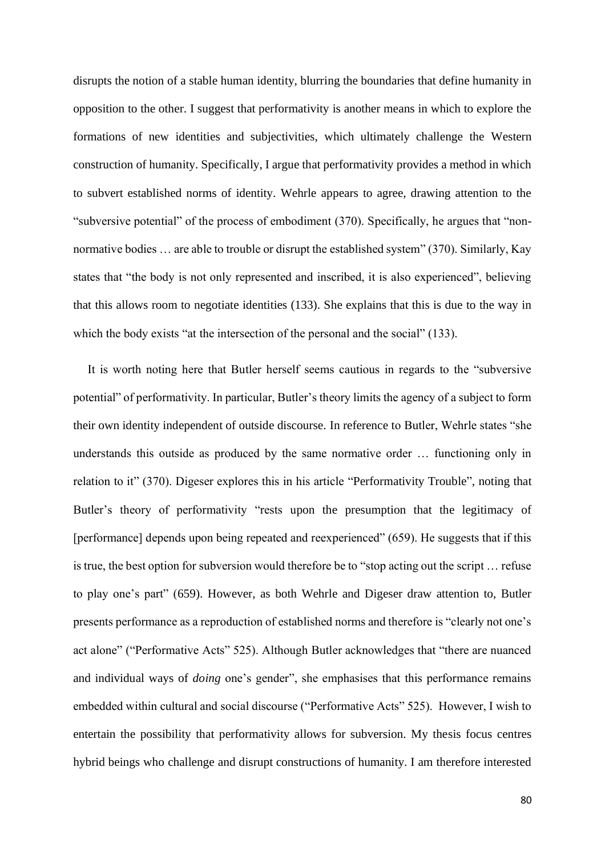disrupts the notion of a stable human identity, blurring the boundaries that define humanity in opposition to the other. I suggest that performativity is another means in which to explore the formations of new identities and subjectivities, which ultimately challenge the Western construction of humanity. Specifically, I argue that performativity provides a method in which to subvert established norms of identity. Wehrle appears to agree, drawing attention to the "subversive potential" of the process of embodiment (370). Specifically, he argues that "nonnormative bodies … are able to trouble or disrupt the established system" (370). Similarly, Kay states that "the body is not only represented and inscribed, it is also experienced", believing that this allows room to negotiate identities (133). She explains that this is due to the way in which the body exists "at the intersection of the personal and the social" (133).

It is worth noting here that Butler herself seems cautious in regards to the "subversive potential" of performativity. In particular, Butler's theory limits the agency of a subject to form their own identity independent of outside discourse. In reference to Butler, Wehrle states "she understands this outside as produced by the same normative order … functioning only in relation to it" (370). Digeser explores this in his article "Performativity Trouble", noting that Butler's theory of performativity "rests upon the presumption that the legitimacy of [performance] depends upon being repeated and reexperienced" (659). He suggests that if this is true, the best option for subversion would therefore be to "stop acting out the script … refuse to play one's part" (659). However, as both Wehrle and Digeser draw attention to, Butler presents performance as a reproduction of established norms and therefore is "clearly not one's act alone" ("Performative Acts" 525). Although Butler acknowledges that "there are nuanced and individual ways of *doing* one's gender", she emphasises that this performance remains embedded within cultural and social discourse ("Performative Acts" 525). However, I wish to entertain the possibility that performativity allows for subversion. My thesis focus centres hybrid beings who challenge and disrupt constructions of humanity. I am therefore interested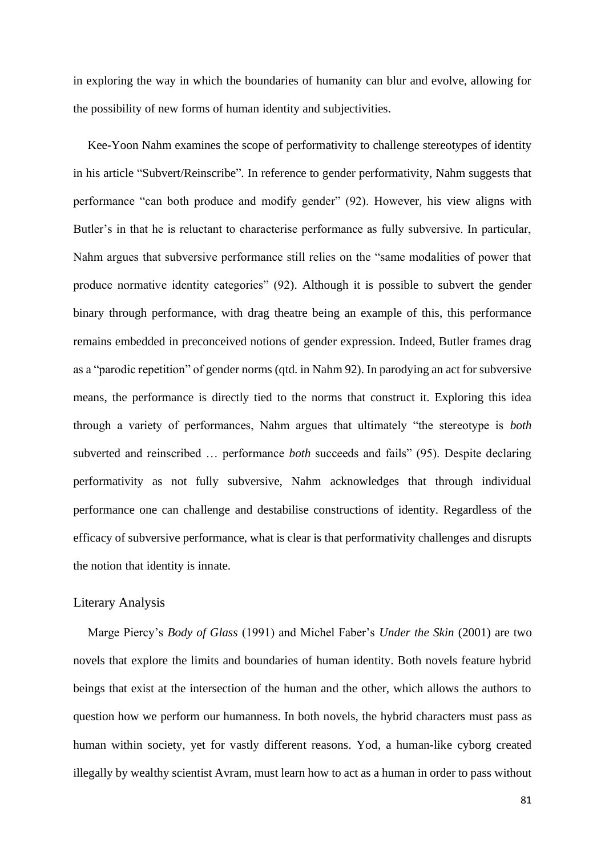in exploring the way in which the boundaries of humanity can blur and evolve, allowing for the possibility of new forms of human identity and subjectivities.

Kee-Yoon Nahm examines the scope of performativity to challenge stereotypes of identity in his article "Subvert/Reinscribe"*.* In reference to gender performativity, Nahm suggests that performance "can both produce and modify gender" (92). However, his view aligns with Butler's in that he is reluctant to characterise performance as fully subversive. In particular, Nahm argues that subversive performance still relies on the "same modalities of power that produce normative identity categories" (92). Although it is possible to subvert the gender binary through performance, with drag theatre being an example of this, this performance remains embedded in preconceived notions of gender expression. Indeed, Butler frames drag as a "parodic repetition" of gender norms (qtd. in Nahm 92). In parodying an act for subversive means, the performance is directly tied to the norms that construct it. Exploring this idea through a variety of performances, Nahm argues that ultimately "the stereotype is *both*  subverted and reinscribed … performance *both* succeeds and fails" (95). Despite declaring performativity as not fully subversive, Nahm acknowledges that through individual performance one can challenge and destabilise constructions of identity. Regardless of the efficacy of subversive performance, what is clear is that performativity challenges and disrupts the notion that identity is innate.

## Literary Analysis

Marge Piercy's *Body of Glass* (1991) and Michel Faber's *Under the Skin* (2001) are two novels that explore the limits and boundaries of human identity. Both novels feature hybrid beings that exist at the intersection of the human and the other, which allows the authors to question how we perform our humanness. In both novels, the hybrid characters must pass as human within society, yet for vastly different reasons. Yod, a human-like cyborg created illegally by wealthy scientist Avram, must learn how to act as a human in order to pass without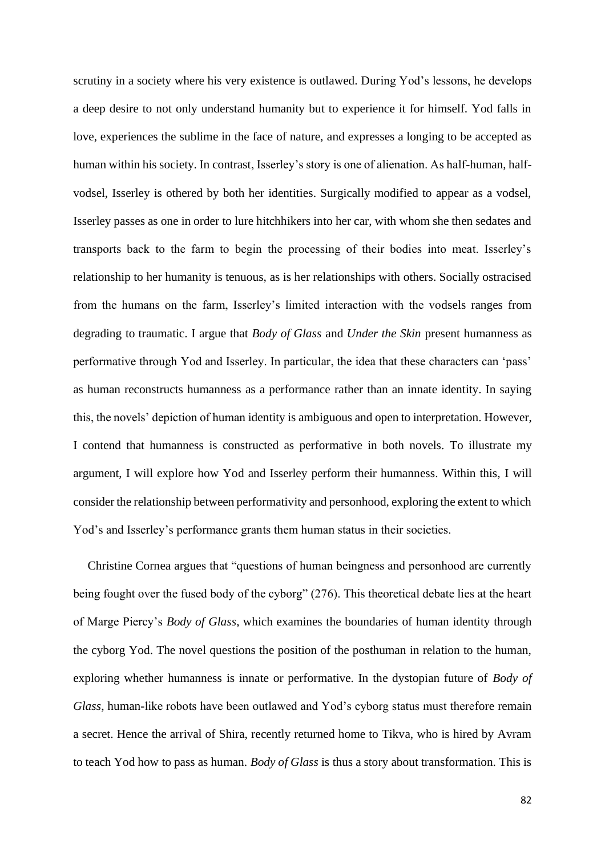scrutiny in a society where his very existence is outlawed. During Yod's lessons, he develops a deep desire to not only understand humanity but to experience it for himself. Yod falls in love, experiences the sublime in the face of nature, and expresses a longing to be accepted as human within his society. In contrast, Isserley's story is one of alienation. As half-human, halfvodsel, Isserley is othered by both her identities. Surgically modified to appear as a vodsel, Isserley passes as one in order to lure hitchhikers into her car, with whom she then sedates and transports back to the farm to begin the processing of their bodies into meat. Isserley's relationship to her humanity is tenuous, as is her relationships with others. Socially ostracised from the humans on the farm, Isserley's limited interaction with the vodsels ranges from degrading to traumatic. I argue that *Body of Glass* and *Under the Skin* present humanness as performative through Yod and Isserley. In particular, the idea that these characters can 'pass' as human reconstructs humanness as a performance rather than an innate identity. In saying this, the novels' depiction of human identity is ambiguous and open to interpretation. However, I contend that humanness is constructed as performative in both novels. To illustrate my argument, I will explore how Yod and Isserley perform their humanness. Within this, I will consider the relationship between performativity and personhood, exploring the extent to which Yod's and Isserley's performance grants them human status in their societies.

Christine Cornea argues that "questions of human beingness and personhood are currently being fought over the fused body of the cyborg" (276). This theoretical debate lies at the heart of Marge Piercy's *Body of Glass*, which examines the boundaries of human identity through the cyborg Yod. The novel questions the position of the posthuman in relation to the human, exploring whether humanness is innate or performative. In the dystopian future of *Body of Glass*, human-like robots have been outlawed and Yod's cyborg status must therefore remain a secret. Hence the arrival of Shira, recently returned home to Tikva, who is hired by Avram to teach Yod how to pass as human. *Body of Glass* is thus a story about transformation. This is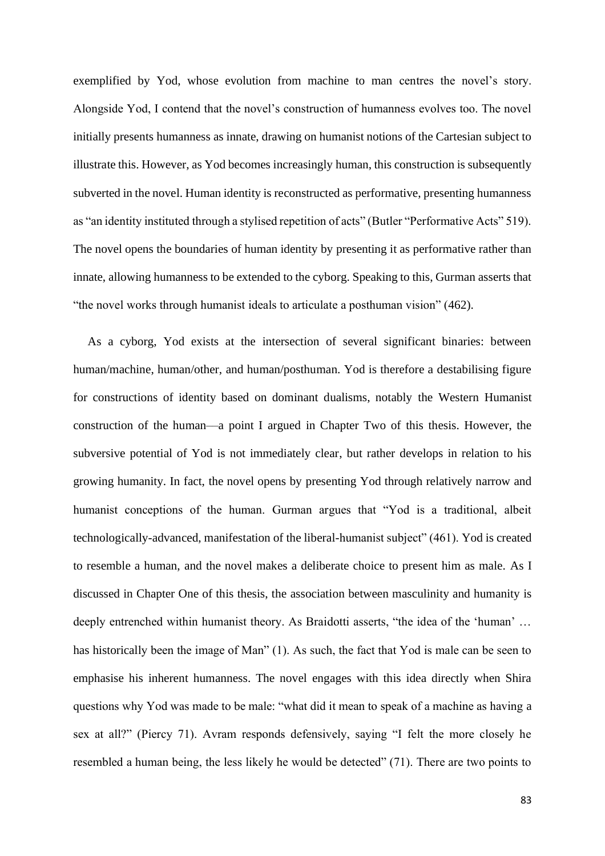exemplified by Yod, whose evolution from machine to man centres the novel's story. Alongside Yod, I contend that the novel's construction of humanness evolves too. The novel initially presents humanness as innate, drawing on humanist notions of the Cartesian subject to illustrate this. However, as Yod becomes increasingly human, this construction is subsequently subverted in the novel. Human identity is reconstructed as performative, presenting humanness as "an identity instituted through a stylised repetition of acts" (Butler "Performative Acts" 519). The novel opens the boundaries of human identity by presenting it as performative rather than innate, allowing humanness to be extended to the cyborg. Speaking to this, Gurman asserts that "the novel works through humanist ideals to articulate a posthuman vision" (462).

As a cyborg, Yod exists at the intersection of several significant binaries: between human/machine, human/other, and human/posthuman. Yod is therefore a destabilising figure for constructions of identity based on dominant dualisms, notably the Western Humanist construction of the human––a point I argued in Chapter Two of this thesis. However, the subversive potential of Yod is not immediately clear, but rather develops in relation to his growing humanity. In fact, the novel opens by presenting Yod through relatively narrow and humanist conceptions of the human. Gurman argues that "Yod is a traditional, albeit technologically-advanced, manifestation of the liberal-humanist subject" (461). Yod is created to resemble a human, and the novel makes a deliberate choice to present him as male. As I discussed in Chapter One of this thesis, the association between masculinity and humanity is deeply entrenched within humanist theory. As Braidotti asserts, "the idea of the 'human' … has historically been the image of Man" (1). As such, the fact that Yod is male can be seen to emphasise his inherent humanness. The novel engages with this idea directly when Shira questions why Yod was made to be male: "what did it mean to speak of a machine as having a sex at all?" (Piercy 71). Avram responds defensively, saying "I felt the more closely he resembled a human being, the less likely he would be detected" (71). There are two points to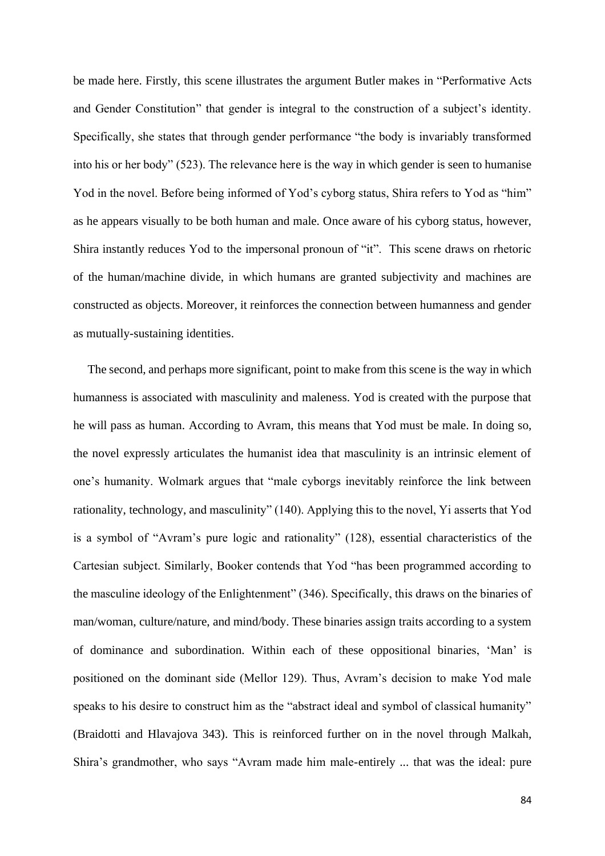be made here. Firstly, this scene illustrates the argument Butler makes in "Performative Acts and Gender Constitution" that gender is integral to the construction of a subject's identity. Specifically, she states that through gender performance "the body is invariably transformed into his or her body" (523). The relevance here is the way in which gender is seen to humanise Yod in the novel. Before being informed of Yod's cyborg status, Shira refers to Yod as "him" as he appears visually to be both human and male. Once aware of his cyborg status, however, Shira instantly reduces Yod to the impersonal pronoun of "it". This scene draws on rhetoric of the human/machine divide, in which humans are granted subjectivity and machines are constructed as objects. Moreover, it reinforces the connection between humanness and gender as mutually-sustaining identities.

The second, and perhaps more significant, point to make from this scene is the way in which humanness is associated with masculinity and maleness. Yod is created with the purpose that he will pass as human. According to Avram, this means that Yod must be male. In doing so, the novel expressly articulates the humanist idea that masculinity is an intrinsic element of one's humanity. Wolmark argues that "male cyborgs inevitably reinforce the link between rationality, technology, and masculinity" (140). Applying this to the novel, Yi asserts that Yod is a symbol of "Avram's pure logic and rationality" (128), essential characteristics of the Cartesian subject. Similarly, Booker contends that Yod "has been programmed according to the masculine ideology of the Enlightenment" (346). Specifically, this draws on the binaries of man/woman, culture/nature, and mind/body. These binaries assign traits according to a system of dominance and subordination. Within each of these oppositional binaries, 'Man' is positioned on the dominant side (Mellor 129). Thus, Avram's decision to make Yod male speaks to his desire to construct him as the "abstract ideal and symbol of classical humanity" (Braidotti and Hlavajova 343). This is reinforced further on in the novel through Malkah, Shira's grandmother, who says "Avram made him male-entirely ... that was the ideal: pure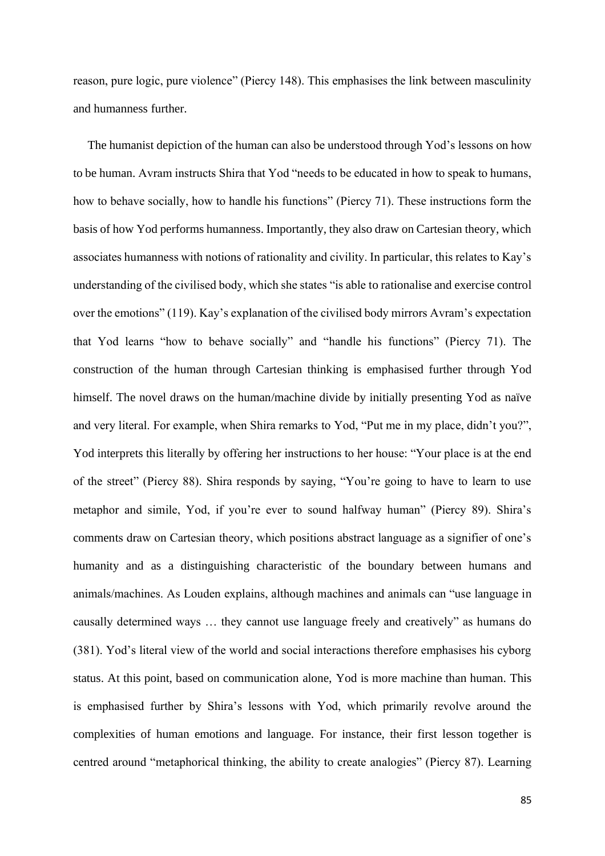reason, pure logic, pure violence" (Piercy 148). This emphasises the link between masculinity and humanness further.

The humanist depiction of the human can also be understood through Yod's lessons on how to be human. Avram instructs Shira that Yod "needs to be educated in how to speak to humans, how to behave socially, how to handle his functions" (Piercy 71). These instructions form the basis of how Yod performs humanness. Importantly, they also draw on Cartesian theory, which associates humanness with notions of rationality and civility. In particular, this relates to Kay's understanding of the civilised body, which she states "is able to rationalise and exercise control over the emotions" (119). Kay's explanation of the civilised body mirrors Avram's expectation that Yod learns "how to behave socially" and "handle his functions" (Piercy 71). The construction of the human through Cartesian thinking is emphasised further through Yod himself. The novel draws on the human/machine divide by initially presenting Yod as naïve and very literal. For example, when Shira remarks to Yod, "Put me in my place, didn't you?", Yod interprets this literally by offering her instructions to her house: "Your place is at the end of the street" (Piercy 88). Shira responds by saying, "You're going to have to learn to use metaphor and simile, Yod, if you're ever to sound halfway human" (Piercy 89). Shira's comments draw on Cartesian theory, which positions abstract language as a signifier of one's humanity and as a distinguishing characteristic of the boundary between humans and animals/machines. As Louden explains, although machines and animals can "use language in causally determined ways … they cannot use language freely and creatively" as humans do (381). Yod's literal view of the world and social interactions therefore emphasises his cyborg status. At this point, based on communication alone, Yod is more machine than human. This is emphasised further by Shira's lessons with Yod, which primarily revolve around the complexities of human emotions and language. For instance, their first lesson together is centred around "metaphorical thinking, the ability to create analogies" (Piercy 87). Learning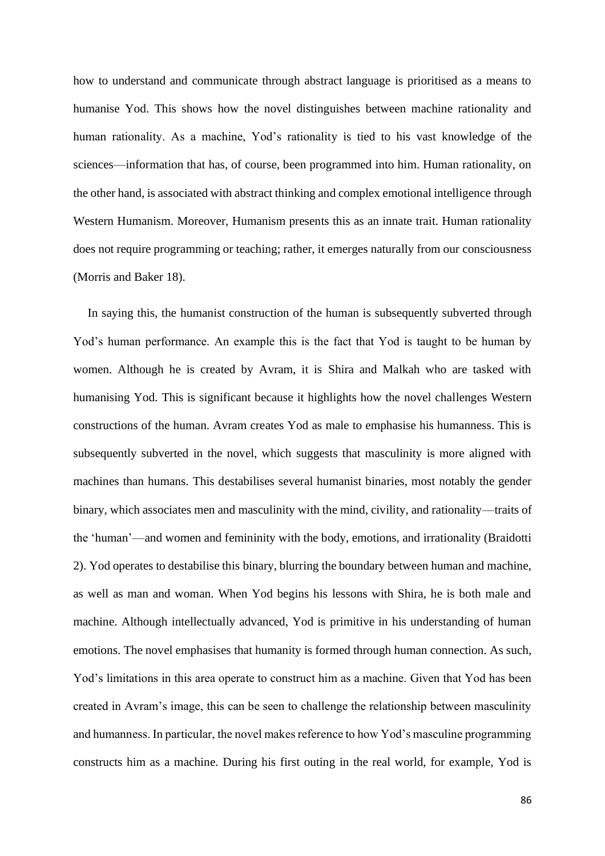how to understand and communicate through abstract language is prioritised as a means to humanise Yod. This shows how the novel distinguishes between machine rationality and human rationality. As a machine, Yod's rationality is tied to his vast knowledge of the sciences––information that has, of course, been programmed into him. Human rationality, on the other hand, is associated with abstract thinking and complex emotional intelligence through Western Humanism. Moreover, Humanism presents this as an innate trait. Human rationality does not require programming or teaching; rather, it emerges naturally from our consciousness (Morris and Baker 18).

In saying this, the humanist construction of the human is subsequently subverted through Yod's human performance. An example this is the fact that Yod is taught to be human by women. Although he is created by Avram, it is Shira and Malkah who are tasked with humanising Yod. This is significant because it highlights how the novel challenges Western constructions of the human. Avram creates Yod as male to emphasise his humanness. This is subsequently subverted in the novel, which suggests that masculinity is more aligned with machines than humans. This destabilises several humanist binaries, most notably the gender binary, which associates men and masculinity with the mind, civility, and rationality––traits of the 'human'—and women and femininity with the body, emotions, and irrationality (Braidotti 2). Yod operates to destabilise this binary, blurring the boundary between human and machine, as well as man and woman. When Yod begins his lessons with Shira, he is both male and machine. Although intellectually advanced, Yod is primitive in his understanding of human emotions. The novel emphasises that humanity is formed through human connection. As such, Yod's limitations in this area operate to construct him as a machine. Given that Yod has been created in Avram's image, this can be seen to challenge the relationship between masculinity and humanness. In particular, the novel makes reference to how Yod's masculine programming constructs him as a machine. During his first outing in the real world, for example, Yod is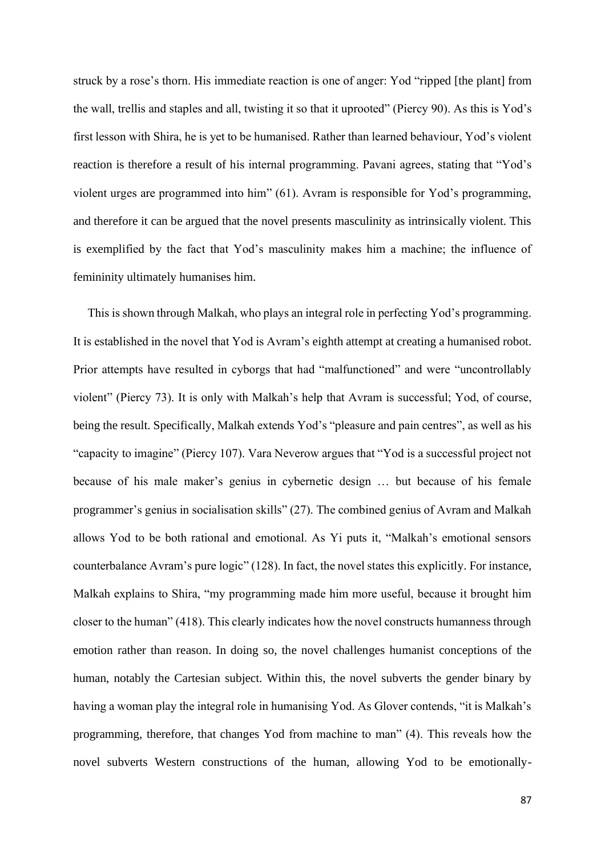struck by a rose's thorn. His immediate reaction is one of anger: Yod "ripped [the plant] from the wall, trellis and staples and all, twisting it so that it uprooted" (Piercy 90). As this is Yod's first lesson with Shira, he is yet to be humanised. Rather than learned behaviour, Yod's violent reaction is therefore a result of his internal programming. Pavani agrees, stating that "Yod's violent urges are programmed into him" (61). Avram is responsible for Yod's programming, and therefore it can be argued that the novel presents masculinity as intrinsically violent. This is exemplified by the fact that Yod's masculinity makes him a machine; the influence of femininity ultimately humanises him.

This is shown through Malkah, who plays an integral role in perfecting Yod's programming. It is established in the novel that Yod is Avram's eighth attempt at creating a humanised robot. Prior attempts have resulted in cyborgs that had "malfunctioned" and were "uncontrollably violent" (Piercy 73). It is only with Malkah's help that Avram is successful; Yod, of course, being the result. Specifically, Malkah extends Yod's "pleasure and pain centres", as well as his "capacity to imagine" (Piercy 107). Vara Neverow argues that "Yod is a successful project not because of his male maker's genius in cybernetic design … but because of his female programmer's genius in socialisation skills" (27). The combined genius of Avram and Malkah allows Yod to be both rational and emotional. As Yi puts it, "Malkah's emotional sensors counterbalance Avram's pure logic" (128). In fact, the novel states this explicitly. For instance, Malkah explains to Shira, "my programming made him more useful, because it brought him closer to the human" (418). This clearly indicates how the novel constructs humanness through emotion rather than reason. In doing so, the novel challenges humanist conceptions of the human, notably the Cartesian subject. Within this, the novel subverts the gender binary by having a woman play the integral role in humanising Yod. As Glover contends, "it is Malkah's programming, therefore, that changes Yod from machine to man" (4). This reveals how the novel subverts Western constructions of the human, allowing Yod to be emotionally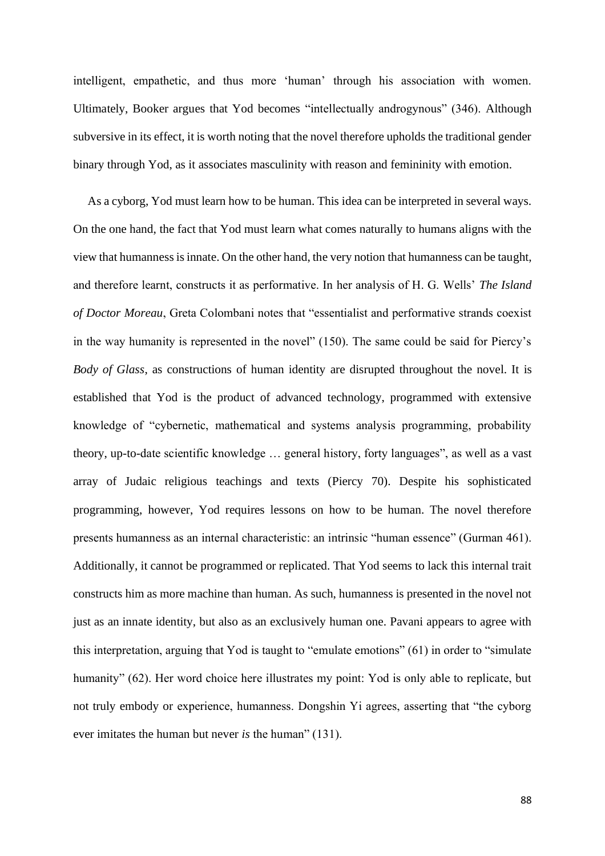intelligent, empathetic, and thus more 'human' through his association with women. Ultimately, Booker argues that Yod becomes "intellectually androgynous" (346). Although subversive in its effect, it is worth noting that the novel therefore upholds the traditional gender binary through Yod, as it associates masculinity with reason and femininity with emotion.

As a cyborg, Yod must learn how to be human. This idea can be interpreted in several ways. On the one hand, the fact that Yod must learn what comes naturally to humans aligns with the view that humanness is innate. On the other hand, the very notion that humanness can be taught, and therefore learnt, constructs it as performative. In her analysis of H. G. Wells' *The Island of Doctor Moreau*, Greta Colombani notes that "essentialist and performative strands coexist in the way humanity is represented in the novel" (150). The same could be said for Piercy's *Body of Glass*, as constructions of human identity are disrupted throughout the novel. It is established that Yod is the product of advanced technology, programmed with extensive knowledge of "cybernetic, mathematical and systems analysis programming, probability theory, up-to-date scientific knowledge … general history, forty languages", as well as a vast array of Judaic religious teachings and texts (Piercy 70). Despite his sophisticated programming, however, Yod requires lessons on how to be human. The novel therefore presents humanness as an internal characteristic: an intrinsic "human essence" (Gurman 461). Additionally, it cannot be programmed or replicated. That Yod seems to lack this internal trait constructs him as more machine than human. As such, humanness is presented in the novel not just as an innate identity, but also as an exclusively human one. Pavani appears to agree with this interpretation, arguing that Yod is taught to "emulate emotions" (61) in order to "simulate humanity" (62). Her word choice here illustrates my point: Yod is only able to replicate, but not truly embody or experience, humanness. Dongshin Yi agrees, asserting that "the cyborg ever imitates the human but never *is* the human" (131).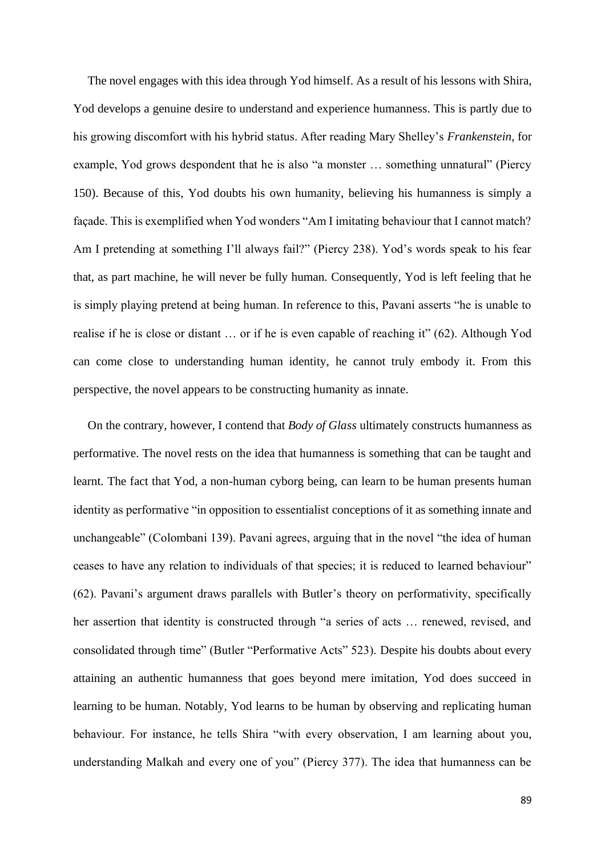The novel engages with this idea through Yod himself. As a result of his lessons with Shira, Yod develops a genuine desire to understand and experience humanness. This is partly due to his growing discomfort with his hybrid status. After reading Mary Shelley's *Frankenstein*, for example, Yod grows despondent that he is also "a monster … something unnatural" (Piercy 150). Because of this, Yod doubts his own humanity, believing his humanness is simply a façade. This is exemplified when Yod wonders "Am I imitating behaviour that I cannot match? Am I pretending at something I'll always fail?" (Piercy 238). Yod's words speak to his fear that, as part machine, he will never be fully human. Consequently, Yod is left feeling that he is simply playing pretend at being human. In reference to this, Pavani asserts "he is unable to realise if he is close or distant … or if he is even capable of reaching it" (62). Although Yod can come close to understanding human identity, he cannot truly embody it. From this perspective, the novel appears to be constructing humanity as innate.

On the contrary, however, I contend that *Body of Glass* ultimately constructs humanness as performative. The novel rests on the idea that humanness is something that can be taught and learnt. The fact that Yod, a non-human cyborg being, can learn to be human presents human identity as performative "in opposition to essentialist conceptions of it as something innate and unchangeable" (Colombani 139). Pavani agrees, arguing that in the novel "the idea of human ceases to have any relation to individuals of that species; it is reduced to learned behaviour" (62). Pavani's argument draws parallels with Butler's theory on performativity, specifically her assertion that identity is constructed through "a series of acts … renewed, revised, and consolidated through time" (Butler "Performative Acts" 523). Despite his doubts about every attaining an authentic humanness that goes beyond mere imitation, Yod does succeed in learning to be human. Notably, Yod learns to be human by observing and replicating human behaviour. For instance, he tells Shira "with every observation, I am learning about you, understanding Malkah and every one of you" (Piercy 377). The idea that humanness can be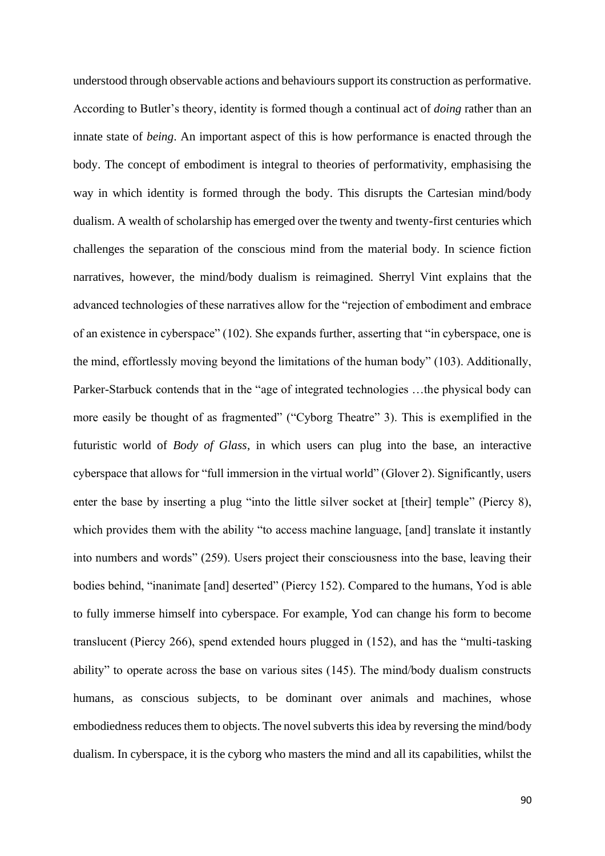understood through observable actions and behaviours support its construction as performative. According to Butler's theory, identity is formed though a continual act of *doing* rather than an innate state of *being*. An important aspect of this is how performance is enacted through the body. The concept of embodiment is integral to theories of performativity, emphasising the way in which identity is formed through the body. This disrupts the Cartesian mind/body dualism. A wealth of scholarship has emerged over the twenty and twenty-first centuries which challenges the separation of the conscious mind from the material body. In science fiction narratives, however, the mind/body dualism is reimagined. Sherryl Vint explains that the advanced technologies of these narratives allow for the "rejection of embodiment and embrace of an existence in cyberspace" (102). She expands further, asserting that "in cyberspace, one is the mind, effortlessly moving beyond the limitations of the human body" (103). Additionally, Parker-Starbuck contends that in the "age of integrated technologies …the physical body can more easily be thought of as fragmented" ("Cyborg Theatre" 3). This is exemplified in the futuristic world of *Body of Glass*, in which users can plug into the base, an interactive cyberspace that allows for "full immersion in the virtual world" (Glover 2). Significantly, users enter the base by inserting a plug "into the little silver socket at [their] temple" (Piercy 8), which provides them with the ability "to access machine language, [and] translate it instantly into numbers and words" (259). Users project their consciousness into the base, leaving their bodies behind, "inanimate [and] deserted" (Piercy 152). Compared to the humans, Yod is able to fully immerse himself into cyberspace. For example, Yod can change his form to become translucent (Piercy 266), spend extended hours plugged in (152), and has the "multi-tasking ability" to operate across the base on various sites (145). The mind/body dualism constructs humans, as conscious subjects, to be dominant over animals and machines, whose embodiedness reduces them to objects. The novel subverts this idea by reversing the mind/body dualism. In cyberspace, it is the cyborg who masters the mind and all its capabilities, whilst the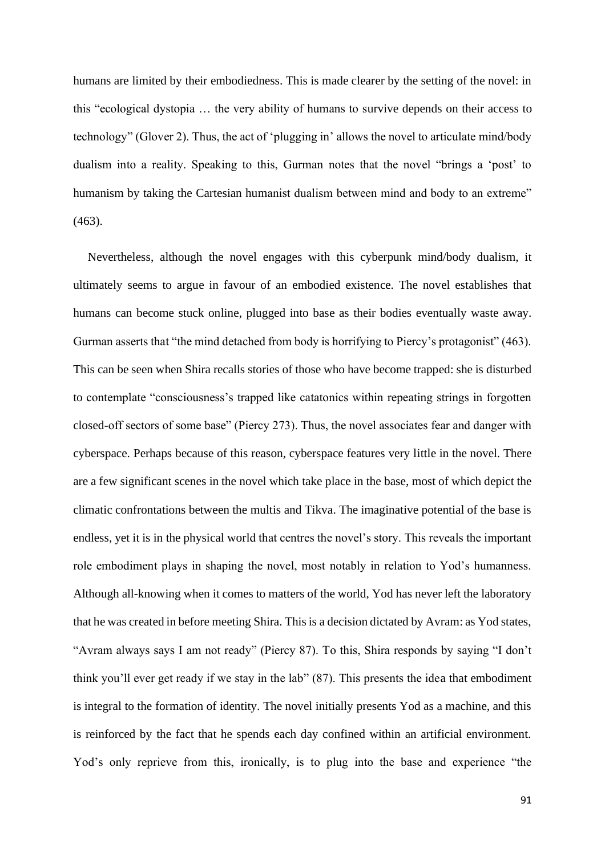humans are limited by their embodiedness. This is made clearer by the setting of the novel: in this "ecological dystopia … the very ability of humans to survive depends on their access to technology" (Glover 2). Thus, the act of 'plugging in' allows the novel to articulate mind/body dualism into a reality. Speaking to this, Gurman notes that the novel "brings a 'post' to humanism by taking the Cartesian humanist dualism between mind and body to an extreme" (463).

Nevertheless, although the novel engages with this cyberpunk mind/body dualism, it ultimately seems to argue in favour of an embodied existence. The novel establishes that humans can become stuck online, plugged into base as their bodies eventually waste away. Gurman asserts that "the mind detached from body is horrifying to Piercy's protagonist" (463). This can be seen when Shira recalls stories of those who have become trapped: she is disturbed to contemplate "consciousness's trapped like catatonics within repeating strings in forgotten closed-off sectors of some base" (Piercy 273). Thus, the novel associates fear and danger with cyberspace. Perhaps because of this reason, cyberspace features very little in the novel. There are a few significant scenes in the novel which take place in the base, most of which depict the climatic confrontations between the multis and Tikva. The imaginative potential of the base is endless, yet it is in the physical world that centres the novel's story. This reveals the important role embodiment plays in shaping the novel, most notably in relation to Yod's humanness. Although all-knowing when it comes to matters of the world, Yod has never left the laboratory that he was created in before meeting Shira. This is a decision dictated by Avram: as Yod states, "Avram always says I am not ready" (Piercy 87). To this, Shira responds by saying "I don't think you'll ever get ready if we stay in the lab" (87). This presents the idea that embodiment is integral to the formation of identity. The novel initially presents Yod as a machine, and this is reinforced by the fact that he spends each day confined within an artificial environment. Yod's only reprieve from this, ironically, is to plug into the base and experience "the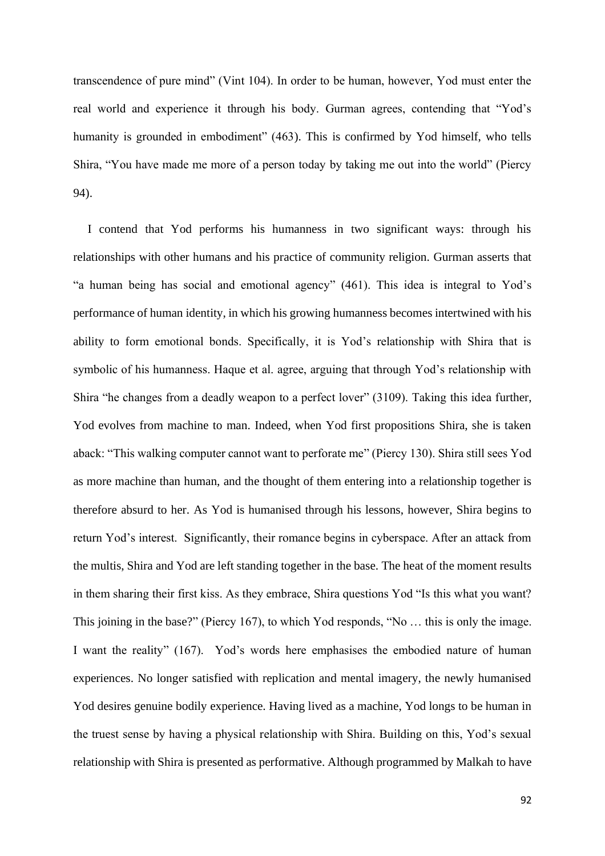transcendence of pure mind" (Vint 104). In order to be human, however, Yod must enter the real world and experience it through his body. Gurman agrees, contending that "Yod's humanity is grounded in embodiment" (463). This is confirmed by Yod himself, who tells Shira, "You have made me more of a person today by taking me out into the world" (Piercy 94).

I contend that Yod performs his humanness in two significant ways: through his relationships with other humans and his practice of community religion. Gurman asserts that "a human being has social and emotional agency" (461). This idea is integral to Yod's performance of human identity, in which his growing humanness becomes intertwined with his ability to form emotional bonds. Specifically, it is Yod's relationship with Shira that is symbolic of his humanness. Haque et al. agree, arguing that through Yod's relationship with Shira "he changes from a deadly weapon to a perfect lover" (3109). Taking this idea further, Yod evolves from machine to man. Indeed, when Yod first propositions Shira, she is taken aback: "This walking computer cannot want to perforate me" (Piercy 130). Shira still sees Yod as more machine than human, and the thought of them entering into a relationship together is therefore absurd to her. As Yod is humanised through his lessons, however, Shira begins to return Yod's interest. Significantly, their romance begins in cyberspace. After an attack from the multis, Shira and Yod are left standing together in the base. The heat of the moment results in them sharing their first kiss. As they embrace, Shira questions Yod "Is this what you want? This joining in the base?" (Piercy 167), to which Yod responds, "No … this is only the image. I want the reality" (167). Yod's words here emphasises the embodied nature of human experiences. No longer satisfied with replication and mental imagery, the newly humanised Yod desires genuine bodily experience. Having lived as a machine, Yod longs to be human in the truest sense by having a physical relationship with Shira. Building on this, Yod's sexual relationship with Shira is presented as performative. Although programmed by Malkah to have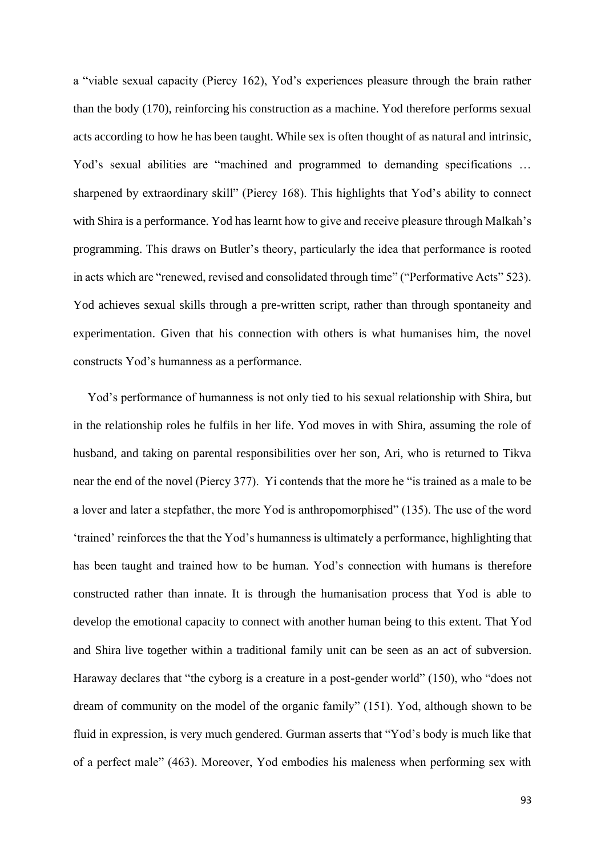a "viable sexual capacity (Piercy 162), Yod's experiences pleasure through the brain rather than the body (170), reinforcing his construction as a machine. Yod therefore performs sexual acts according to how he has been taught. While sex is often thought of as natural and intrinsic, Yod's sexual abilities are "machined and programmed to demanding specifications … sharpened by extraordinary skill" (Piercy 168). This highlights that Yod's ability to connect with Shira is a performance. Yod has learnt how to give and receive pleasure through Malkah's programming. This draws on Butler's theory, particularly the idea that performance is rooted in acts which are "renewed, revised and consolidated through time" ("Performative Acts" 523). Yod achieves sexual skills through a pre-written script, rather than through spontaneity and experimentation. Given that his connection with others is what humanises him, the novel constructs Yod's humanness as a performance.

Yod's performance of humanness is not only tied to his sexual relationship with Shira, but in the relationship roles he fulfils in her life. Yod moves in with Shira, assuming the role of husband, and taking on parental responsibilities over her son, Ari, who is returned to Tikva near the end of the novel (Piercy 377). Yi contends that the more he "is trained as a male to be a lover and later a stepfather, the more Yod is anthropomorphised" (135). The use of the word 'trained' reinforces the that the Yod's humanness is ultimately a performance, highlighting that has been taught and trained how to be human. Yod's connection with humans is therefore constructed rather than innate. It is through the humanisation process that Yod is able to develop the emotional capacity to connect with another human being to this extent. That Yod and Shira live together within a traditional family unit can be seen as an act of subversion. Haraway declares that "the cyborg is a creature in a post-gender world" (150), who "does not dream of community on the model of the organic family" (151). Yod, although shown to be fluid in expression, is very much gendered. Gurman asserts that "Yod's body is much like that of a perfect male" (463). Moreover, Yod embodies his maleness when performing sex with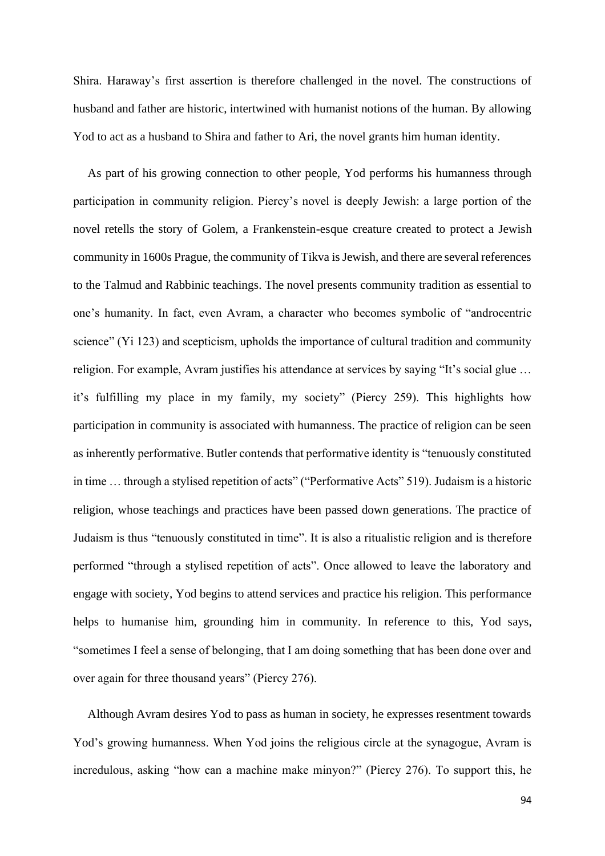Shira. Haraway's first assertion is therefore challenged in the novel. The constructions of husband and father are historic, intertwined with humanist notions of the human. By allowing Yod to act as a husband to Shira and father to Ari, the novel grants him human identity.

As part of his growing connection to other people, Yod performs his humanness through participation in community religion. Piercy's novel is deeply Jewish: a large portion of the novel retells the story of Golem, a Frankenstein-esque creature created to protect a Jewish community in 1600s Prague, the community of Tikva is Jewish, and there are several references to the Talmud and Rabbinic teachings. The novel presents community tradition as essential to one's humanity. In fact, even Avram, a character who becomes symbolic of "androcentric science" (Yi 123) and scepticism, upholds the importance of cultural tradition and community religion. For example, Avram justifies his attendance at services by saying "It's social glue … it's fulfilling my place in my family, my society" (Piercy 259). This highlights how participation in community is associated with humanness. The practice of religion can be seen as inherently performative. Butler contends that performative identity is "tenuously constituted in time … through a stylised repetition of acts" ("Performative Acts" 519). Judaism is a historic religion, whose teachings and practices have been passed down generations. The practice of Judaism is thus "tenuously constituted in time". It is also a ritualistic religion and is therefore performed "through a stylised repetition of acts". Once allowed to leave the laboratory and engage with society, Yod begins to attend services and practice his religion. This performance helps to humanise him, grounding him in community. In reference to this, Yod says, "sometimes I feel a sense of belonging, that I am doing something that has been done over and over again for three thousand years" (Piercy 276).

Although Avram desires Yod to pass as human in society, he expresses resentment towards Yod's growing humanness. When Yod joins the religious circle at the synagogue, Avram is incredulous, asking "how can a machine make minyon?" (Piercy 276). To support this, he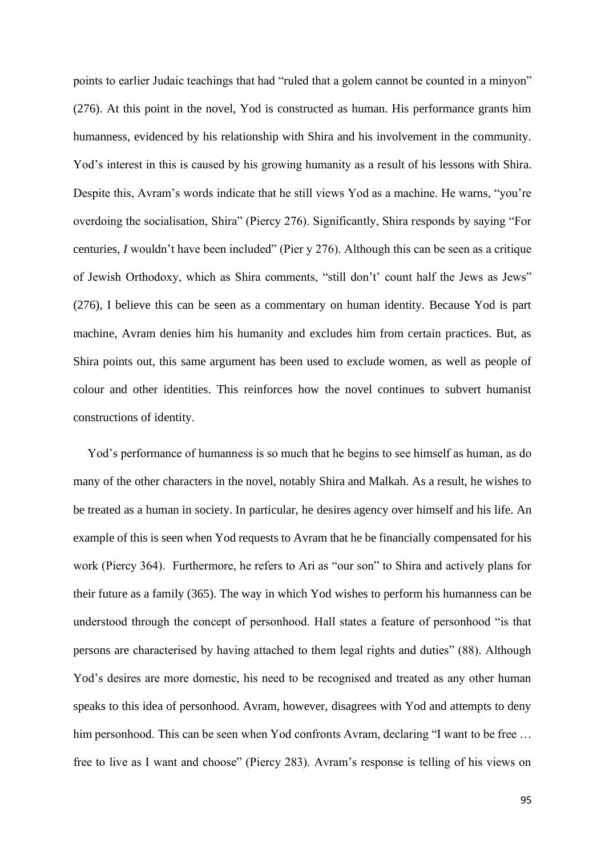points to earlier Judaic teachings that had "ruled that a golem cannot be counted in a minyon" (276). At this point in the novel, Yod is constructed as human. His performance grants him humanness, evidenced by his relationship with Shira and his involvement in the community. Yod's interest in this is caused by his growing humanity as a result of his lessons with Shira. Despite this, Avram's words indicate that he still views Yod as a machine. He warns, "you're overdoing the socialisation, Shira" (Piercy 276). Significantly, Shira responds by saying "For centuries, *I* wouldn't have been included" (Pier y 276). Although this can be seen as a critique of Jewish Orthodoxy, which as Shira comments, "still don't' count half the Jews as Jews" (276), I believe this can be seen as a commentary on human identity. Because Yod is part machine, Avram denies him his humanity and excludes him from certain practices. But, as Shira points out, this same argument has been used to exclude women, as well as people of colour and other identities. This reinforces how the novel continues to subvert humanist constructions of identity.

Yod's performance of humanness is so much that he begins to see himself as human, as do many of the other characters in the novel, notably Shira and Malkah. As a result, he wishes to be treated as a human in society. In particular, he desires agency over himself and his life. An example of this is seen when Yod requests to Avram that he be financially compensated for his work (Piercy 364). Furthermore, he refers to Ari as "our son" to Shira and actively plans for their future as a family (365). The way in which Yod wishes to perform his humanness can be understood through the concept of personhood. Hall states a feature of personhood "is that persons are characterised by having attached to them legal rights and duties" (88). Although Yod's desires are more domestic, his need to be recognised and treated as any other human speaks to this idea of personhood. Avram, however, disagrees with Yod and attempts to deny him personhood. This can be seen when Yod confronts Avram, declaring "I want to be free ... free to live as I want and choose" (Piercy 283). Avram's response is telling of his views on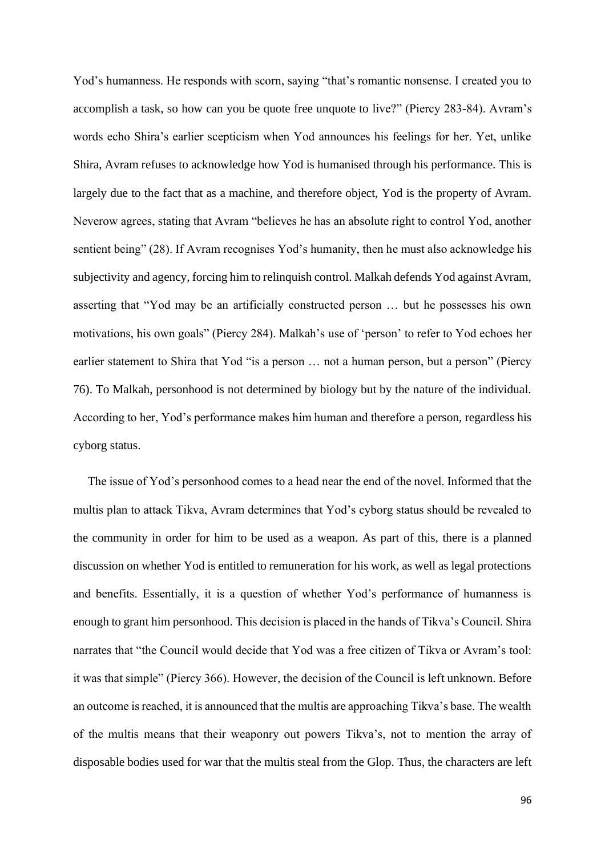Yod's humanness. He responds with scorn, saying "that's romantic nonsense. I created you to accomplish a task, so how can you be quote free unquote to live?" (Piercy 283-84). Avram's words echo Shira's earlier scepticism when Yod announces his feelings for her. Yet, unlike Shira, Avram refuses to acknowledge how Yod is humanised through his performance. This is largely due to the fact that as a machine, and therefore object, Yod is the property of Avram. Neverow agrees, stating that Avram "believes he has an absolute right to control Yod, another sentient being" (28). If Avram recognises Yod's humanity, then he must also acknowledge his subjectivity and agency, forcing him to relinquish control. Malkah defends Yod against Avram, asserting that "Yod may be an artificially constructed person … but he possesses his own motivations, his own goals" (Piercy 284). Malkah's use of 'person' to refer to Yod echoes her earlier statement to Shira that Yod "is a person … not a human person, but a person" (Piercy 76). To Malkah, personhood is not determined by biology but by the nature of the individual. According to her, Yod's performance makes him human and therefore a person, regardless his cyborg status.

The issue of Yod's personhood comes to a head near the end of the novel. Informed that the multis plan to attack Tikva, Avram determines that Yod's cyborg status should be revealed to the community in order for him to be used as a weapon. As part of this, there is a planned discussion on whether Yod is entitled to remuneration for his work, as well as legal protections and benefits. Essentially, it is a question of whether Yod's performance of humanness is enough to grant him personhood. This decision is placed in the hands of Tikva's Council. Shira narrates that "the Council would decide that Yod was a free citizen of Tikva or Avram's tool: it was that simple" (Piercy 366). However, the decision of the Council is left unknown. Before an outcome is reached, it is announced that the multis are approaching Tikva's base. The wealth of the multis means that their weaponry out powers Tikva's, not to mention the array of disposable bodies used for war that the multis steal from the Glop. Thus, the characters are left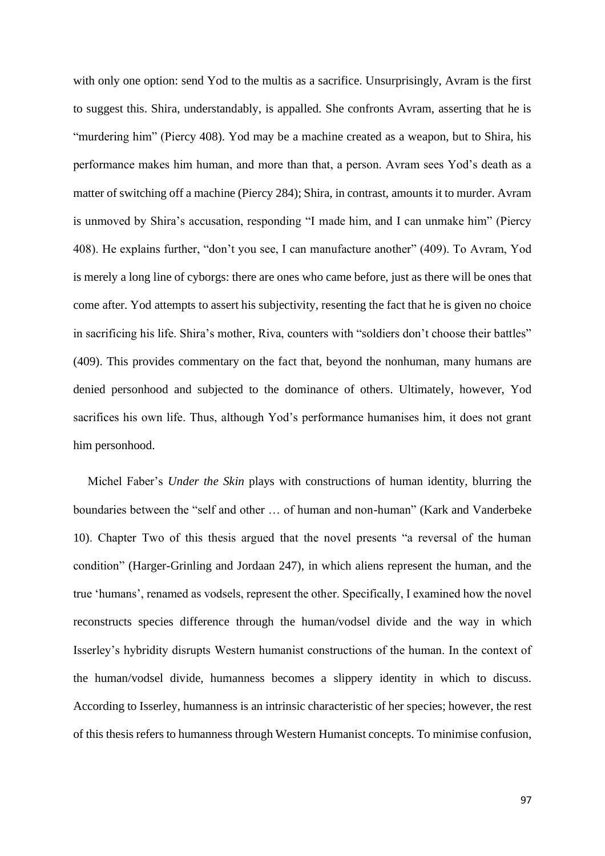with only one option: send Yod to the multis as a sacrifice. Unsurprisingly, Avram is the first to suggest this. Shira, understandably, is appalled. She confronts Avram, asserting that he is "murdering him" (Piercy 408). Yod may be a machine created as a weapon, but to Shira, his performance makes him human, and more than that, a person. Avram sees Yod's death as a matter of switching off a machine (Piercy 284); Shira, in contrast, amounts it to murder. Avram is unmoved by Shira's accusation, responding "I made him, and I can unmake him" (Piercy 408). He explains further, "don't you see, I can manufacture another" (409). To Avram, Yod is merely a long line of cyborgs: there are ones who came before, just as there will be ones that come after. Yod attempts to assert his subjectivity, resenting the fact that he is given no choice in sacrificing his life. Shira's mother, Riva, counters with "soldiers don't choose their battles" (409). This provides commentary on the fact that, beyond the nonhuman, many humans are denied personhood and subjected to the dominance of others. Ultimately, however, Yod sacrifices his own life. Thus, although Yod's performance humanises him, it does not grant him personhood.

Michel Faber's *Under the Skin* plays with constructions of human identity, blurring the boundaries between the "self and other … of human and non-human" (Kark and Vanderbeke 10). Chapter Two of this thesis argued that the novel presents "a reversal of the human condition" (Harger-Grinling and Jordaan 247), in which aliens represent the human, and the true 'humans', renamed as vodsels, represent the other. Specifically, I examined how the novel reconstructs species difference through the human/vodsel divide and the way in which Isserley's hybridity disrupts Western humanist constructions of the human. In the context of the human/vodsel divide, humanness becomes a slippery identity in which to discuss. According to Isserley, humanness is an intrinsic characteristic of her species; however, the rest of this thesis refers to humanness through Western Humanist concepts. To minimise confusion,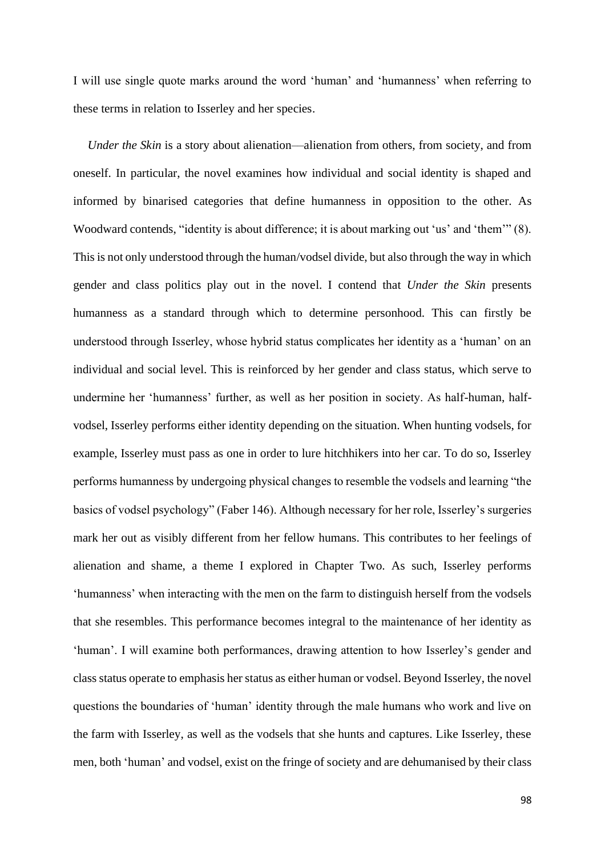I will use single quote marks around the word 'human' and 'humanness' when referring to these terms in relation to Isserley and her species.

*Under the Skin* is a story about alienation––alienation from others, from society, and from oneself. In particular, the novel examines how individual and social identity is shaped and informed by binarised categories that define humanness in opposition to the other. As Woodward contends, "identity is about difference; it is about marking out 'us' and 'them'" (8). This is not only understood through the human/vodsel divide, but also through the way in which gender and class politics play out in the novel. I contend that *Under the Skin* presents humanness as a standard through which to determine personhood. This can firstly be understood through Isserley, whose hybrid status complicates her identity as a 'human' on an individual and social level. This is reinforced by her gender and class status, which serve to undermine her 'humanness' further, as well as her position in society. As half-human, halfvodsel, Isserley performs either identity depending on the situation. When hunting vodsels, for example, Isserley must pass as one in order to lure hitchhikers into her car. To do so, Isserley performs humanness by undergoing physical changes to resemble the vodsels and learning "the basics of vodsel psychology" (Faber 146). Although necessary for her role, Isserley's surgeries mark her out as visibly different from her fellow humans. This contributes to her feelings of alienation and shame, a theme I explored in Chapter Two. As such, Isserley performs 'humanness' when interacting with the men on the farm to distinguish herself from the vodsels that she resembles. This performance becomes integral to the maintenance of her identity as 'human'. I will examine both performances, drawing attention to how Isserley's gender and class status operate to emphasis her status as either human or vodsel. Beyond Isserley, the novel questions the boundaries of 'human' identity through the male humans who work and live on the farm with Isserley, as well as the vodsels that she hunts and captures. Like Isserley, these men, both 'human' and vodsel, exist on the fringe of society and are dehumanised by their class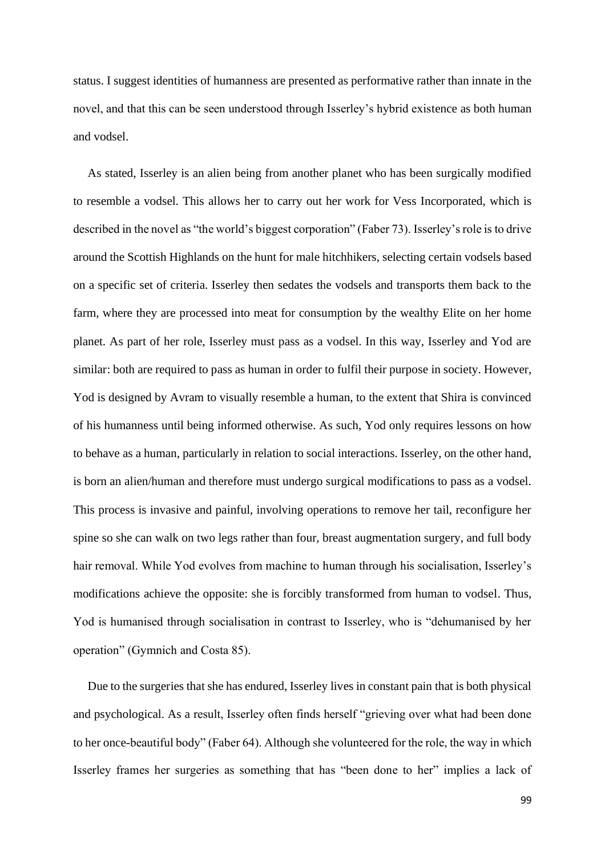status. I suggest identities of humanness are presented as performative rather than innate in the novel, and that this can be seen understood through Isserley's hybrid existence as both human and vodsel.

As stated, Isserley is an alien being from another planet who has been surgically modified to resemble a vodsel. This allows her to carry out her work for Vess Incorporated, which is described in the novel as "the world's biggest corporation" (Faber 73). Isserley's role is to drive around the Scottish Highlands on the hunt for male hitchhikers, selecting certain vodsels based on a specific set of criteria. Isserley then sedates the vodsels and transports them back to the farm, where they are processed into meat for consumption by the wealthy Elite on her home planet. As part of her role, Isserley must pass as a vodsel. In this way, Isserley and Yod are similar: both are required to pass as human in order to fulfil their purpose in society. However, Yod is designed by Avram to visually resemble a human, to the extent that Shira is convinced of his humanness until being informed otherwise. As such, Yod only requires lessons on how to behave as a human, particularly in relation to social interactions. Isserley, on the other hand, is born an alien/human and therefore must undergo surgical modifications to pass as a vodsel. This process is invasive and painful, involving operations to remove her tail, reconfigure her spine so she can walk on two legs rather than four, breast augmentation surgery, and full body hair removal. While Yod evolves from machine to human through his socialisation, Isserley's modifications achieve the opposite: she is forcibly transformed from human to vodsel. Thus, Yod is humanised through socialisation in contrast to Isserley, who is "dehumanised by her operation" (Gymnich and Costa 85).

Due to the surgeries that she has endured, Isserley lives in constant pain that is both physical and psychological. As a result, Isserley often finds herself "grieving over what had been done to her once-beautiful body" (Faber 64). Although she volunteered for the role, the way in which Isserley frames her surgeries as something that has "been done to her" implies a lack of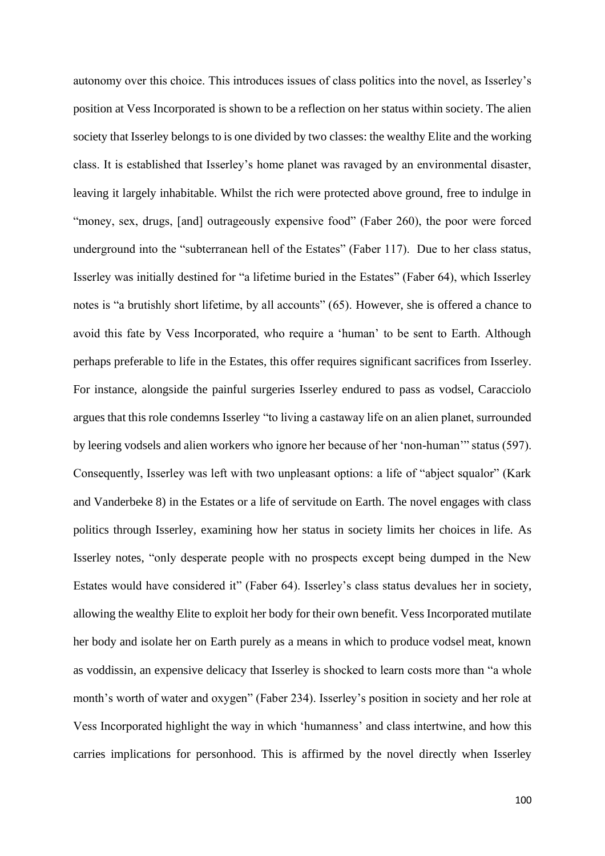autonomy over this choice. This introduces issues of class politics into the novel, as Isserley's position at Vess Incorporated is shown to be a reflection on her status within society. The alien society that Isserley belongs to is one divided by two classes: the wealthy Elite and the working class. It is established that Isserley's home planet was ravaged by an environmental disaster, leaving it largely inhabitable. Whilst the rich were protected above ground, free to indulge in "money, sex, drugs, [and] outrageously expensive food" (Faber 260), the poor were forced underground into the "subterranean hell of the Estates" (Faber 117). Due to her class status, Isserley was initially destined for "a lifetime buried in the Estates" (Faber 64), which Isserley notes is "a brutishly short lifetime, by all accounts" (65). However, she is offered a chance to avoid this fate by Vess Incorporated, who require a 'human' to be sent to Earth. Although perhaps preferable to life in the Estates, this offer requires significant sacrifices from Isserley. For instance, alongside the painful surgeries Isserley endured to pass as vodsel, Caracciolo argues that this role condemns Isserley "to living a castaway life on an alien planet, surrounded by leering vodsels and alien workers who ignore her because of her 'non-human'" status (597). Consequently, Isserley was left with two unpleasant options: a life of "abject squalor" (Kark and Vanderbeke 8) in the Estates or a life of servitude on Earth. The novel engages with class politics through Isserley, examining how her status in society limits her choices in life. As Isserley notes, "only desperate people with no prospects except being dumped in the New Estates would have considered it" (Faber 64). Isserley's class status devalues her in society, allowing the wealthy Elite to exploit her body for their own benefit. Vess Incorporated mutilate her body and isolate her on Earth purely as a means in which to produce vodsel meat, known as voddissin, an expensive delicacy that Isserley is shocked to learn costs more than "a whole month's worth of water and oxygen" (Faber 234). Isserley's position in society and her role at Vess Incorporated highlight the way in which 'humanness' and class intertwine, and how this carries implications for personhood. This is affirmed by the novel directly when Isserley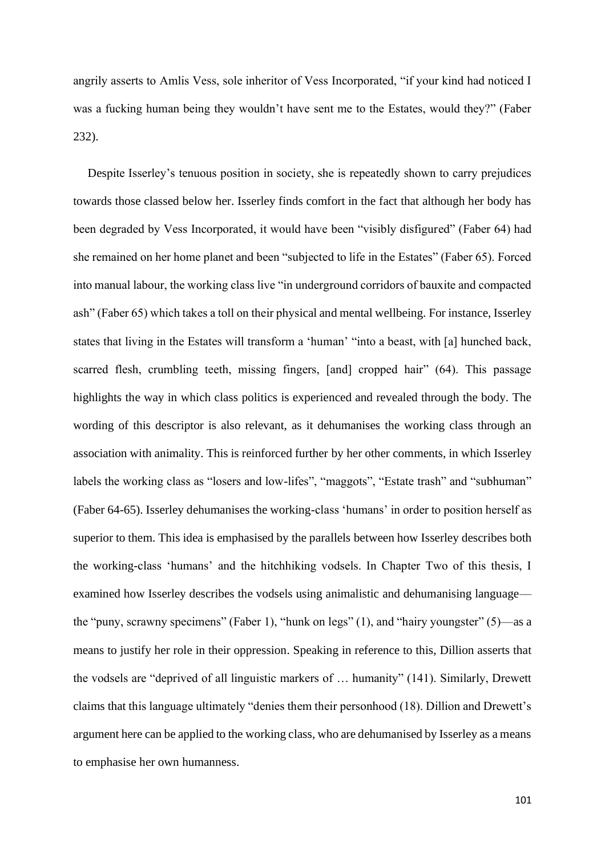angrily asserts to Amlis Vess, sole inheritor of Vess Incorporated, "if your kind had noticed I was a fucking human being they wouldn't have sent me to the Estates, would they?" (Faber 232).

Despite Isserley's tenuous position in society, she is repeatedly shown to carry prejudices towards those classed below her. Isserley finds comfort in the fact that although her body has been degraded by Vess Incorporated, it would have been "visibly disfigured" (Faber 64) had she remained on her home planet and been "subjected to life in the Estates" (Faber 65). Forced into manual labour, the working class live "in underground corridors of bauxite and compacted ash" (Faber 65) which takes a toll on their physical and mental wellbeing. For instance, Isserley states that living in the Estates will transform a 'human' "into a beast, with [a] hunched back, scarred flesh, crumbling teeth, missing fingers, [and] cropped hair" (64). This passage highlights the way in which class politics is experienced and revealed through the body. The wording of this descriptor is also relevant, as it dehumanises the working class through an association with animality. This is reinforced further by her other comments, in which Isserley labels the working class as "losers and low-lifes", "maggots", "Estate trash" and "subhuman" (Faber 64-65). Isserley dehumanises the working-class 'humans' in order to position herself as superior to them. This idea is emphasised by the parallels between how Isserley describes both the working-class 'humans' and the hitchhiking vodsels. In Chapter Two of this thesis, I examined how Isserley describes the vodsels using animalistic and dehumanising language–– the "puny, scrawny specimens" (Faber 1), "hunk on legs" (1), and "hairy youngster" (5)––as a means to justify her role in their oppression. Speaking in reference to this, Dillion asserts that the vodsels are "deprived of all linguistic markers of … humanity" (141). Similarly, Drewett claims that this language ultimately "denies them their personhood (18). Dillion and Drewett's argument here can be applied to the working class, who are dehumanised by Isserley as a means to emphasise her own humanness.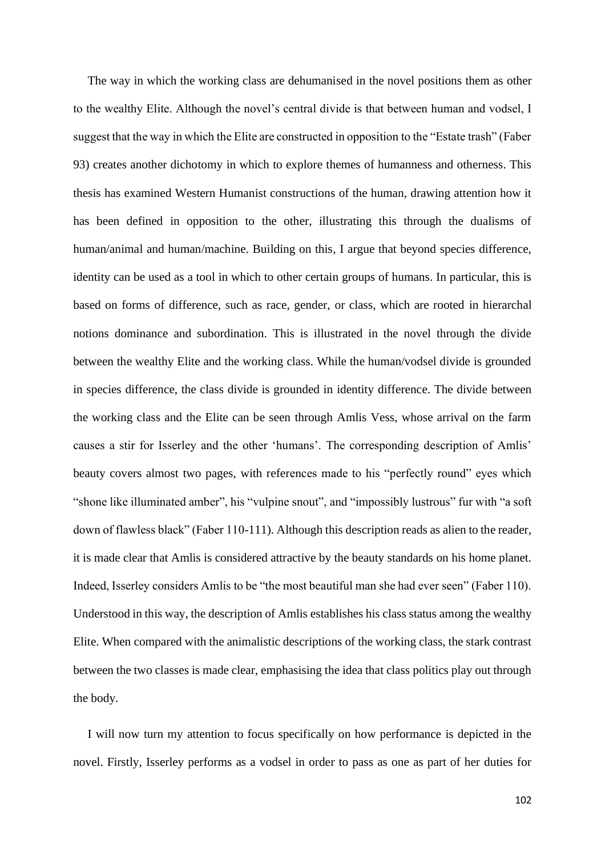The way in which the working class are dehumanised in the novel positions them as other to the wealthy Elite. Although the novel's central divide is that between human and vodsel, I suggest that the way in which the Elite are constructed in opposition to the "Estate trash" (Faber 93) creates another dichotomy in which to explore themes of humanness and otherness. This thesis has examined Western Humanist constructions of the human, drawing attention how it has been defined in opposition to the other, illustrating this through the dualisms of human/animal and human/machine. Building on this, I argue that beyond species difference, identity can be used as a tool in which to other certain groups of humans. In particular, this is based on forms of difference, such as race, gender, or class, which are rooted in hierarchal notions dominance and subordination. This is illustrated in the novel through the divide between the wealthy Elite and the working class. While the human/vodsel divide is grounded in species difference, the class divide is grounded in identity difference. The divide between the working class and the Elite can be seen through Amlis Vess, whose arrival on the farm causes a stir for Isserley and the other 'humans'. The corresponding description of Amlis' beauty covers almost two pages, with references made to his "perfectly round" eyes which "shone like illuminated amber", his "vulpine snout", and "impossibly lustrous" fur with "a soft down of flawless black" (Faber 110-111). Although this description reads as alien to the reader, it is made clear that Amlis is considered attractive by the beauty standards on his home planet. Indeed, Isserley considers Amlis to be "the most beautiful man she had ever seen" (Faber 110). Understood in this way, the description of Amlis establishes his class status among the wealthy Elite. When compared with the animalistic descriptions of the working class, the stark contrast between the two classes is made clear, emphasising the idea that class politics play out through the body.

I will now turn my attention to focus specifically on how performance is depicted in the novel. Firstly, Isserley performs as a vodsel in order to pass as one as part of her duties for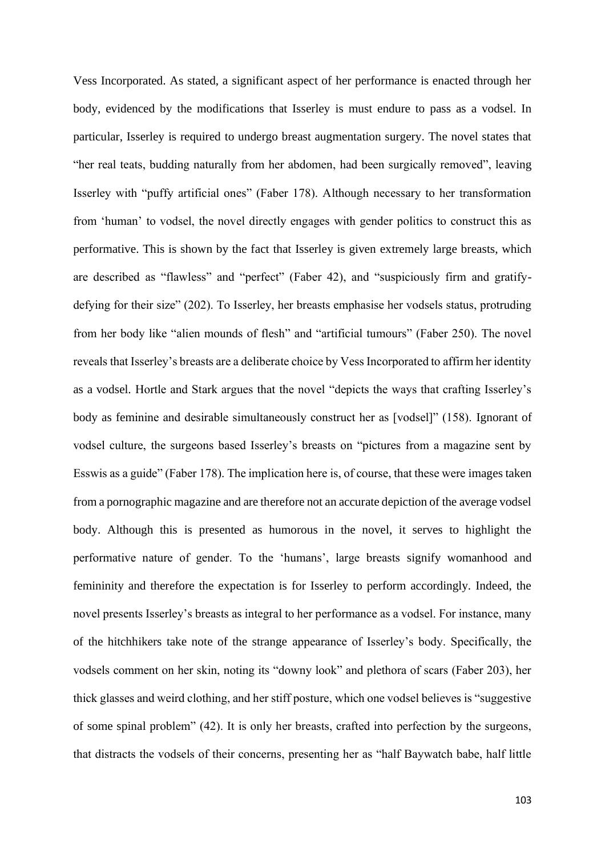Vess Incorporated. As stated, a significant aspect of her performance is enacted through her body, evidenced by the modifications that Isserley is must endure to pass as a vodsel. In particular, Isserley is required to undergo breast augmentation surgery. The novel states that "her real teats, budding naturally from her abdomen, had been surgically removed", leaving Isserley with "puffy artificial ones" (Faber 178). Although necessary to her transformation from 'human' to vodsel, the novel directly engages with gender politics to construct this as performative. This is shown by the fact that Isserley is given extremely large breasts, which are described as "flawless" and "perfect" (Faber 42), and "suspiciously firm and gratifydefying for their size" (202). To Isserley, her breasts emphasise her vodsels status, protruding from her body like "alien mounds of flesh" and "artificial tumours" (Faber 250). The novel reveals that Isserley's breasts are a deliberate choice by Vess Incorporated to affirm her identity as a vodsel. Hortle and Stark argues that the novel "depicts the ways that crafting Isserley's body as feminine and desirable simultaneously construct her as [vodsel]" (158). Ignorant of vodsel culture, the surgeons based Isserley's breasts on "pictures from a magazine sent by Esswis as a guide" (Faber 178). The implication here is, of course, that these were images taken from a pornographic magazine and are therefore not an accurate depiction of the average vodsel body. Although this is presented as humorous in the novel, it serves to highlight the performative nature of gender. To the 'humans', large breasts signify womanhood and femininity and therefore the expectation is for Isserley to perform accordingly. Indeed, the novel presents Isserley's breasts as integral to her performance as a vodsel. For instance, many of the hitchhikers take note of the strange appearance of Isserley's body. Specifically, the vodsels comment on her skin, noting its "downy look" and plethora of scars (Faber 203), her thick glasses and weird clothing, and her stiff posture, which one vodsel believes is "suggestive of some spinal problem" (42). It is only her breasts, crafted into perfection by the surgeons, that distracts the vodsels of their concerns, presenting her as "half Baywatch babe, half little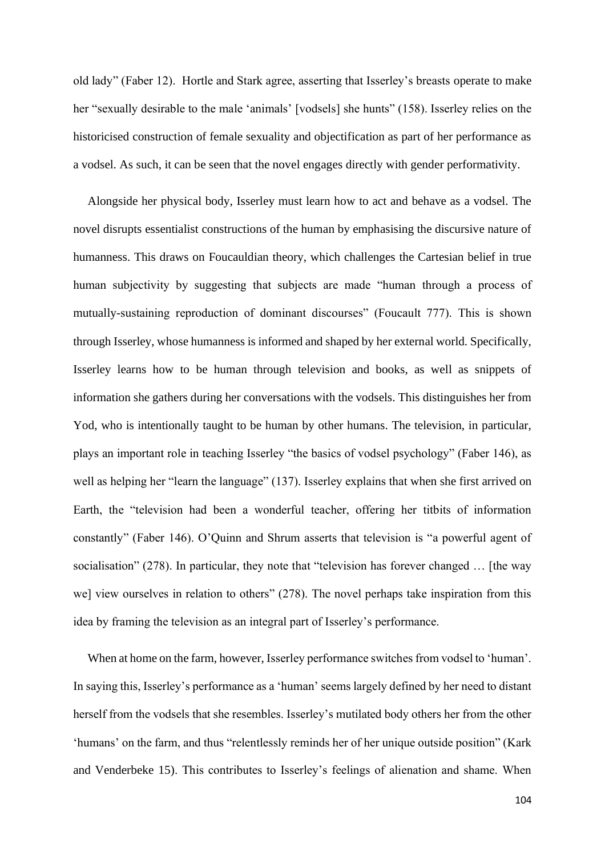old lady" (Faber 12). Hortle and Stark agree, asserting that Isserley's breasts operate to make her "sexually desirable to the male 'animals' [vodsels] she hunts" (158). Isserley relies on the historicised construction of female sexuality and objectification as part of her performance as a vodsel. As such, it can be seen that the novel engages directly with gender performativity.

Alongside her physical body, Isserley must learn how to act and behave as a vodsel. The novel disrupts essentialist constructions of the human by emphasising the discursive nature of humanness. This draws on Foucauldian theory, which challenges the Cartesian belief in true human subjectivity by suggesting that subjects are made "human through a process of mutually-sustaining reproduction of dominant discourses" (Foucault 777). This is shown through Isserley, whose humanness is informed and shaped by her external world. Specifically, Isserley learns how to be human through television and books, as well as snippets of information she gathers during her conversations with the vodsels. This distinguishes her from Yod, who is intentionally taught to be human by other humans. The television, in particular, plays an important role in teaching Isserley "the basics of vodsel psychology" (Faber 146), as well as helping her "learn the language" (137). Isserley explains that when she first arrived on Earth, the "television had been a wonderful teacher, offering her titbits of information constantly" (Faber 146). O'Quinn and Shrum asserts that television is "a powerful agent of socialisation" (278). In particular, they note that "television has forever changed … [the way we] view ourselves in relation to others" (278). The novel perhaps take inspiration from this idea by framing the television as an integral part of Isserley's performance.

When at home on the farm, however, Isserley performance switches from vodsel to 'human'. In saying this, Isserley's performance as a 'human' seems largely defined by her need to distant herself from the vodsels that she resembles. Isserley's mutilated body others her from the other 'humans' on the farm, and thus "relentlessly reminds her of her unique outside position" (Kark and Venderbeke 15). This contributes to Isserley's feelings of alienation and shame. When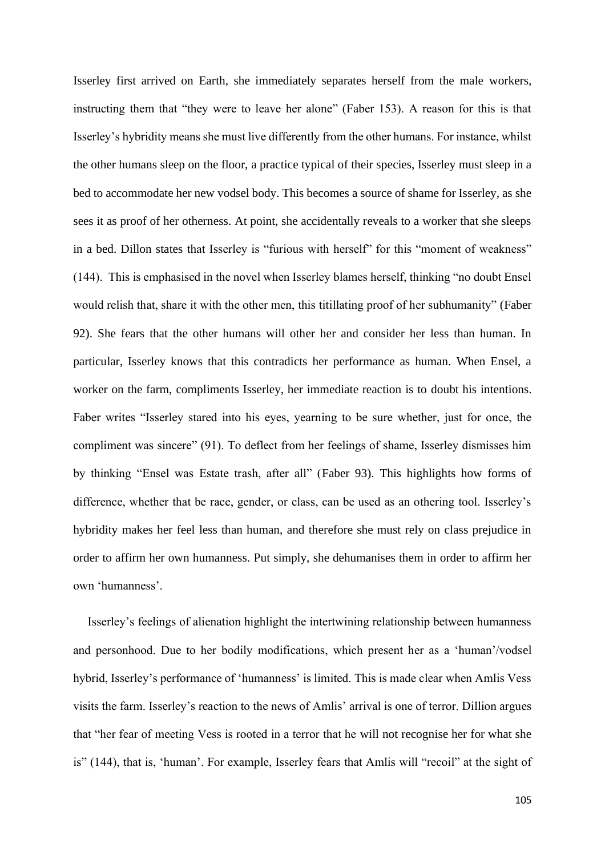Isserley first arrived on Earth, she immediately separates herself from the male workers, instructing them that "they were to leave her alone" (Faber 153). A reason for this is that Isserley's hybridity means she must live differently from the other humans. For instance, whilst the other humans sleep on the floor, a practice typical of their species, Isserley must sleep in a bed to accommodate her new vodsel body. This becomes a source of shame for Isserley, as she sees it as proof of her otherness. At point, she accidentally reveals to a worker that she sleeps in a bed. Dillon states that Isserley is "furious with herself" for this "moment of weakness" (144). This is emphasised in the novel when Isserley blames herself, thinking "no doubt Ensel would relish that, share it with the other men, this titillating proof of her subhumanity" (Faber 92). She fears that the other humans will other her and consider her less than human. In particular, Isserley knows that this contradicts her performance as human. When Ensel, a worker on the farm, compliments Isserley, her immediate reaction is to doubt his intentions. Faber writes "Isserley stared into his eyes, yearning to be sure whether, just for once, the compliment was sincere" (91). To deflect from her feelings of shame, Isserley dismisses him by thinking "Ensel was Estate trash, after all" (Faber 93). This highlights how forms of difference, whether that be race, gender, or class, can be used as an othering tool. Isserley's hybridity makes her feel less than human, and therefore she must rely on class prejudice in order to affirm her own humanness. Put simply, she dehumanises them in order to affirm her own 'humanness'.

Isserley's feelings of alienation highlight the intertwining relationship between humanness and personhood. Due to her bodily modifications, which present her as a 'human'/vodsel hybrid, Isserley's performance of 'humanness' is limited. This is made clear when Amlis Vess visits the farm. Isserley's reaction to the news of Amlis' arrival is one of terror. Dillion argues that "her fear of meeting Vess is rooted in a terror that he will not recognise her for what she is" (144), that is, 'human'. For example, Isserley fears that Amlis will "recoil" at the sight of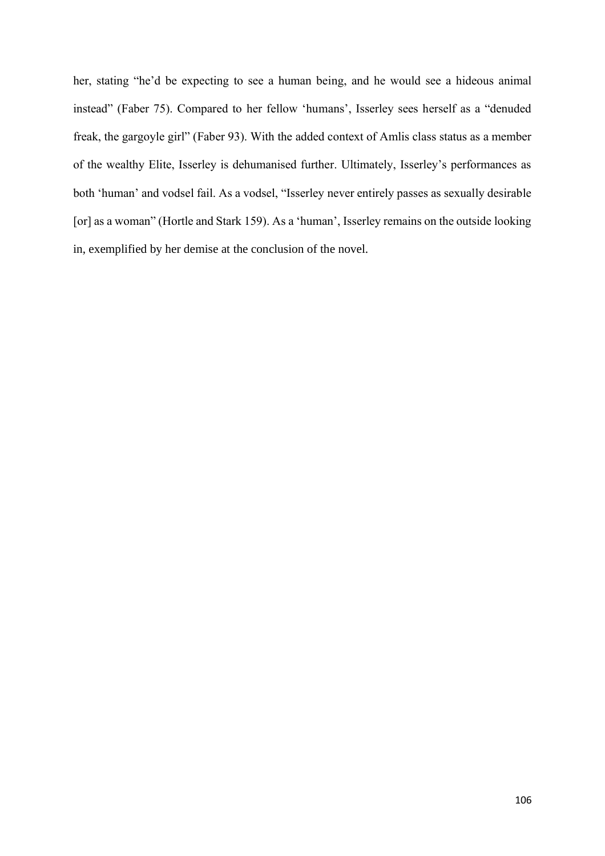her, stating "he'd be expecting to see a human being, and he would see a hideous animal instead" (Faber 75). Compared to her fellow 'humans', Isserley sees herself as a "denuded freak, the gargoyle girl" (Faber 93). With the added context of Amlis class status as a member of the wealthy Elite, Isserley is dehumanised further. Ultimately, Isserley's performances as both 'human' and vodsel fail. As a vodsel, "Isserley never entirely passes as sexually desirable [or] as a woman" (Hortle and Stark 159). As a 'human', Isserley remains on the outside looking in, exemplified by her demise at the conclusion of the novel.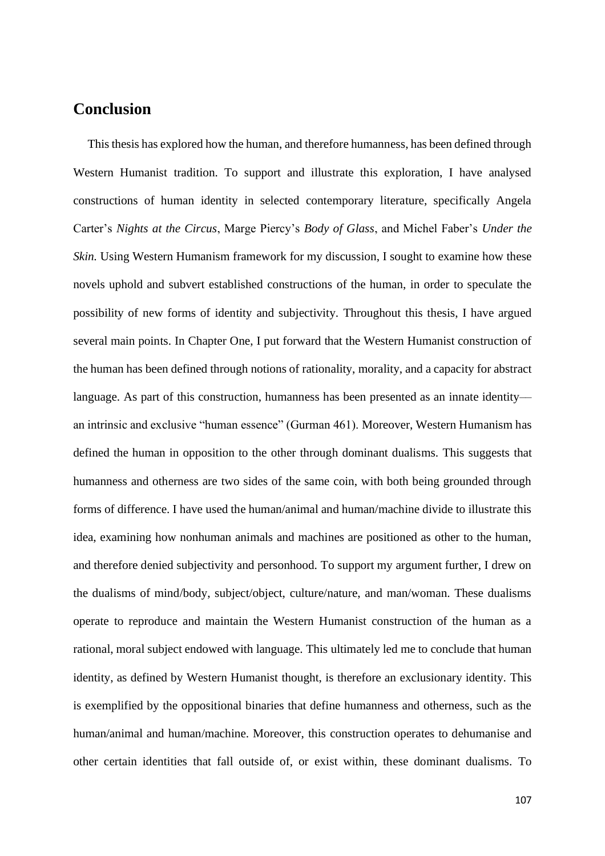## **Conclusion**

This thesis has explored how the human, and therefore humanness, has been defined through Western Humanist tradition. To support and illustrate this exploration, I have analysed constructions of human identity in selected contemporary literature, specifically Angela Carter's *Nights at the Circus*, Marge Piercy's *Body of Glass*, and Michel Faber's *Under the Skin.* Using Western Humanism framework for my discussion, I sought to examine how these novels uphold and subvert established constructions of the human, in order to speculate the possibility of new forms of identity and subjectivity. Throughout this thesis, I have argued several main points. In Chapter One, I put forward that the Western Humanist construction of the human has been defined through notions of rationality, morality, and a capacity for abstract language. As part of this construction, humanness has been presented as an innate identity an intrinsic and exclusive "human essence" (Gurman 461). Moreover, Western Humanism has defined the human in opposition to the other through dominant dualisms. This suggests that humanness and otherness are two sides of the same coin, with both being grounded through forms of difference. I have used the human/animal and human/machine divide to illustrate this idea, examining how nonhuman animals and machines are positioned as other to the human, and therefore denied subjectivity and personhood. To support my argument further, I drew on the dualisms of mind/body, subject/object, culture/nature, and man/woman. These dualisms operate to reproduce and maintain the Western Humanist construction of the human as a rational, moral subject endowed with language. This ultimately led me to conclude that human identity, as defined by Western Humanist thought, is therefore an exclusionary identity. This is exemplified by the oppositional binaries that define humanness and otherness, such as the human/animal and human/machine. Moreover, this construction operates to dehumanise and other certain identities that fall outside of, or exist within, these dominant dualisms. To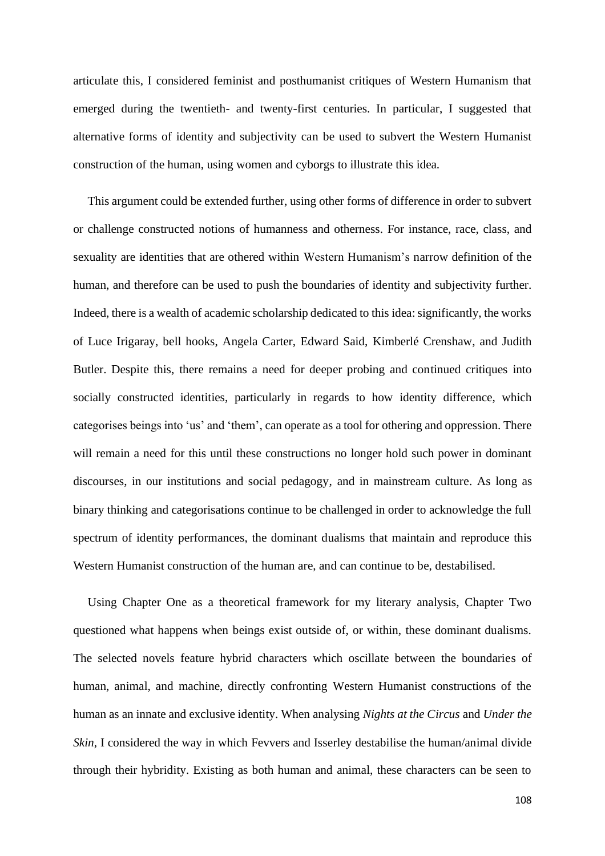articulate this, I considered feminist and posthumanist critiques of Western Humanism that emerged during the twentieth- and twenty-first centuries. In particular, I suggested that alternative forms of identity and subjectivity can be used to subvert the Western Humanist construction of the human, using women and cyborgs to illustrate this idea.

This argument could be extended further, using other forms of difference in order to subvert or challenge constructed notions of humanness and otherness. For instance, race, class, and sexuality are identities that are othered within Western Humanism's narrow definition of the human, and therefore can be used to push the boundaries of identity and subjectivity further. Indeed, there is a wealth of academic scholarship dedicated to this idea: significantly, the works of Luce Irigaray, bell hooks, Angela Carter, Edward Said, Kimberlé Crenshaw, and Judith Butler. Despite this, there remains a need for deeper probing and continued critiques into socially constructed identities, particularly in regards to how identity difference, which categorises beings into 'us' and 'them', can operate as a tool for othering and oppression. There will remain a need for this until these constructions no longer hold such power in dominant discourses, in our institutions and social pedagogy, and in mainstream culture. As long as binary thinking and categorisations continue to be challenged in order to acknowledge the full spectrum of identity performances, the dominant dualisms that maintain and reproduce this Western Humanist construction of the human are, and can continue to be, destabilised.

Using Chapter One as a theoretical framework for my literary analysis, Chapter Two questioned what happens when beings exist outside of, or within, these dominant dualisms. The selected novels feature hybrid characters which oscillate between the boundaries of human, animal, and machine, directly confronting Western Humanist constructions of the human as an innate and exclusive identity. When analysing *Nights at the Circus* and *Under the Skin*, I considered the way in which Fevvers and Isserley destabilise the human/animal divide through their hybridity. Existing as both human and animal, these characters can be seen to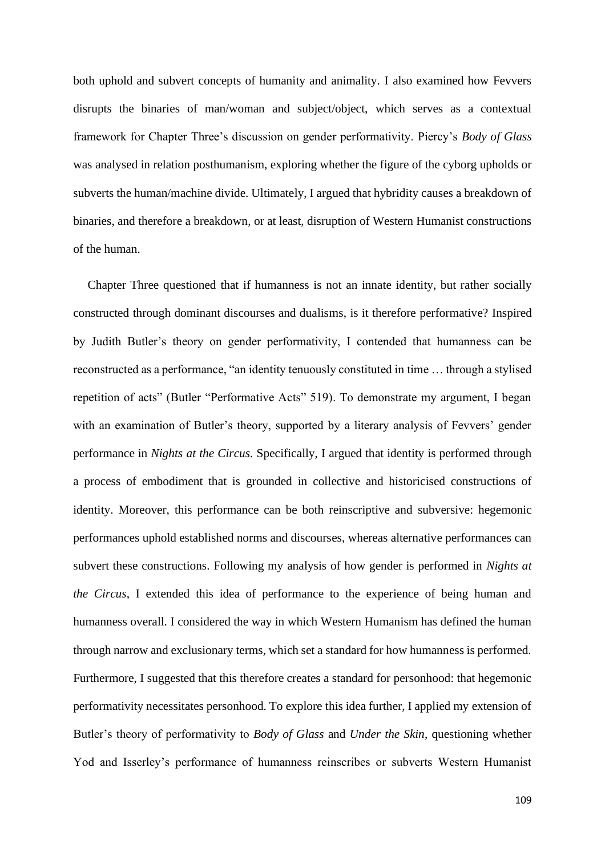both uphold and subvert concepts of humanity and animality. I also examined how Fevvers disrupts the binaries of man/woman and subject/object, which serves as a contextual framework for Chapter Three's discussion on gender performativity. Piercy's *Body of Glass* was analysed in relation posthumanism, exploring whether the figure of the cyborg upholds or subverts the human/machine divide. Ultimately, I argued that hybridity causes a breakdown of binaries, and therefore a breakdown, or at least, disruption of Western Humanist constructions of the human.

Chapter Three questioned that if humanness is not an innate identity, but rather socially constructed through dominant discourses and dualisms, is it therefore performative? Inspired by Judith Butler's theory on gender performativity, I contended that humanness can be reconstructed as a performance, "an identity tenuously constituted in time … through a stylised repetition of acts" (Butler "Performative Acts" 519). To demonstrate my argument, I began with an examination of Butler's theory, supported by a literary analysis of Fevvers' gender performance in *Nights at the Circus.* Specifically, I argued that identity is performed through a process of embodiment that is grounded in collective and historicised constructions of identity. Moreover, this performance can be both reinscriptive and subversive: hegemonic performances uphold established norms and discourses, whereas alternative performances can subvert these constructions. Following my analysis of how gender is performed in *Nights at the Circus*, I extended this idea of performance to the experience of being human and humanness overall. I considered the way in which Western Humanism has defined the human through narrow and exclusionary terms, which set a standard for how humanness is performed. Furthermore, I suggested that this therefore creates a standard for personhood: that hegemonic performativity necessitates personhood. To explore this idea further, I applied my extension of Butler's theory of performativity to *Body of Glass* and *Under the Skin*, questioning whether Yod and Isserley's performance of humanness reinscribes or subverts Western Humanist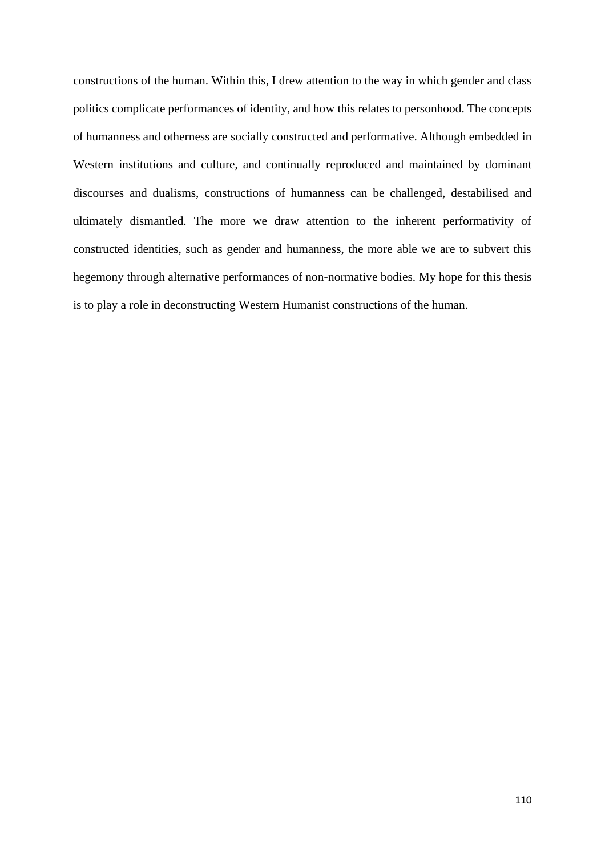constructions of the human. Within this, I drew attention to the way in which gender and class politics complicate performances of identity, and how this relates to personhood. The concepts of humanness and otherness are socially constructed and performative. Although embedded in Western institutions and culture, and continually reproduced and maintained by dominant discourses and dualisms, constructions of humanness can be challenged, destabilised and ultimately dismantled. The more we draw attention to the inherent performativity of constructed identities, such as gender and humanness, the more able we are to subvert this hegemony through alternative performances of non-normative bodies. My hope for this thesis is to play a role in deconstructing Western Humanist constructions of the human.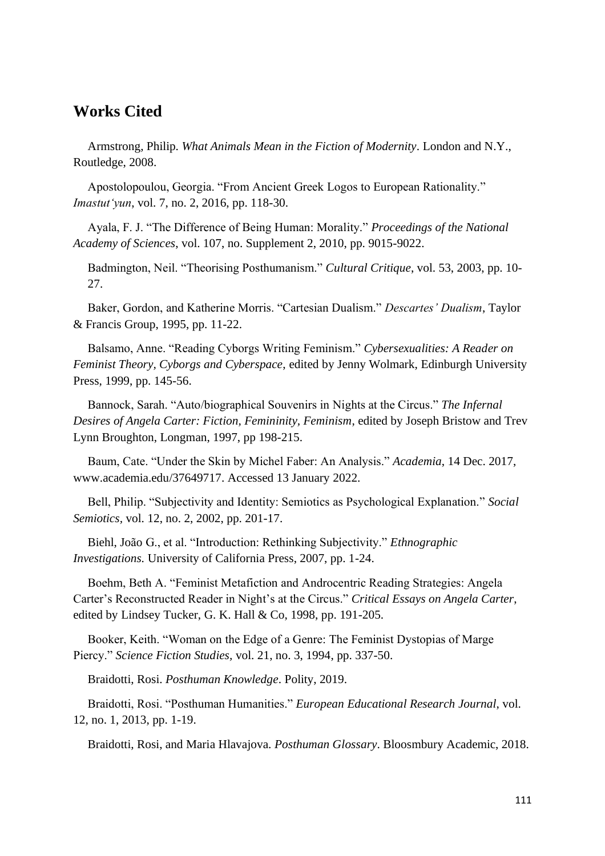## **Works Cited**

Armstrong, Philip. *What Animals Mean in the Fiction of Modernity*. London and N.Y., Routledge, 2008.

Apostolopoulou, Georgia. "From Ancient Greek Logos to European Rationality." *Imastutʻyun*, vol. 7, no. 2, 2016, pp. 118-30.

Ayala, F. J. "The Difference of Being Human: Morality." *Proceedings of the National Academy of Sciences*, vol. 107, no. Supplement 2, 2010, pp. 9015-9022.

Badmington, Neil. "Theorising Posthumanism." *Cultural Critique*, vol. 53, 2003, pp. 10- 27.

Baker, Gordon, and Katherine Morris. "Cartesian Dualism." *Descartes' Dualism*, Taylor & Francis Group, 1995, pp. 11-22.

Balsamo, Anne. "Reading Cyborgs Writing Feminism." *Cybersexualities: A Reader on Feminist Theory, Cyborgs and Cyberspace*, edited by Jenny Wolmark, Edinburgh University Press, 1999, pp. 145-56.

Bannock, Sarah. "Auto/biographical Souvenirs in Nights at the Circus." *The Infernal Desires of Angela Carter: Fiction, Femininity, Feminism*, edited by Joseph Bristow and Trev Lynn Broughton, Longman, 1997, pp 198-215.

Baum, Cate. "Under the Skin by Michel Faber: An Analysis." *Academia*, 14 Dec. 2017, [www.academia.edu/37649717.](http://www.academia.edu/37649717) Accessed 13 January 2022.

Bell, Philip. "Subjectivity and Identity: Semiotics as Psychological Explanation." *Social Semiotics,* vol. 12, no. 2, 2002, pp. 201-17.

Biehl, João G., et al. "Introduction: Rethinking Subjectivity." *Ethnographic Investigations.* University of California Press, 2007, pp. 1-24.

Boehm, Beth A. "Feminist Metafiction and Androcentric Reading Strategies: Angela Carter's Reconstructed Reader in Night's at the Circus." *Critical Essays on Angela Carter*, edited by Lindsey Tucker, G. K. Hall & Co, 1998, pp. 191-205.

Booker, Keith. "Woman on the Edge of a Genre: The Feminist Dystopias of Marge Piercy." *Science Fiction Studies,* vol. 21, no. 3, 1994, pp. 337-50.

Braidotti, Rosi. *Posthuman Knowledge*. Polity, 2019.

Braidotti, Rosi. "Posthuman Humanities." *European Educational Research Journal*, vol. 12, no. 1, 2013, pp. 1-19.

Braidotti, Rosi, and Maria Hlavajova. *Posthuman Glossary*. Bloosmbury Academic, 2018.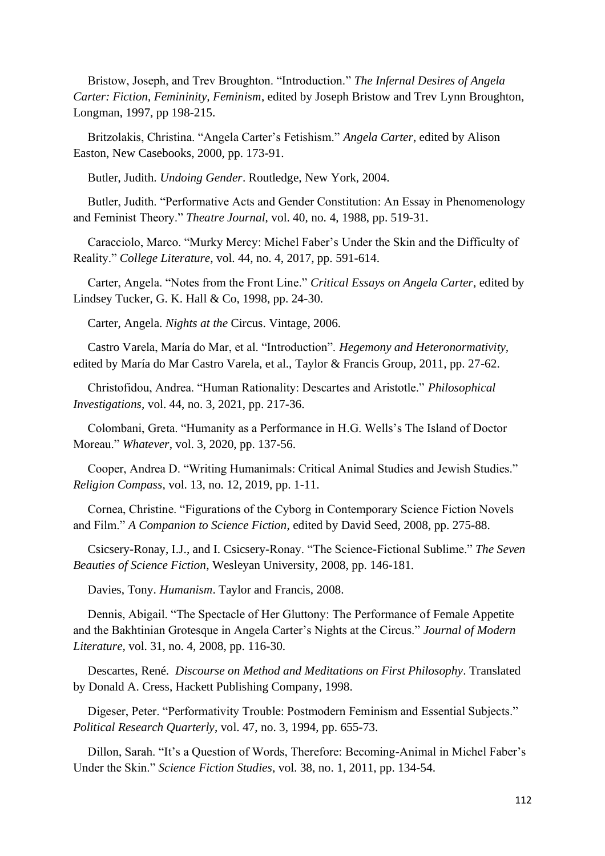Bristow, Joseph, and Trev Broughton. "Introduction." *The Infernal Desires of Angela Carter: Fiction, Femininity, Feminism*, edited by Joseph Bristow and Trev Lynn Broughton, Longman, 1997, pp 198-215.

Britzolakis, Christina. "Angela Carter's Fetishism." *Angela Carter*, edited by Alison Easton, New Casebooks, 2000, pp. 173-91.

Butler, Judith. *Undoing Gender*. Routledge, New York, 2004.

Butler, Judith. "Performative Acts and Gender Constitution: An Essay in Phenomenology and Feminist Theory." *Theatre Journal*, vol. 40, no. 4, 1988, pp. 519-31.

Caracciolo, Marco. "Murky Mercy: Michel Faber's Under the Skin and the Difficulty of Reality." *College Literature*, vol. 44, no. 4, 2017, pp. 591-614.

Carter, Angela. "Notes from the Front Line." *Critical Essays on Angela Carter*, edited by Lindsey Tucker, G. K. Hall & Co, 1998, pp. 24-30.

Carter, Angela. *Nights at the* Circus. Vintage, 2006.

Castro Varela, María do Mar, et al. "Introduction". *Hegemony and Heteronormativity,* edited by María do Mar Castro Varela, et al., Taylor & Francis Group, 2011, pp. 27-62.

Christofidou, Andrea. "Human Rationality: Descartes and Aristotle." *Philosophical Investigations,* vol. 44, no. 3, 2021, pp. 217-36.

Colombani, Greta. "Humanity as a Performance in H.G. Wells's The Island of Doctor Moreau." *Whatever*, vol. 3, 2020, pp. 137-56.

Cooper, Andrea D. "Writing Humanimals: Critical Animal Studies and Jewish Studies." *Religion Compass,* vol. 13, no. 12, 2019, pp. 1-11.

Cornea, Christine. "Figurations of the Cyborg in Contemporary Science Fiction Novels and Film." *A Companion to Science Fiction*, edited by David Seed, 2008, pp. 275-88.

Csicsery-Ronay, I.J., and I. Csicsery-Ronay. "The Science-Fictional Sublime." *The Seven Beauties of Science Fiction*, Wesleyan University, 2008, pp. 146-181.

Davies, Tony. *Humanism*. Taylor and Francis, 2008.

Dennis, Abigail. "The Spectacle of Her Gluttony: The Performance of Female Appetite and the Bakhtinian Grotesque in Angela Carter's Nights at the Circus." *Journal of Modern Literature,* vol. 31, no. 4, 2008, pp. 116-30.

Descartes, [René.](https://b-ok.global/g/Ren%C3%A9%20Descartes) *Discourse on Method and Meditations on First Philosophy*. Translated by Donald A. Cress, Hackett Publishing Company, 1998.

Digeser, Peter. "Performativity Trouble: Postmodern Feminism and Essential Subjects." *Political Research Quarterly*, vol. 47, no. 3, 1994, pp. 655-73.

Dillon, Sarah. "It's a Question of Words, Therefore: Becoming-Animal in Michel Faber's Under the Skin." *Science Fiction Studies*, vol. 38, no. 1, 2011, pp. 134-54.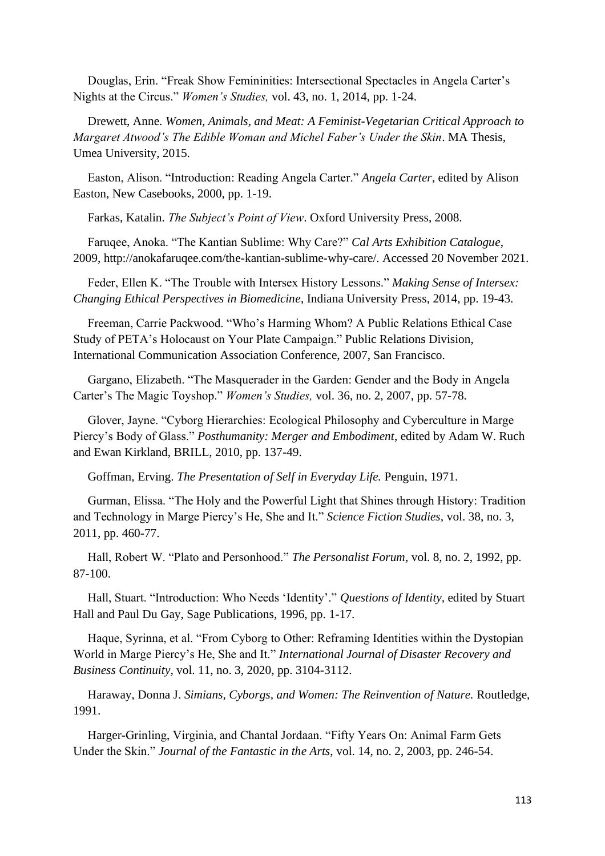Douglas, Erin. "Freak Show Femininities: Intersectional Spectacles in Angela Carter's Nights at the Circus." *Women's Studies,* vol. 43, no. 1, 2014, pp. 1-24.

Drewett, Anne. *Women, Animals, and Meat: A Feminist-Vegetarian Critical Approach to Margaret Atwood's The Edible Woman and Michel Faber's Under the Skin*. MA Thesis, Umea University, 2015.

Easton, Alison. "Introduction: Reading Angela Carter." *Angela Carter*, edited by Alison Easton, New Casebooks, 2000, pp. 1-19.

Farkas, Katalin. *The Subject's Point of View*. Oxford University Press, 2008.

Faruqee, Anoka. "The Kantian Sublime: Why Care?" *Cal Arts Exhibition Catalogue*, 2009, http://anokafaruqee.com/the-kantian-sublime-why-care/. Accessed 20 November 2021.

Feder, Ellen K. "The Trouble with Intersex History Lessons." *Making Sense of Intersex: Changing Ethical Perspectives in Biomedicine*, Indiana University Press, 2014, pp. 19-43.

Freeman, Carrie Packwood. "Who's Harming Whom? A Public Relations Ethical Case Study of PETA's Holocaust on Your Plate Campaign." Public Relations Division, International Communication Association Conference, 2007, San Francisco.

Gargano, Elizabeth. "The Masquerader in the Garden: Gender and the Body in Angela Carter's The Magic Toyshop." *Women's Studies,* vol. 36, no. 2, 2007, pp. 57-78.

Glover, Jayne. "Cyborg Hierarchies: Ecological Philosophy and Cyberculture in Marge Piercy's Body of Glass." *Posthumanity: Merger and Embodiment*, edited by Adam W. Ruch and Ewan Kirkland, BRILL, 2010, pp. 137-49.

Goffman, Erving. *The Presentation of Self in Everyday Life.* Penguin, 1971.

Gurman, Elissa. "The Holy and the Powerful Light that Shines through History: Tradition and Technology in Marge Piercy's He, She and It." *Science Fiction Studies,* vol. 38, no. 3, 2011, pp. 460-77.

Hall, Robert W. "Plato and Personhood." *The Personalist Forum,* vol. 8, no. 2, 1992, pp. 87-100.

Hall, Stuart. "Introduction: Who Needs 'Identity'." *Questions of Identity,* edited by Stuart Hall and Paul Du Gay, Sage Publications, 1996, pp. 1-17.

Haque, Syrinna, et al. "From Cyborg to Other: Reframing Identities within the Dystopian World in Marge Piercy's He, She and It." *International Journal of Disaster Recovery and Business Continuity*, vol. 11, no. 3, 2020, pp. 3104-3112.

Haraway, Donna J. *Simians, Cyborgs, and Women: The Reinvention of Nature.* Routledge, 1991.

Harger-Grinling, Virginia, and Chantal Jordaan. "Fifty Years On: Animal Farm Gets Under the Skin." *Journal of the Fantastic in the Arts*, vol. 14, no. 2, 2003, pp. 246-54.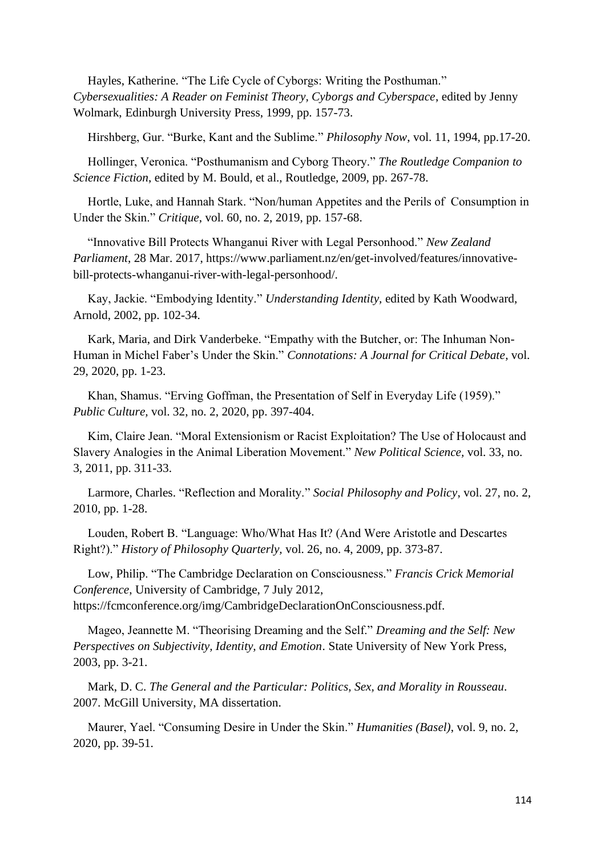Hayles, Katherine. "The Life Cycle of Cyborgs: Writing the Posthuman." *Cybersexualities: A Reader on Feminist Theory, Cyborgs and Cyberspace*, edited by Jenny Wolmark, Edinburgh University Press, 1999, pp. 157-73.

Hirshberg, Gur. "Burke, Kant and the Sublime." *Philosophy Now*, vol. 11, 1994, pp.17-20.

Hollinger, Veronica. "Posthumanism and Cyborg Theory." *The Routledge Companion to Science Fiction*, edited by M. Bould, et al., Routledge, 2009, pp. 267-78.

Hortle, Luke, and Hannah Stark. "Non/human Appetites and the Perils of Consumption in Under the Skin." *Critique*, vol. 60, no. 2, 2019, pp. 157-68.

"Innovative Bill Protects Whanganui River with Legal Personhood." *New Zealand Parliament*, 28 Mar. 2017, https://www.parliament.nz/en/get-involved/features/innovativebill-protects-whanganui-river-with-legal-personhood/.

Kay, Jackie. "Embodying Identity." *Understanding Identity,* edited by Kath Woodward, Arnold, 2002, pp. 102-34.

Kark, Maria, and Dirk Vanderbeke. "Empathy with the Butcher, or: The Inhuman Non-Human in Michel Faber's Under the Skin." *Connotations: A Journal for Critical Debate*, vol. 29, 2020, pp. 1-23.

Khan, Shamus. "Erving Goffman, the Presentation of Self in Everyday Life (1959)." *Public Culture,* vol. 32, no. 2, 2020, pp. 397-404.

Kim, Claire Jean. "Moral Extensionism or Racist Exploitation? The Use of Holocaust and Slavery Analogies in the Animal Liberation Movement." *New Political Science,* vol. 33, no. 3, 2011, pp. 311-33.

Larmore, Charles. "Reflection and Morality." *Social Philosophy and Policy*, vol. 27, no. 2, 2010, pp. 1-28.

Louden, Robert B. "Language: Who/What Has It? (And Were Aristotle and Descartes Right?)." *History of Philosophy Quarterly,* vol. 26, no. 4, 2009, pp. 373-87.

Low, Philip. "The Cambridge Declaration on Consciousness." *Francis Crick Memorial Conference*, University of Cambridge, 7 July 2012, https://fcmconference.org/img/CambridgeDeclarationOnConsciousness.pdf.

Mageo, Jeannette M. "Theorising Dreaming and the Self." *Dreaming and the Self: New Perspectives on Subjectivity, Identity, and Emotion*. State University of New York Press, 2003, pp. 3-21.

Mark, D. C. *The General and the Particular: Politics, Sex, and Morality in Rousseau*. 2007. McGill University, MA dissertation.

Maurer, Yael. "Consuming Desire in Under the Skin." *Humanities (Basel)*, vol. 9, no. 2, 2020, pp. 39-51.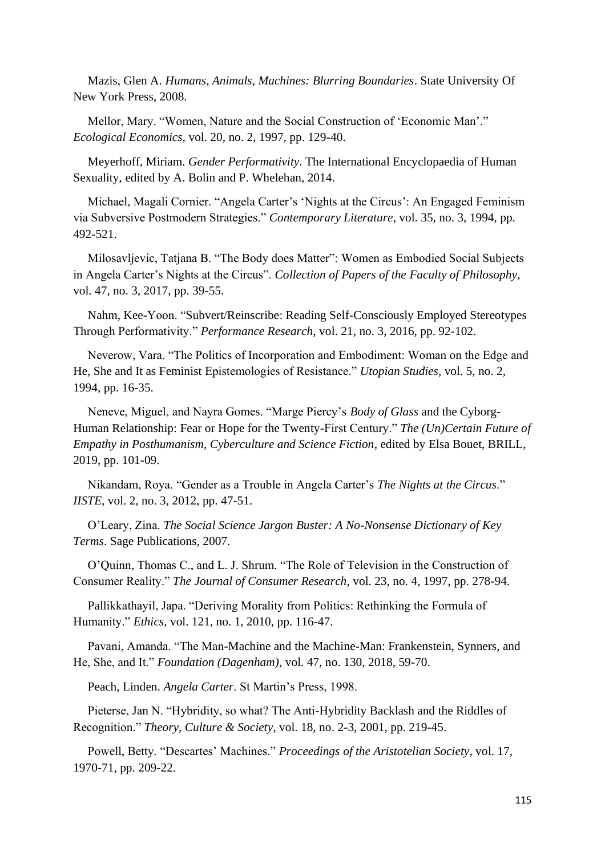Mazis, Glen A. *Humans, Animals, Machines: Blurring Boundaries*. State University Of New York Press, 2008.

Mellor, Mary. "Women, Nature and the Social Construction of 'Economic Man'." *Ecological Economics,* vol. 20, no. 2, 1997, pp. 129-40.

Meyerhoff, Miriam. *Gender Performativity*. The International Encyclopaedia of Human Sexuality, edited by A. Bolin and P. Whelehan, 2014.

Michael, Magali Cornier. "Angela Carter's 'Nights at the Circus': An Engaged Feminism via Subversive Postmodern Strategies." *Contemporary Literature*, vol. 35, no. 3, 1994, pp. 492-521.

Milosavljevic, Tatjana B. "The Body does Matter": Women as Embodied Social Subjects in Angela Carter's Nights at the Circus". *Collection of Papers of the Faculty of Philosophy*, vol. 47, no. 3, 2017, pp. 39-55.

Nahm, Kee-Yoon. "Subvert/Reinscribe: Reading Self-Consciously Employed Stereotypes Through Performativity." *Performance Research*, vol. 21, no. 3, 2016, pp. 92-102.

Neverow, Vara. "The Politics of Incorporation and Embodiment: Woman on the Edge and He, She and It as Feminist Epistemologies of Resistance." *Utopian Studies*, vol. 5, no. 2, 1994, pp. 16-35.

Neneve, Miguel, and Nayra Gomes. "Marge Piercy's *Body of Glass* and the Cyborg-Human Relationship: Fear or Hope for the Twenty-First Century." *The (Un)Certain Future of Empathy in Posthumanism, Cyberculture and Science Fiction*, edited by Elsa Bouet, BRILL, 2019, pp. 101-09.

Nikandam, Roya. "Gender as a Trouble in Angela Carter's *The Nights at the Circus*." *IISTE,* vol. 2, no. 3, 2012, pp. 47-51.

O'Leary, Zina. *The Social Science Jargon Buster: A No-Nonsense Dictionary of Key Terms*. Sage Publications, 2007.

O'Quinn, Thomas C., and L. J. Shrum. "The Role of Television in the Construction of Consumer Reality." *The Journal of Consumer Research*, vol. 23, no. 4, 1997, pp. 278-94.

Pallikkathayil, Japa. "Deriving Morality from Politics: Rethinking the Formula of Humanity." *Ethics,* vol. 121, no. 1, 2010, pp. 116-47.

Pavani, Amanda. "The Man-Machine and the Machine-Man: Frankenstein, Synners, and He, She, and It." *Foundation (Dagenham)*, vol. 47, no. 130, 2018, 59-70.

Peach, Linden. *Angela Carter*. St Martin's Press, 1998.

Pieterse, Jan N. "Hybridity, so what? The Anti-Hybridity Backlash and the Riddles of Recognition." *Theory, Culture & Society*, vol. 18, no. 2-3, 2001, pp. 219-45.

Powell, Betty. "Descartes' Machines." *Proceedings of the Aristotelian Society*, vol. 17, 1970-71, pp. 209-22.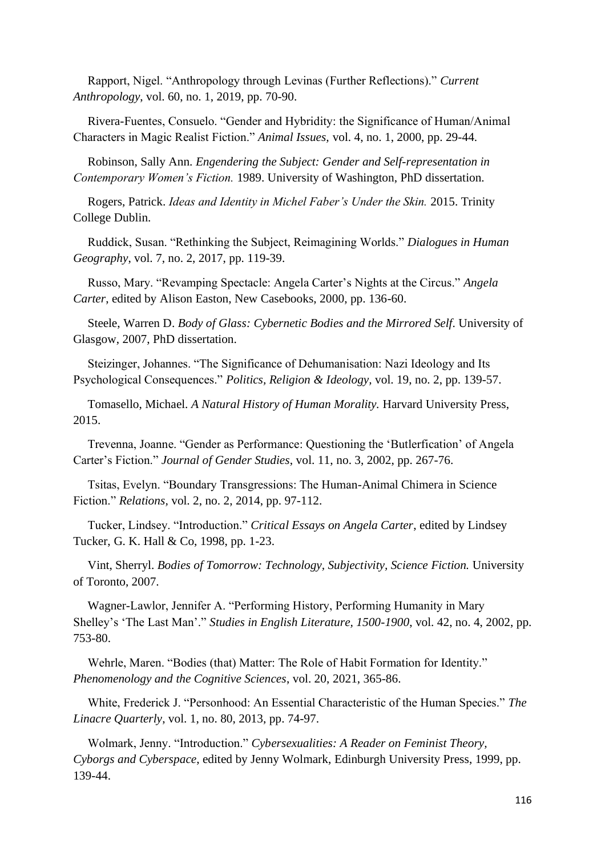Rapport, Nigel. "Anthropology through Levinas (Further Reflections)." *Current Anthropology*, vol. 60, no. 1, 2019, pp. 70-90.

Rivera-Fuentes, Consuelo. "Gender and Hybridity: the Significance of Human/Animal Characters in Magic Realist Fiction." *Animal Issues,* vol. 4, no. 1, 2000, pp. 29-44.

Robinson, Sally Ann. *Engendering the Subject: Gender and Self-representation in Contemporary Women's Fiction.* 1989. University of Washington, PhD dissertation.

Rogers, Patrick. *Ideas and Identity in Michel Faber's Under the Skin.* 2015. Trinity College Dublin.

Ruddick, Susan. "Rethinking the Subject, Reimagining Worlds." *Dialogues in Human Geography*, vol. 7, no. 2, 2017, pp. 119-39.

Russo, Mary. "Revamping Spectacle: Angela Carter's Nights at the Circus." *Angela Carter*, edited by Alison Easton, New Casebooks, 2000, pp. 136-60.

Steele, Warren D. *Body of Glass: Cybernetic Bodies and the Mirrored Self*. University of Glasgow, 2007, PhD dissertation.

Steizinger, Johannes. "The Significance of Dehumanisation: Nazi Ideology and Its Psychological Consequences." *Politics, Religion & Ideology,* vol. 19, no. 2, pp. 139-57.

Tomasello, Michael. *A Natural History of Human Morality.* Harvard University Press, 2015.

Trevenna, Joanne. "Gender as Performance: Questioning the 'Butlerfication' of Angela Carter's Fiction." *Journal of Gender Studies*, vol. 11, no. 3, 2002, pp. 267-76.

Tsitas, Evelyn. "Boundary Transgressions: The Human-Animal Chimera in Science Fiction." *Relations,* vol. 2, no. 2, 2014, pp. 97-112.

Tucker, Lindsey. "Introduction." *Critical Essays on Angela Carter*, edited by Lindsey Tucker, G. K. Hall & Co, 1998, pp. 1-23.

Vint, Sherryl. *Bodies of Tomorrow: Technology, Subjectivity, Science Fiction.* University of Toronto, 2007.

Wagner-Lawlor, Jennifer A. "Performing History, Performing Humanity in Mary Shelley's 'The Last Man'." *Studies in English Literature, 1500-1900*, vol. 42, no. 4, 2002, pp. 753-80.

Wehrle, Maren. "Bodies (that) Matter: The Role of Habit Formation for Identity." *Phenomenology and the Cognitive Sciences*, vol. 20, 2021, 365-86.

White, Frederick J. "Personhood: An Essential Characteristic of the Human Species." *The Linacre Quarterly*, vol. 1, no. 80, 2013, pp. 74-97.

Wolmark, Jenny. "Introduction." *Cybersexualities: A Reader on Feminist Theory, Cyborgs and Cyberspace*, edited by Jenny Wolmark, Edinburgh University Press, 1999, pp. 139-44.